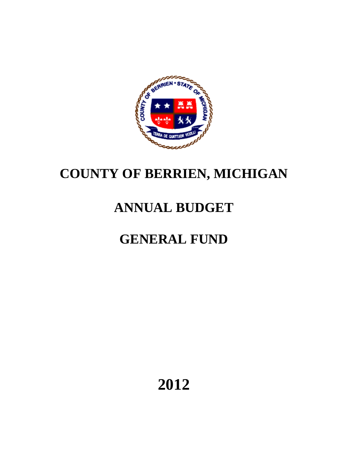

# **COUNTY OF BERRIEN, MICHIGAN**

# **ANNUAL BUDGET**

# **GENERAL FUND**

**2012**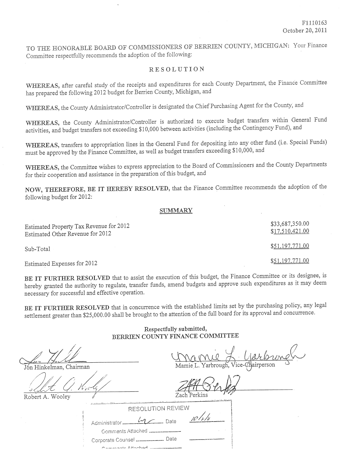TO THE HONORABLE BOARD OF COMMISSIONERS OF BERRIEN COUNTY, MICHIGAN: Your Finance Committee respectfully recommends the adoption of the following:

## **RESOLUTION**

WHEREAS, after careful study of the receipts and expenditures for each County Department, the Finance Committee has prepared the following 2012 budget for Berrien County, Michigan, and

WHEREAS, the County Administrator/Controller is designated the Chief Purchasing Agent for the County, and

WHEREAS, the County Administrator/Controller is authorized to execute budget transfers within General Fund activities, and budget transfers not exceeding \$10,000 between activities (including the Contingency Fund), and

WHEREAS, transfers to appropriation lines in the General Fund for depositing into any other fund (i.e. Special Funds) must be approved by the Finance Committee, as well as budget transfers exceeding \$10,000, and

WHEREAS, the Committee wishes to express appreciation to the Board of Commissioners and the County Departments for their cooperation and assistance in the preparation of this budget, and

NOW, THEREFORE, BE IT HEREBY RESOLVED, that the Finance Committee recommends the adoption of the following budget for 2012:

## **SUMMARY**

| Estimated Property Tax Revenue for 2012<br>Estimated Other Revenue for 2012 | \$33,687,350.00<br>\$17,510,421.00 |
|-----------------------------------------------------------------------------|------------------------------------|
| Sub-Total                                                                   | \$51,197,771.00                    |
| Estimated Expenses for 2012                                                 | \$51.197,771.00                    |

BE IT FURTHER RESOLVED that to assist the execution of this budget, the Finance Committee or its designee, is hereby granted the authority to regulate, transfer funds, amend budgets and approve such expenditures as it may deem necessary for successful and effective operation.

BE IT FURTHER RESOLVED that in concurrence with the established limits set by the purchasing policy, any legal settlement greater than \$25,000.00 shall be brought to the attention of the full board for its approval and concurrence.

> Respectfully submitted, BERRIEN COUNTY FINANCE COMMITTEE

ice-Chairperson Jón Hinkelman, Chairman Zach Perkins Robert A. Wooley RESOLUTION REVIEW  $\sqrt{2}$  Date  $\mathcal{L}$ Administrator. Comments Attached Corporate Counsel \_\_\_\_\_\_\_\_\_\_\_\_\_\_ Date

 $\cap$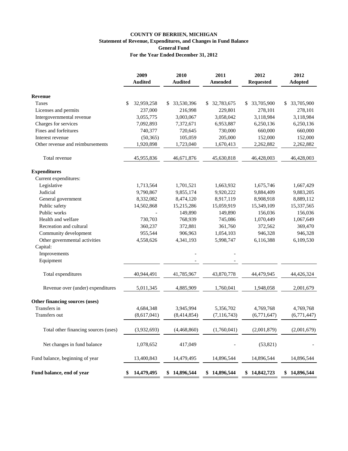## **COUNTY OF BERRIEN, MICHIGAN Statement of Revenue, Expenditures, and Changes in Fund Balance General Fund For the Year Ended December 31, 2012**

|                                           | 2009<br><b>Audited</b> | 2010<br><b>Audited</b> | 2011<br><b>Amended</b> | 2012<br><b>Requested</b> |   | 2012<br><b>Adopted</b> |
|-------------------------------------------|------------------------|------------------------|------------------------|--------------------------|---|------------------------|
| <b>Revenue</b>                            |                        |                        |                        |                          |   |                        |
| Taxes                                     | \$<br>32,959,258       | \$<br>33,530,396       | \$<br>32,783,675       | \$<br>33,705,900         | S | 33,705,900             |
| Licenses and permits                      | 237,000                | 216,998                | 229,801                | 278,101                  |   | 278,101                |
| Intergovernmental revenue                 | 3,055,775              | 3,003,067              | 3,058,042              | 3,118,984                |   | 3,118,984              |
| Charges for services                      | 7,092,893              | 7,372,671              | 6,953,887              | 6,250,136                |   | 6,250,136              |
| Fines and forfeitures                     | 740,377                | 720,645                | 730,000                | 660,000                  |   | 660,000                |
| Interest revenue                          | (50, 365)              | 105,059                | 205,000                | 152,000                  |   | 152,000                |
| Other revenue and reimbursements          | 1,920,898              | 1,723,040              | 1,670,413              | 2,262,882                |   | 2,262,882              |
| Total revenue                             | 45,955,836             | 46,671,876             | 45,630,818             | 46,428,003               |   | 46,428,003             |
| <b>Expenditures</b>                       |                        |                        |                        |                          |   |                        |
| Current expenditures:                     |                        |                        |                        |                          |   |                        |
| Legislative                               | 1,713,564              | 1,701,521              | 1,663,932              | 1,675,746                |   | 1,667,429              |
| Judicial                                  | 9,790,867              | 9,855,174              | 9,920,222              | 9,884,409                |   | 9,883,205              |
| General government                        | 8,332,082              | 8,474,120              | 8,917,119              | 8,908,918                |   | 8,889,112              |
| Public safety                             | 14,502,868             | 15,215,286             | 15,059,919             | 15,349,109               |   | 15,337,565             |
| Public works                              |                        | 149,890                | 149,890                | 156,036                  |   | 156,036                |
| Health and welfare                        | 730,703                | 768,939                | 745,086                | 1,070,449                |   | 1,067,649              |
| Recreation and cultural                   | 360,237                | 372,881                | 361,760                | 372,562                  |   | 369,470                |
| Community development                     | 955,544                | 906,963                | 1,054,103              | 946,328                  |   | 946,328                |
| Other governmental activities<br>Capital: | 4,558,626              | 4,341,193              | 5,998,747              | 6,116,388                |   | 6,109,530              |
| Improvements                              |                        |                        |                        |                          |   |                        |
| Equipment                                 |                        |                        |                        |                          |   |                        |
| Total expenditures                        | 40,944,491             | 41,785,967             | 43,870,778             | 44,479,945               |   | 44,426,324             |
| Revenue over (under) expenditures         | 5,011,345              | 4,885,909              | 1,760,041              | 1,948,058                |   | 2,001,679              |
| Other financing sources (uses)            |                        |                        |                        |                          |   |                        |
| Transfers in                              | 4,684,348              | 3,945,994              | 5,356,702              | 4,769,768                |   | 4,769,768              |
| Transfers out                             | (8,617,041)            | (8,414,854)            | (7, 116, 743)          | (6,771,647)              |   | (6,771,447)            |
| Total other financing sources (uses)      | (3,932,693)            | (4,468,860)            | (1,760,041)            | (2,001,879)              |   | (2,001,679)            |
| Net changes in fund balance               | 1,078,652              | 417,049                |                        | (53, 821)                |   |                        |
| Fund balance, beginning of year           | 13,400,843             | 14,479,495             | 14,896,544             | 14,896,544               |   | 14,896,544             |
| Fund balance, end of year                 | \$<br>14,479,495       | \$14,896,544           | \$14,896,544           | \$14,842,723             |   | \$14,896,544           |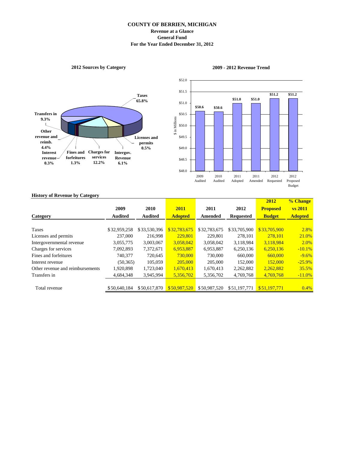## **COUNTY OF BERRIEN, MICHIGAN Revenue at a Glance General Fund For the Year Ended December 31, 2012**

## **2012 Sources by Category**





## **2009 - 2012 Revenue Trend**

### **History of Revenue by Category**

|                                  |                |                |                |              |                  | 2012            | % Change       |
|----------------------------------|----------------|----------------|----------------|--------------|------------------|-----------------|----------------|
|                                  | 2009           | 2010           | 2011           | 2011         | 2012             | <b>Proposed</b> | <b>vs</b> 2011 |
| Category                         | <b>Audited</b> | <b>Audited</b> | <b>Adopted</b> | Amended      | <b>Requested</b> | <b>Budget</b>   | <b>Adopted</b> |
|                                  |                |                |                |              |                  |                 |                |
| Taxes                            | \$32,959,258   | \$33,530,396   | \$32,783,675   | \$32,783,675 | \$33,705,900     | \$33,705,900    | 2.8%           |
| Licenses and permits             | 237,000        | 216,998        | 229,801        | 229,801      | 278.101          | 278.101         | 21.0%          |
| Intergovernmental revenue        | 3,055,775      | 3,003,067      | 3,058,042      | 3,058,042    | 3,118,984        | 3,118,984       | 2.0%           |
| Charges for services             | 7,092,893      | 7,372,671      | 6,953,887      | 6,953,887    | 6,250,136        | 6,250,136       | $-10.1%$       |
| Fines and forfeitures            | 740,377        | 720.645        | 730,000        | 730,000      | 660,000          | 660,000         | $-9.6\%$       |
| Interest revenue                 | (50, 365)      | 105,059        | 205,000        | 205,000      | 152,000          | 152,000         | $-25.9\%$      |
| Other revenue and reimbursements | 1,920,898      | 1,723,040      | 1,670,413      | 1,670,413    | 2,262,882        | 2,262,882       | 35.5%          |
| Transfers in                     | 4,684,348      | 3,945,994      | 5,356,702      | 5,356,702    | 4,769,768        | 4,769,768       | $-11.0%$       |
|                                  |                |                |                |              |                  |                 |                |
| Total revenue                    | \$50,640,184   | \$50,617,870   | \$50,987,520   | \$50,987,520 | \$51,197,771     | \$51,197,771    | $0.4\%$        |
|                                  |                |                |                |              |                  |                 |                |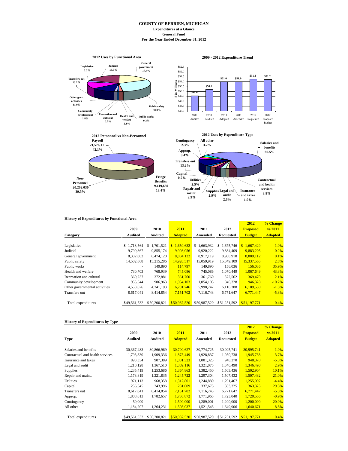#### **COUNTY OF BERRIEN, MICHIGAN Expenditures at a Glance General Fund For the Year Ended December 31, 2012**



| <b>History of Expenditures by Functional Area</b> |                |                  |                |                 |                  |                 |                |
|---------------------------------------------------|----------------|------------------|----------------|-----------------|------------------|-----------------|----------------|
|                                                   |                |                  |                |                 |                  | 2012            | % Change       |
|                                                   | 2009           | 2010             | 2011           | 2011            | 2012             | <b>Proposed</b> | vs 2011        |
| Category                                          | <b>Audited</b> | Audited          | <b>Adopted</b> | Amended         | <b>Requested</b> | <b>Budget</b>   | <b>Adopted</b> |
|                                                   |                |                  |                |                 |                  |                 |                |
| Legislative                                       | \$1,713,564    | 1,701,521<br>\$. | \$1,650,632    | 1,663,932<br>S. | 1,675,746<br>S   | \$1,667,429     | 1.0%           |
| Judicial                                          | 9,790,867      | 9.855.174        | 9.903.056      | 9.920.222       | 9.884.409        | 9.883.205       | $-0.2%$        |
| General government                                | 8,332,082      | 8,474,120        | 8,884,122      | 8,917,119       | 8,908,918        | 8,889,112       | 0.1%           |
| Public safety                                     | 14,502,868     | 15,215,286       | 14.920.517     | 15.059.919      | 15.349.109       | 15.337.565      | 2.8%           |
| Public works                                      | ٠              | 149,890          | 114,797        | 149,890         | 156,036          | 156,036         | 35.9%          |
| Health and welfare                                | 730,703        | 768,939          | 745,086        | 745,086         | 1,070,449        | 1,067,649       | 43.3%          |
| Recreation and cultural                           | 360,237        | 372,881          | 361,760        | 361,760         | 372,562          | 369,470         | 2.1%           |
| Community development                             | 955,544        | 906,963          | 1,054,103      | 1,054,103       | 946,328          | 946.328         | $-10.2%$       |
| Other governmental activities                     | 4,558,626      | 4,341,193        | 6,201,746      | 5,998,747       | 6,116,388        | 6,109,530       | $-1.5%$        |
| Transfers out                                     | 8,617,041      | 8,414,854        | 7,151,702      | 7,116,743       | 6,771,647        | 6,771,447       | $-5.3%$        |
| Total expenditures                                | \$49,561,532   | \$50,200,821     | \$50,987,520   | \$50,987,520    | \$51,251,592     | \$51,197,771    | 0.4%           |

#### **History of Expenditures by Type**

|                                 |              |              |                |              |                  | 2012            | % Change       |
|---------------------------------|--------------|--------------|----------------|--------------|------------------|-----------------|----------------|
|                                 | 2009         | 2010         | 2011           | 2011         | 2012             | <b>Proposed</b> | vs 2011        |
| Type                            | Audited      | Audited      | <b>Adopted</b> | Amended      | <b>Requested</b> | <b>Budget</b>   | <b>Adopted</b> |
|                                 |              |              |                |              |                  |                 |                |
| Salaries and benefits           | 30, 367, 483 | 30,866,969   | 30,700,627     | 30,774,725   | 30,995,741       | 30,995,741      | 1.0%           |
| Contractual and health services | 1,793,830    | 1,909,336    | 1,875,449      | 1,928,837    | 1,950,738        | 1,945,738       | 3.7%           |
| Insurance and taxes             | 893,334      | 907,389      | 1,001,323      | 1,001,323    | 948,370          | 948,370         | $-5.3%$        |
| Legal and audit                 | 1,210,128    | 1,367,510    | 1,309,116      | 1,321,075    | 1,346,490        | 1,346,490       | 2.9%           |
| <b>Supplies</b>                 | 1,235,419    | 1,253,686    | 1,364,863      | 1,382,450    | 1,503,436        | 1,502,904       | 10.1%          |
| Repair and maint.               | 1,173,819    | 1,221,835    | 1,245,722      | 1,297,304    | 1,507,432        | 1,507,432       | 21.0%          |
| <b>Utilities</b>                | 971,113      | 968,358      | 1,312,801      | 1,244,880    | 1,291,467        | 1.255.097       | $-4.4%$        |
| Capital                         | 256,545      | 243,996      | 281,009        | 337,675      | 363,325          | 363,325         | 29.3%          |
| Transfers out                   | 8,617,041    | 8,414,854    | 7,151,702      | 7,116,743    | 6,771,647        | 6,771,447       | $-5.3%$        |
| Approp.                         | 1,808,613    | 1,782,657    | 1,736,872      | 1,771,965    | 1,723,040        | 1.720.556       | $-0.9%$        |
| Contingency                     | 50,000       | ٠            | 1.500,000      | 1,289,001    | 1,200,000        | 1.200.000       | $-20.0%$       |
| All other                       | 1,184,207    | 1,264,231    | 1,508,037      | 1,521,543    | 1,649,906        | 1,640,671       | 8.8%           |
|                                 |              |              |                |              |                  |                 |                |
| Total expenditures              | \$49,561,532 | \$50,200,821 | \$50,987,520   | \$50,987,520 | \$51,251,592     | \$51,197,771    | 0.4%           |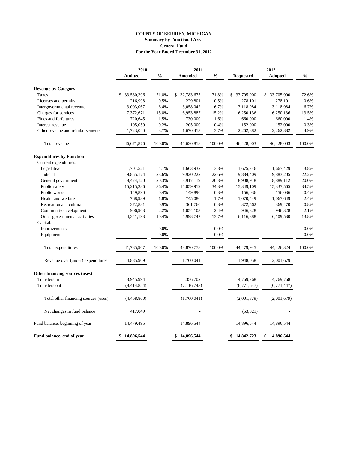## **COUNTY OF BERRIEN, MICHIGAN Summary by Functional Area General Fund For the Year Ended December 31, 2012**

|                                      | 2010           |               | 2011             |               |                  | 2012             |               |
|--------------------------------------|----------------|---------------|------------------|---------------|------------------|------------------|---------------|
|                                      | <b>Audited</b> | $\frac{0}{0}$ | <b>Amended</b>   | $\frac{0}{0}$ | <b>Requested</b> | Adopted          | $\frac{0}{0}$ |
| <b>Revenue by Category</b>           |                |               |                  |               |                  |                  |               |
| Taxes                                | \$ 33,530,396  | 71.8%         | 32,783,675<br>\$ | 71.8%         | \$<br>33,705,900 | \$<br>33,705,900 | 72.6%         |
| Licenses and permits                 | 216,998        | 0.5%          | 229,801          | 0.5%          | 278,101          | 278,101          | 0.6%          |
| Intergovernmental revenue            | 3,003,067      | 6.4%          | 3,058,042        | 6.7%          | 3,118,984        | 3,118,984        | 6.7%          |
| Charges for services                 | 7,372,671      | 15.8%         | 6,953,887        | 15.2%         | 6,250,136        | 6,250,136        | 13.5%         |
| Fines and forfeitures                | 720,645        | 1.5%          | 730,000          | 1.6%          | 660,000          | 660,000          | 1.4%          |
| Interest revenue                     | 105,059        | 0.2%          | 205,000          | 0.4%          | 152,000          | 152,000          | 0.3%          |
| Other revenue and reimbursements     | 1,723,040      | 3.7%          | 1,670,413        | 3.7%          | 2,262,882        | 2,262,882        | 4.9%          |
| Total revenue                        | 46,671,876     | 100.0%        | 45,630,818       | 100.0%        | 46,428,003       | 46,428,003       | 100.0%        |
| <b>Expenditures by Function</b>      |                |               |                  |               |                  |                  |               |
| Current expenditures:                |                |               |                  |               |                  |                  |               |
| Legislative                          | 1,701,521      | 4.1%          | 1,663,932        | 3.8%          | 1,675,746        | 1,667,429        | 3.8%          |
| Judicial                             | 9,855,174      | 23.6%         | 9,920,222        | 22.6%         | 9,884,409        | 9,883,205        | 22.2%         |
| General government                   | 8,474,120      | 20.3%         | 8,917,119        | 20.3%         | 8,908,918        | 8,889,112        | 20.0%         |
| Public safety                        | 15,215,286     | 36.4%         | 15,059,919       | 34.3%         | 15,349,109       | 15,337,565       | 34.5%         |
| Public works                         | 149,890        | 0.4%          | 149,890          | 0.3%          | 156,036          | 156,036          | 0.4%          |
| Health and welfare                   | 768,939        | 1.8%          | 745,086          | 1.7%          | 1,070,449        | 1,067,649        | 2.4%          |
| Recreation and cultural              | 372,881        | 0.9%          | 361,760          | $0.8\%$       | 372,562          | 369,470          | 0.8%          |
| Community development                | 906,963        | 2.2%          | 1,054,103        | 2.4%          | 946,328          | 946,328          | 2.1%          |
| Other governmental activities        | 4,341,193      | 10.4%         | 5,998,747        | 13.7%         | 6,116,388        | 6,109,530        | 13.8%         |
| Capital:                             |                |               |                  |               |                  |                  |               |
| Improvements                         | $\overline{a}$ | 0.0%          | L,               | 0.0%          |                  |                  | 0.0%          |
| Equipment                            |                | 0.0%          |                  | 0.0%          |                  |                  | 0.0%          |
| Total expenditures                   | 41,785,967     | 100.0%        | 43,870,778       | 100.0%        | 44,479,945       | 44,426,324       | 100.0%        |
| Revenue over (under) expenditures    | 4,885,909      |               | 1,760,041        |               | 1,948,058        | 2,001,679        |               |
| Other financing sources (uses)       |                |               |                  |               |                  |                  |               |
| Transfers in                         | 3,945,994      |               | 5,356,702        |               | 4,769,768        | 4,769,768        |               |
| Transfers out                        | (8,414,854)    |               | (7, 116, 743)    |               | (6,771,647)      | (6,771,447)      |               |
| Total other financing sources (uses) | (4,468,860)    |               | (1,760,041)      |               | (2,001,879)      | (2,001,679)      |               |
| Net changes in fund balance          | 417,049        |               |                  |               | (53, 821)        |                  |               |
| Fund balance, beginning of year      | 14,479,495     |               | 14,896,544       |               | 14,896,544       | 14,896,544       |               |
| Fund balance, end of year            | \$14,896,544   |               | \$<br>14,896,544 |               | \$14,842,723     | \$<br>14,896,544 |               |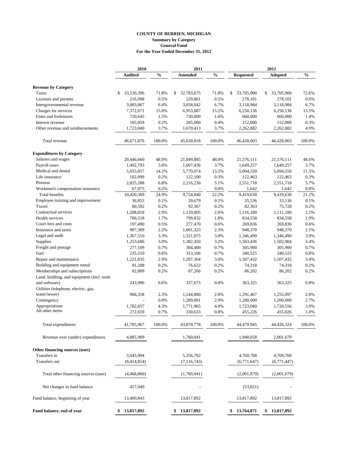### **COUNTY OF BERRIEN, MICHIGAN Summary by Category General Fund For the Year Ended December 31, 2012**

|                                                                             | 2010             |               | 2011             |               | 2012             |                  |               |  |
|-----------------------------------------------------------------------------|------------------|---------------|------------------|---------------|------------------|------------------|---------------|--|
|                                                                             | <b>Audited</b>   | $\frac{0}{0}$ | Amended          | $\frac{0}{0}$ | <b>Requested</b> | <b>Adopted</b>   | $\frac{0}{0}$ |  |
| <b>Revenue by Category</b>                                                  |                  |               |                  |               |                  |                  |               |  |
| Taxes                                                                       | \$<br>33,530,396 | 71.8%         | 32,783,675<br>\$ | 71.8%         | 33,705,900<br>S  | 33,705,900<br>\$ | 72.6%         |  |
| Licenses and permits                                                        | 216,998          | 0.5%          | 229,801          | 0.5%          | 278,101          | 278,101          | 0.6%          |  |
| Intergovernmental revenue                                                   | 3,003,067        | 6.4%          | 3,058,042        | 6.7%          | 3,118,984        | 3,118,984        | 6.7%          |  |
| Charges for services                                                        | 7,372,671        | 15.8%         | 6,953,887        | 15.2%         | 6,250,136        | 6,250,136        | 13.5%         |  |
| Fines and forfeitures                                                       | 720,645          | 1.5%          | 730,000          | 1.6%          | 660,000          | 660,000          | 1.4%          |  |
| Interest revenue                                                            | 105,059          | 0.2%          | 205,000          | 0.4%          | 152,000          | 152,000          | 0.3%          |  |
| Other revenue and reimbursements                                            | 1,723,040        | 3.7%          | 1,670,413        | 3.7%          | 2,262,882        | 2,262,882        | 4.9%          |  |
| Total revenue                                                               | 46,671,876       | 100.0%        | 45,630,818       | 100.0%        | 46,428,003       | 46,428,003       | 100.0%        |  |
| <b>Expenditures by Category</b>                                             |                  |               |                  |               |                  |                  |               |  |
| Salaries and wages                                                          | 20,446,660       | 48.9%         | 21,049,885       | 48.0%         | 21,576,111       | 21,576,111       | 48.6%         |  |
| Payroll taxes                                                               | 1,492,793        | 3.6%          | 1,607,436        | 3.7%          | 1,649,257        | 1,649,257        | 3.7%          |  |
| Medical and dental                                                          | 5,933,057        | 14.2%         | 5,779,074        | 13.2%         | 5,094,550        | 5,094,550        | 11.5%         |  |
| Life insurance                                                              | 102,099          | 0.2%          | 122,100          | 0.3%          | 122,463          | 122,463          | 0.3%          |  |
| Pension                                                                     | 2,825,288        | 6.8%          | 2,216,230        | 5.1%          | 2,551,718        | 2,551,718        | 5.7%          |  |
| Workmen's compensation insurance                                            | 67,073           | 0.2%          |                  | 0.0%          | 1,642            | 1,642            | 0.0%          |  |
| Total benefits                                                              | 10,420,309       | 24.9%         | 9.724.840        | 22.2%         | 9,419,630        | 9,419,630        | 21.2%         |  |
| Employee training and improvement                                           | 36,855           | 0.1%          | 39,679           | 0.1%          | 35,536           | 33,136           | 0.1%          |  |
| Travel                                                                      | 80,592           | 0.2%          | 92,367           | 0.2%          | 82,363           | 75,728           | 0.2%          |  |
| Contractual services                                                        | 1,208,818        | 2.9%          | 1,129,005        | 2.6%          | 1,116,180        | 1,111,180        | 2.5%          |  |
| Health services                                                             | 700,518          | 1.7%          | 799,832          | 1.8%          | 834,558          | 834,558          | 1.9%          |  |
| Court fees and costs                                                        | 197,490          | 0.5%          | 277,470          | 0.6%          | 269,836          | 269,836          | 0.6%          |  |
| Insurance and taxes                                                         | 907,389          | 2.2%          | 1,001,323        | 2.3%          | 948,370          | 948,370          | 2.1%          |  |
| Legal and audit                                                             | 1,367,510        | 3.3%          | 1,321,075        | 3.0%          | 1,346,490        | 1,346,490        | 3.0%          |  |
| Supplies                                                                    | 1,253,686        | 3.0%          | 1,382,450        | 3.2%          | 1,503,436        | 1,502,904        | 3.4%          |  |
| Freight and postage                                                         | 277,109          | 0.7%          | 304,400          | 0.7%          | 305,900          | 305,900          | 0.7%          |  |
| Fuel                                                                        | 235,510          | 0.6%          | 313,106          | 0.7%          | 340,525          | 340,525          | 0.8%          |  |
| Repair and maintenance                                                      | 1,221,835        | 2.9%          | 1,297,304        | 3.0%          | 1,507,432        | 1,507,432        | 3.4%          |  |
| Building and equipment rental                                               | 81,208           | 0.2%          | 76,622           | 0.2%          | 74,318           | 74,318           | 0.2%          |  |
| Memberships and subscriptions<br>Land, building, and equipment (Incl. tools | 82,809           | 0.2%          | 87,266           | 0.2%          | 86,202           | 86,202           | 0.2%          |  |
| and software)                                                               | 243,996          | 0.6%          | 337,675          | 0.8%          | 363,325          | 363,325          | 0.8%          |  |
| Utilities (telephone, electric, gas,                                        |                  |               |                  |               |                  |                  |               |  |
| water/sewer)                                                                | 968,358          | 2.3%          | 1,244,880        | 2.8%          | 1,291,467        | 1,255,097        | 2.8%          |  |
| Contingency                                                                 |                  | 0.0%          | 1,289,001        | 2.9%          | 1,200,000        | 1,200,000        | 2.7%          |  |
| Appropriations                                                              | 1,782,657        | 4.3%          | 1,771,965        | 4.0%          | 1,723,040        | 1,720,556        | 3.9%          |  |
| All other items                                                             | 272,659          | 0.7%          | 330,633          | 0.8%          | 455,226          | 455,026          | 1.0%          |  |
| Total expenditures                                                          | 41,785,967       | 100.0%        | 43,870,778       | 100.0%        | 44,479,945       | 44,426,324       | 100.0%        |  |
| Revenue over (under) expenditures                                           | 4,885,909        |               | 1,760,041        |               | 1,948,058        | 2,001,679        |               |  |
| Other financing sources (uses)                                              |                  |               |                  |               |                  |                  |               |  |
| Transfers in                                                                | 3,945,994        |               | 5,356,702        |               | 4,769,768        | 4,769,768        |               |  |
| Transfers out                                                               | (8,414,854)      |               | (7, 116, 743)    |               | (6,771,647)      | (6,771,447)      |               |  |
| Total other financing sources (uses)                                        | (4,468,860)      |               | (1,760,041)      |               | (2,001,879)      | (2,001,679)      |               |  |
| Net changes in fund balance                                                 | 417,049          |               |                  |               | (53, 821)        |                  |               |  |
| Fund balance, beginning of year                                             | 13,400,843       |               | 13,817,892       |               | 13,817,892       | 13,817,892       |               |  |
| Fund balance, end of year                                                   | 13,817,892<br>\$ |               | 13,817,892<br>\$ |               | 13,764,071<br>\$ | \$<br>13,817,892 |               |  |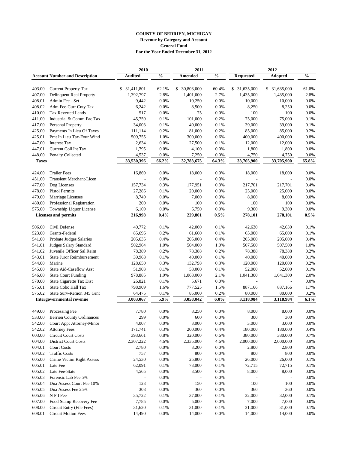|                  |                                             | 2010           |               | 2011             |               |                  | 2012          |               |
|------------------|---------------------------------------------|----------------|---------------|------------------|---------------|------------------|---------------|---------------|
|                  | <b>Account Number and Description</b>       | <b>Audited</b> | $\frac{0}{0}$ | Amended          | $\frac{0}{0}$ | <b>Requested</b> | Adopted       | $\frac{0}{0}$ |
|                  |                                             | \$ 31,411,801  |               |                  |               |                  |               |               |
| 403.00           | <b>Current Property Tax</b>                 |                | 62.1%         | 30,803,000<br>\$ | 60.4%         | \$ 31,635,000    | \$ 31,635,000 | 61.8%         |
| 407.00           | Delinquent Real Property<br>Admin Fee - Set | 1,392,797      | 2.8%<br>0.0%  | 1,401,000        | 2.7%<br>0.0%  | 1,435,000        | 1,435,000     | 2.8%<br>0.0%  |
| 408.01<br>408.02 |                                             | 9,442          | 0.0%          | 10,250           | 0.0%          | 10,000           | 10,000        | 0.0%          |
|                  | Adm Fee-Curr Cnty Tax                       | 6,242<br>517   |               | 8,500            | 0.0%          | 8,250            | 8,250         | 0.0%          |
| 410.00           | <b>Tax Reverted Lands</b>                   |                | 0.0%          | 75               |               | 100              | 100           |               |
| 411.00           | Industrial & Comm Fac Tax                   | 45,759         | 0.1%          | 101,000          | 0.2%          | 75,000           | 75,000        | 0.1%          |
| 417.00           | Personal Property                           | 34,003         | 0.1%          | 40,000           | 0.1%          | 39,000           | 39,000        | 0.1%          |
| 425.00           | Payments In Lieu Of Taxes                   | 111,114        | 0.2%          | 81,000           | 0.2%          | 85,000           | 85,000        | 0.2%          |
| 425.01           | Pmt In Lieu Tax-Four Wind                   | 509,755        | 1.0%          | 300,000          | 0.6%          | 400,000          | 400,000       | 0.8%          |
| 447.00           | <b>Interest Tax</b>                         | 2,634          | 0.0%          | 27,500           | 0.1%          | 12,000           | 12,000        | 0.0%          |
| 447.01           | Current Coll Int Tax                        | 1,795          | 0.0%          | 4,100            | 0.0%          | 1,800            | 1,800         | 0.0%          |
| 448.00           | Penalty Collected                           | 4,537          | 0.0%          | 7,250            | 0.0%          | 4,750            | 4,750         | 0.0%          |
| <b>Taxes</b>     |                                             | 33,530,396     | 66.2%         | 32,783,675       | 64.3%         | 33,705,900       | 33,705,900    | 65.8%         |
| 424.00           | <b>Trailer Fees</b>                         | 16,869         | 0.0%          | 18,000           | 0.0%          | 18,000           | 18,000        | 0.0%          |
| 451.00           | <b>Transient Merchant-Licen</b>             |                | 0.0%          |                  | 0.0%          |                  |               | 0.0%          |
| 477.00           | Dog Licenses                                | 157,734        | 0.3%          | 177,951          | 0.3%          | 217,701          | 217,701       | 0.4%          |
| 478.00           | <b>Pistol Permits</b>                       | 27,286         | 0.1%          | 20,000           | 0.0%          | 25,000           | 25,000        | 0.0%          |
| 479.00           | Marriage Licenses                           | 8,740          | 0.0%          | 7,000            | 0.0%          | 8,000            | 8,000         | 0.0%          |
| 480.00           | Professional Registration                   | 200            | 0.0%          | 100              | 0.0%          | 100              | 100           | 0.0%          |
| 575.00           | Township Liquor License                     | 6,169          | 0.0%          | 6,750            | 0.0%          | 9,300            | 9,300         | 0.0%          |
|                  | <b>Licenses and permits</b>                 | 216,998        | $0.4\%$       | 229,801          | 0.5%          | 278,101          | 278,101       | 0.5%          |
|                  |                                             |                |               |                  |               |                  |               |               |
| 506.00           | Civil Defense                               | 40,772         | 0.1%          | 42,000           | 0.1%          | 42,630           | 42.630        | 0.1%          |
| 523.00           | Grants-Federal                              | 85,696         | 0.2%          | 61,660           | 0.1%          | 65,000           | 65,000        | 0.1%          |
| 541.00           | Probate Judges Salaries                     | 205,635        | 0.4%          | 205,000          | 0.4%          | 205,000          | 205,000       | 0.4%          |
| 541.01           | Judges Salary Standard                      | 502,964        | 1.0%          | 504,000          | 1.0%          | 507,500          | 507,500       | 1.0%          |
| 541.02           | Juvenile Officer Sal Reim                   | 78,389         | 0.2%          | 78,388           | 0.2%          | 78,388           | 78,388        | 0.2%          |
| 543.01           | <b>State Juror Reimbursement</b>            | 39,968         | 0.1%          | 40,000           | 0.1%          | 40,000           | 40,000        | 0.1%          |
| 544.00           | Marine                                      | 128,650        | 0.3%          | 132,798          | 0.3%          | 120,000          | 120,000       | 0.2%          |
| 545.00           | State Aid-Caseflow Asst                     | 51,903         | 0.1%          | 58,000           | 0.1%          | 52,000           | 52,000        | 0.1%          |
| 546.00           | <b>State Court Funding</b>                  | 978,885        | 1.9%          | 1,068,000        | 2.1%          | 1,041,300        | 1,041,300     | 2.0%          |
| 570.00           | State Cigarette Tax Dist                    | 26,821         | 0.1%          | 5,671            | 0.0%          |                  |               | 0.0%          |
| 575.01           | State Cobo Hall Tax                         | 798,909        | 1.6%          | 777,525          | 1.5%          | 887,166          | 887,166       | 1.7%          |
| 575.02           | State Surv-Remon 345 Grnt                   | 64,475         | 0.1%          | 85,000           | 0.2%          | 80,000           | 80,000        | 0.2%          |
|                  | Intergovernmental revenue                   | 3,003,067      | 5.9%          | 3,058,042        | 6.0%          | 3,118,984        | 3,118,984     | 6.1%          |
| 449.00           | Processing Fee                              | 7,780          | 0.0%          | 8,250            | 0.0%          | 8,000            | 8,000         | 0.0%          |
| 533.00           | <b>Berrien County Ordinances</b>            | 299            | 0.0%          | 600              | 0.0%          | 300              | 300           | 0.0%          |
|                  | 542.00 Court Appt Attorney-Minor            | 4,007          | 0.0%          | 3,000            | 0.0%          | 3,000            | 3,000         | 0.0%          |
| 542.02           | <b>Attorney Fees</b>                        | 171,741        | 0.3%          | 200,000          | 0.4%          | 180,000          | 180,000       | 0.4%          |
| 603.00           | <b>Circuit Court Costs</b>                  | 393,661        | $0.8\%$       | 320,000          | 0.6%          | 380,000          | 380,000       | 0.7%          |
| 604.00           | <b>District Court Costs</b>                 | 2,307,222      | 4.6%          | 2,335,000        | 4.6%          | 2,000,000        | 2,000,000     | 3.9%          |
| 604.01           | <b>Court Costs</b>                          | 2,780          | 0.0%          | 3,200            | $0.0\%$       | 2,800            | 2,800         | 0.0%          |
| 604.02           | <b>Traffic Costs</b>                        | 757            | 0.0%          | 800              | $0.0\%$       | 800              | 800           | $0.0\%$       |
| 605.00           | Crime Victim Right Assess                   | 24,530         | 0.0%          | 25,800           | 0.1%          | 26,000           | 26,000        | 0.1%          |
| 605.01           | Late Fee                                    | 62,091         | 0.1%          | 73,000           | 0.1%          | 72,715           | 72,715        | 0.1%          |
| 605.02           | Late Fee-State                              | 4,565          | 0.0%          | 3,500            | 0.0%          | 8,000            | 8,000         | 0.0%          |
| 605.03           | Forensic Lab Fee 5%                         |                | 0.0%          |                  | 0.0%          |                  |               | 0.0%          |
| 605.04           | Dna Assess Court Fee 10%                    | 123            | 0.0%          | 150              | 0.0%          | 100              | 100           | 0.0%          |
| 605.05           | Dna Assess Fee 25%                          | 308            | 0.0%          | 360              | 0.0%          | 360              | 360           | 0.0%          |
| 605.06           | N P I Fee                                   | 35,722         | 0.1%          | 37,000           | $0.1\%$       | 32,000           | 32,000        | 0.1%          |
| 607.00           | Food Stamp Recovery Fee                     | 7,785          | $0.0\%$       | 5,000            | $0.0\%$       | 7,000            | 7,000         | 0.0%          |
| 608.00           | Circuit Entry (File Fees)                   | 31,620         | 0.1%          | 31,000           | $0.1\%$       | 31,000           | 31,000        | $0.1\%$       |
| 608.01           | <b>Circuit Motion Fees</b>                  | 14,490         | 0.0%          | 14,000           | 0.0%          | 14,000           | 14,000        | 0.0%          |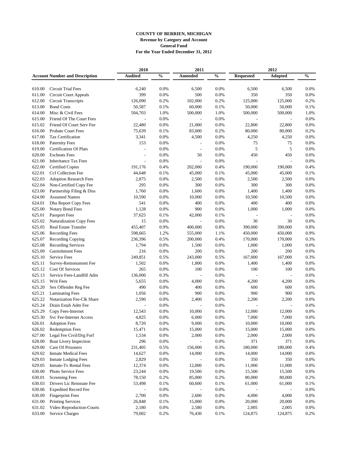|        |                                       | 2010           |               | 2011                         |               |                  | 2012    |               |
|--------|---------------------------------------|----------------|---------------|------------------------------|---------------|------------------|---------|---------------|
|        | <b>Account Number and Description</b> | <b>Audited</b> | $\frac{0}{0}$ | <b>Amended</b>               | $\frac{0}{0}$ | <b>Requested</b> | Adopted | $\frac{0}{0}$ |
|        |                                       |                |               |                              |               |                  |         |               |
| 610.00 | <b>Circuit Trial Fees</b>             | 6,240          | 0.0%          | 6,500                        | 0.0%          | 6,500            | 6,500   | 0.0%          |
| 611.00 | <b>Circuit Court Appeals</b>          | 399            | 0.0%          | 500                          | 0.0%          | 350              | 350     | 0.0%          |
| 612.00 | <b>Circuit Transcripts</b>            | 126,090        | 0.2%          | 102,000                      | 0.2%          | 125,000          | 125,000 | 0.2%          |
| 613.00 | <b>Bond Costs</b>                     | 50,587         | 0.1%          | 60,000                       | 0.1%          | 50,000           | 50,000  | 0.1%          |
| 614.00 | Misc & Civil Fees                     | 504,703        | 1.0%          | 500,000                      | 1.0%          | 500,000          | 500,000 | 1.0%          |
| 615.00 | Friend Of The Court Fees              |                | 0.0%          |                              | 0.0%          |                  |         | 0.0%          |
| 615.02 | Friend Of Court Serv Fee              | 22,480         | 0.0%          | 21,000                       | 0.0%          | 22,800           | 22,800  | 0.0%          |
| 616.00 | <b>Probate Court Fees</b>             | 75,639         | 0.1%          | 83,000                       | 0.2%          | 80,000           | 80,000  | 0.2%          |
| 617.00 | Tax Certification                     | 3,341          | 0.0%          | 4,500                        | 0.0%          | 4,250            | 4,250   | 0.0%          |
| 618.00 | <b>Paternity Fees</b>                 | 153            | 0.0%          | $\overline{a}$               | 0.0%          | 75               | 75      | 0.0%          |
| 619.00 | <b>Certification Of Plats</b>         |                | 0.0%          | ٠                            | 0.0%          | 5                | 5       | 0.0%          |
| 620.00 | <b>Escheats Fees</b>                  |                | 0.0%          | 50                           | 0.0%          | 450              | 450     | 0.0%          |
| 621.00 | <b>Inheritance Tax Fees</b>           |                | 0.0%          | $\overline{a}$               | 0.0%          |                  |         | 0.0%          |
| 622.00 | <b>Certified Copies</b>               | 191,176        | 0.4%          | 202,000                      | 0.4%          | 190,000          | 190,000 | 0.4%          |
| 622.01 | Ccf Collection Fee                    | 44,648         | 0.1%          | 45,000                       | 0.1%          | 45,000           | 45,000  | 0.1%          |
| 622.03 | <b>Adoption Research Fees</b>         | 2,875          | 0.0%          | 2,500                        | 0.0%          | 2,500            | 2,500   | 0.0%          |
| 622.04 | Non-Certified Copy Fee                | 295            | 0.0%          | 300                          | 0.0%          | 300              | 300     | 0.0%          |
| 623.00 | Partnership Filing & Diss             | 1,760          | 0.0%          | 1,600                        | 0.0%          | 1,400            | 1,400   | 0.0%          |
| 624.00 | <b>Assumed Names</b>                  | 10,590         | 0.0%          | 10,000                       | 0.0%          | 10,500           | 10,500  | 0.0%          |
| 624.01 | Dba Report Copy Fees                  | 541            | 0.0%          | 400                          | 0.0%          | 400              | 400     | 0.0%          |
| 625.00 | Notary Bond Fees                      | 1,128          | 0.0%          | 900                          | 0.0%          | 1,000            | 1,000   | 0.0%          |
| 625.01 | Passport Fees                         | 37,625         | 0.1%          | 42,000                       | 0.1%          |                  |         | 0.0%          |
| 625.02 | <b>Naturalization Copy Fees</b>       | 15             | 0.0%          |                              | 0.0%          | 30               | 30      | 0.0%          |
| 625.05 | Real Estate Transfer                  | 455,407        | 0.9%          | 400,000                      | 0.8%          | 390,000          | 390,000 | 0.8%          |
| 625.06 | <b>Recording Fees</b>                 | 598,665        | 1.2%          | 555,000                      | 1.1%          | 450,000          | 450,000 | 0.9%          |
| 625.07 | Recording Copying                     | 236,396        | 0.5%          | 200,000                      | 0.4%          | 170,000          | 170,000 | 0.3%          |
| 625.08 | <b>Recording Services</b>             | 1,794          | 0.0%          | 1,500                        | 0.0%          | 1,000            | 1,000   | 0.0%          |
| 625.09 | <b>Garnishment Fees</b>               | 216            | 0.0%          | 200                          | 0.0%          | 200              | 200     | 0.0%          |
| 625.10 | <b>Service Fees</b>                   | 249,851        | 0.5%          | 243,000                      | 0.5%          | 167,000          | 167,000 | 0.3%          |
| 625.11 | Survey-Remonument Fee                 | 1,502          | 0.0%          | 1,800                        | 0.0%          | 1,400            | 1,400   | 0.0%          |
| 625.12 | <b>Cost Of Services</b>               | 265            | 0.0%          | 100                          | 0.0%          | 100              | 100     | 0.0%          |
| 625.13 | Service Fees-Landfill Adm             | 136,000        | 0.3%          |                              | 0.0%          |                  |         | 0.0%          |
| 625.15 | Writ Fees                             | 5,655          | 0.0%          | 4,000                        | 0.0%          | 4,200            | 4,200   | 0.0%          |
| 625.20 | Sex Offender Reg Fee                  | 490            | 0.0%          | 400                          | 0.0%          | 600              | 600     | 0.0%          |
| 625.21 | <b>Laminating Fees</b>                | 1,056          | 0.0%          | 900                          | 0.0%          | 900              | 900     | 0.0%          |
| 625.22 | Notarization Fee-Clk Share            | 2,590          | 0.0%          | 2,400                        | 0.0%          | 2,200            | 2,200   | 0.0%          |
| 625.24 | Drain Estab Adm Fee                   |                | 0.0%          | $\overline{a}$               | 0.0%          |                  |         | 0.0%          |
| 625.29 | Copy Fees-Internet                    | 12,543         | 0.0%          | 10,000                       | 0.0%          | 12,000           | 12,000  | 0.0%          |
| 625.30 | <b>Svc Fee-Internet Access</b>        | 4,825          | 0.0%          | 6,000                        | 0.0%          | 7,000            | 7,000   | 0.0%          |
| 626.01 | <b>Adoption Fees</b>                  | 8,720          | 0.0%          | 9,000                        | $0.0\%$       | 10,000           | 10,000  | $0.0\%$       |
| 626.02 | <b>Redemption Fees</b>                | 15,471         | 0.0%          | 15,000                       | $0.0\%$       | 15,000           | 15,000  | $0.0\%$       |
| 627.00 | Legal Fee Civil/Drg Forf              | 1,534          | $0.0\%$       | 2,000                        | $0.0\%$       | 2,000            | 2,000   | $0.0\%$       |
| 628.00 | Boat Livery Inspection                | 296            | 0.0%          |                              | $0.0\%$       | 371              | 371     | 0.0%          |
| 629.00 | Care Of Prisoners                     | 231,405        | 0.5%          | 156,000                      | 0.3%          | 180,000          | 180,000 | 0.4%          |
| 629.02 | <b>Inmate Medical Fees</b>            | 14,627         | 0.0%          | 14,000                       | $0.0\%$       | 14,000           | 14,000  | $0.0\%$       |
| 629.03 | <b>Inmate Lodging Fees</b>            | 2,829          | $0.0\%$       | $\qquad \qquad \blacksquare$ | $0.0\%$       | 350              | 350     | $0.0\%$       |
| 629.05 | <b>Inmate-Tv Rental Fees</b>          | 12,374         | 0.0%          | 12,000                       | $0.0\%$       | 11,000           | 11,000  | $0.0\%$       |
| 630.00 | Photo Service Fees                    | 23,244         | $0.0\%$       | 19,500                       | $0.0\%$       | 15,500           | 15,500  | $0.0\%$       |
| 630.01 | <b>Screening Fees</b>                 | 78,150         | 0.2%          | 85,000                       | 0.2%          | 80,000           | 80,000  | 0.2%          |
| 630.03 | Drivers Lic Reinstate Fee             | 53,498         | 0.1%          | 60,600                       | $0.1\%$       | 61,000           | 61,000  | $0.1\%$       |
| 630.06 | <b>Expedited Record Fee</b>           |                | 0.0%          |                              | $0.0\%$       |                  |         | $0.0\%$       |
| 630.09 | <b>Fingerprint Fees</b>               | 2,700          | $0.0\%$       | 2,600                        | $0.0\%$       | 4,000            | 4,000   | $0.0\%$       |
| 631.00 | <b>Printing Services</b>              | 26,848         | $0.1\%$       | 15,000                       | $0.0\%$       | 20,000           | 20,000  | $0.0\%$       |
| 631.02 | Video Reproduction-Courts             | 2,180          | $0.0\%$       | 2,580                        | $0.0\%$       | 2,005            | 2,005   | $0.0\%$       |
| 633.00 | <b>Service Charges</b>                | 79,002         | 0.2%          | 76,430                       | $0.1\%$       | 124,875          | 124,875 | 0.2%          |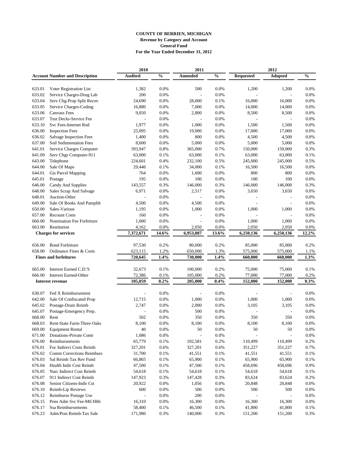|        |                                       | 2010           |               | 2011      |                |                  | 2012                     |               |
|--------|---------------------------------------|----------------|---------------|-----------|----------------|------------------|--------------------------|---------------|
|        | <b>Account Number and Description</b> | <b>Audited</b> | $\frac{0}{0}$ | Amended   | $\mathbf{O}_0$ | <b>Requested</b> | <b>Adopted</b>           | $\frac{0}{0}$ |
|        |                                       |                |               |           |                |                  |                          |               |
| 633.01 | Voter Registration List               | 1,382          | 0.0%          | 500       | 0.0%           | 1,200            | 1,200                    | 0.0%          |
| 633.02 | Service Charges-Drug Lab              | 200            | 0.0%          |           | 0.0%           |                  |                          | 0.0%          |
| 633.04 | Serv Chg-Prop Split Recov             | 24,690         | 0.0%          | 28,000    | 0.1%           | 16,000           | 16,000                   | 0.0%          |
| 633.05 | Service Charges-Coding                | 16,880         | 0.0%          | 7,000     | 0.0%           | 14,000           | 14,000                   | 0.0%          |
| 633.06 | <b>Canvass Fees</b>                   | 9,050          | 0.0%          | 2,800     | 0.0%           | 8,500            | 8,500                    | 0.0%          |
| 633.07 | <b>Test Decks-Service Fee</b>         |                | 0.0%          |           | 0.0%           |                  |                          | 0.0%          |
| 633.10 | Svc Fees-Internet Rod                 | 1,977          | 0.0%          | 1,000     | 0.0%           | 1,500            | 1,500                    | 0.0%          |
| 636.00 | <b>Inspection Fees</b>                | 25,095         | 0.0%          | 19,000    | 0.0%           | 17,000           | 17,000                   | 0.0%          |
| 636.02 | Salvage Inspection Fees               | 1,400          | 0.0%          | 800       | 0.0%           | 4,500            | 4,500                    | 0.0%          |
| 637.00 | <b>Soil Sedimentation Fees</b>        | 8,600          | 0.0%          | 5,000     | 0.0%           | 5,000            | 5,000                    | 0.0%          |
| 641.01 | Service Charges Computer              | 393,947        | 0.8%          | 365,000   | 0.7%           | 150,000          | 150,000                  | 0.3%          |
| 641.09 | Serv Chgs Computer-911                | 63,000         | 0.1%          | 63,000    | 0.1%           | 63,000           | 63,000                   | 0.1%          |
| 643.00 | Telephone                             | 224,601        | 0.4%          | 232,100   | 0.5%           | 245,000          | 245,000                  | 0.5%          |
| 644.00 | Sale Of Maps                          | 29,446         | 0.1%          | 34,000    | 0.1%           | 16,500           | 16,500                   | 0.0%          |
| 644.01 | Gis Parcel Mapping                    | 764            | 0.0%          | 1,600     | 0.0%           | 800              | 800                      | 0.0%          |
| 645.01 | Postage                               | 195            | 0.0%          | 100       | 0.0%           | 100              | 100                      | 0.0%          |
| 646.00 | Candy And Supplies                    | 143,557        | 0.3%          | 146,000   | 0.3%           | 146,000          | 146,000                  | 0.3%          |
| 648.00 | Sales Scrap And Salvage               | 6,971          | 0.0%          | 2,517     | 0.0%           | 3,650            | 3,650                    | 0.0%          |
| 648.01 | Auction-Other                         |                | 0.0%          |           | 0.0%           |                  |                          | 0.0%          |
| 649.00 | Sale Of Books And Pamphlt             | 4,500          | 0.0%          | 4,500     | 0.0%           |                  |                          | 0.0%          |
| 650.00 | Sales-Various                         | 1,195          | 0.0%          | 1,000     | 0.0%           | 1,000            | 1,000                    | 0.0%          |
| 657.00 | <b>Recount Costs</b>                  | 160            | 0.0%          |           | 0.0%           |                  |                          | 0.0%          |
| 660.00 | Nomination Fee Forfeiture             | 1,000          | 0.0%          |           | 0.0%           | 1,000            | 1,000                    | 0.0%          |
| 663.00 | Restitution                           | 4,162          | 0.0%          | 2,050     | 0.0%           | 2,050            | 2,050                    | 0.0%          |
|        | <b>Charges for services</b>           | 7,372,671      | 14.6%         | 6,953,887 | 13.6%          | 6,250,136        | 6,250,136                | 12.2%         |
| 656.00 | <b>Bond Forfeiture</b>                | 97,530         | 0.2%          | 80,000    | 0.2%           | 85,000           | 85,000                   | 0.2%          |
| 658.00 | Ordinance Fines & Costs               | 623,115        | 1.2%          | 650,000   | 1.3%           | 575,000          | 575,000                  | 1.1%          |
|        | <b>Fines and forfeitures</b>          | 720,645        | 1.4%          | 730,000   | 1.4%           | 660,000          | 660,000                  | 1.3%          |
|        |                                       |                |               |           |                |                  |                          |               |
| 665.00 | Interest Earned C.D.'S                | 32,673         | 0.1%          | 100,000   | 0.2%           | 75,000           | 75,000                   | 0.1%          |
| 666.00 | <b>Interest Earned-Other</b>          | 72,386         | 0.1%          | 105,000   | 0.2%           | 77,000           | 77,000                   | 0.2%          |
|        | <b>Interest revenue</b>               | 105,059        | 0.2%          | 205,000   | 0.4%           | 152,000          | 152,000                  | 0.3%          |
| 630.07 | Fed X Reimbursement                   |                | 0.0%          |           | 0.0%           |                  |                          | 0.0%          |
| 642.00 | Sale Of Confiscated Prop              | 12,715         | 0.0%          | 1,000     | 0.0%           | 1,000            | 1,000                    | 0.0%          |
| 645.02 | Postage-Drain Reimb                   | 2,747          | 0.0%          | 2,000     | 0.0%           | 3,105            | 3,105                    | 0.0%          |
| 645.07 | Postage-Emergency Prep.               |                | 0.0%          | 500       | 0.0%           |                  |                          | 0.0%          |
| 668.00 | Rent                                  | 502            | 0.0%          | 350       | 0.0%           | 350              | 350                      | 0.0%          |
| 668.03 | Rent-State Farm-Three Oaks            | 8,100          | $0.0\%$       | 8,100     | $0.0\%$        | 8,100            | 8,100                    | $0.0\%$       |
| 669.00 | <b>Equipment Rental</b>               | 40             | 0.0%          | 50        | 0.0%           | 50               | 50                       | $0.0\%$       |
| 671.00 | Donations-Private Contr               | 1,086          | $0.0\%$       |           | $0.0\%$        | $\overline{a}$   | $\overline{\phantom{a}}$ | $0.0\%$       |
| 676.00 | Reimbursements                        | 65,779         | 0.1%          | 102,581   | 0.2%           | 110,499          | 110,499                  | 0.2%          |
| 676.01 | Foc Indirect Costs Reimb              | 327,201        | 0.6%          | 327,201   | 0.6%           | 351,227          | 351,227                  | 0.7%          |
| 676.02 | Comm Corrections Reimburs             | 31,700         | 0.1%          | 41,551    | 0.1%           | 41,551           | 41,551                   | 0.1%          |
| 676.03 | Sal Reimb Tax Rev Fund                | 66,865         | $0.1\%$       | 65,900    | $0.1\%$        | 65,900           | 65,900                   | $0.1\%$       |
| 676.04 | Health Indir Cost Reimb               | 47,500         | 0.1%          | 47,500    | 0.1%           | 458,696          | 458,696                  | 0.9%          |
| 676.05 | Narc Indirect Cost Reimb              | 54,618         | 0.1%          | 54,618    | 0.1%           | 54,618           | 54,618                   | 0.1%          |
| 676.07 | 911 Indirect Cost Reimb               | 147,923        | 0.3%          | 147,428   | 0.3%           | 83,624           | 83,624                   | 0.2%          |
| 676.08 | Senior Citizens-Indir Cst             | 20,922         | $0.0\%$       | 1,056     | 0.0%           | 20,848           | 20,848                   | $0.0\%$       |
| 676.10 | Reimb-Lip Reviews                     | 600            | 0.0%          | 500       | 0.0%           | 500              | 500                      | $0.0\%$       |
| 676.12 | Reimburse Postage Use                 |                | 0.0%          | 200       | $0.0\%$        |                  |                          | $0.0\%$       |
| 676.15 | Pens Adm Svc Fee-Mtl Hlth             | 16,310         | $0.0\%$       | 16,300    | $0.0\%$        | 16,300           | 16,300                   | $0.0\%$       |
| 676.17 | Ssa Reimbursements                    | 58,400         | 0.1%          | 46,500    | 0.1%           | 41,800           | 41,800                   | 0.1%          |
| 676.23 | Adm/Post Reimb-Tax Sale               | 171,980        | 0.3%          | 140,000   | 0.3%           | 151,200          | 151,200                  | 0.3%          |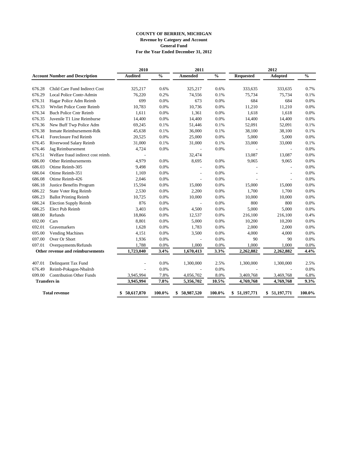|        |                                       | 2010             |               | 2011                     |               |                  | 2012             |               |
|--------|---------------------------------------|------------------|---------------|--------------------------|---------------|------------------|------------------|---------------|
|        | <b>Account Number and Description</b> | <b>Audited</b>   | $\frac{0}{0}$ | Amended                  | $\frac{0}{0}$ | <b>Requested</b> | Adopted          | $\frac{0}{0}$ |
|        |                                       |                  |               |                          |               |                  |                  |               |
| 676.28 | Child Care Fund Indirect Cost         | 325,217          | 0.6%          | 325,217                  | 0.6%          | 333,635          | 333,635          | 0.7%          |
| 676.29 | Local Police Contr-Admin              | 76,220           | 0.2%          | 74,556                   | 0.1%          | 75,734           | 75,734           | 0.1%          |
| 676.31 | Hagar Police Adm Reimb                | 699              | 0.0%          | 673                      | 0.0%          | 684              | 684              | 0.0%          |
| 676.33 | Wtvliet Police Contr Reimb            | 10,783           | 0.0%          | 10,736                   | 0.0%          | 11,210           | 11,210           | 0.0%          |
| 676.34 | <b>Buch Police Cntr Reimb</b>         | 1,611            | 0.0%          | 1,361                    | 0.0%          | 1,618            | 1,618            | 0.0%          |
| 676.35 | Juvenile T1 Line Reimburse            | 14,400           | 0.0%          | 14,400                   | 0.0%          | 14,400           | 14,400           | 0.0%          |
| 676.36 | New Buff Twp Police Adm               | 69,245           | 0.1%          | 51,446                   | 0.1%          | 52,091           | 52,091           | 0.1%          |
| 676.38 | Inmate Reimbursement-Rdk              | 45,638           | 0.1%          | 36,000                   | 0.1%          | 38,100           | 38,100           | 0.1%          |
| 676.41 | Foreclosure Fnd Reimb                 | 20,525           | 0.0%          | 25,000                   | 0.0%          | 5,000            | 5,000            | 0.0%          |
| 676.45 | Riverwood Salary Reimb                | 31,000           | 0.1%          | 31,000                   | 0.1%          | 33,000           | 33,000           | 0.1%          |
| 676.46 | Jag Reimbursement                     | 4,724            | 0.0%          | $\overline{\phantom{a}}$ | 0.0%          | L,               | L,               | 0.0%          |
| 676.51 | Welfare fraud indirect cost reimb.    |                  |               | 32,474                   |               | 13,087           | 13,087           | 0.0%          |
| 686.00 | <b>Other Reimbursements</b>           | 4,979            | 0.0%          | 8,695                    | 0.0%          | 9,065            | 9,065            | 0.0%          |
| 686.03 | Otime Reimb-305                       | 9,498            | 0.0%          | $\overline{a}$           | 0.0%          |                  | $\overline{a}$   | 0.0%          |
| 686.04 | Otime Reimb-351                       | 1,169            | 0.0%          |                          | 0.0%          |                  |                  | 0.0%          |
| 686.08 | Otime Reimb-426                       | 2,046            | 0.0%          |                          | 0.0%          |                  |                  | 0.0%          |
| 686.18 | Justice Benefits Program              | 15,594           | 0.0%          | 15,000                   | 0.0%          | 15,000           | 15,000           | 0.0%          |
| 686.22 | State Voter Reg Reimb                 | 2,530            | 0.0%          | 2,200                    | 0.0%          | 1,700            | 1,700            | 0.0%          |
| 686.23 | <b>Ballot Printing Reimb</b>          | 10,725           | 0.0%          | 10,000                   | 0.0%          | 10,000           | 10,000           | 0.0%          |
| 686.24 | <b>Election Supply Reimb</b>          | 876              | 0.0%          | $\overline{\phantom{a}}$ | 0.0%          | 800              | 800              | 0.0%          |
| 686.25 | Elect Pub Reimb                       | 3,403            | 0.0%          | 4,500                    | 0.0%          | 5,000            | 5,000            | 0.0%          |
| 688.00 | Refunds                               | 18,866           | 0.0%          | 12,537                   | 0.0%          | 216,100          | 216,100          | 0.4%          |
| 692.00 | Cars                                  | 8,801            | 0.0%          | 5,000                    | 0.0%          | 10,200           | 10,200           | 0.0%          |
| 692.01 | Gravemarkers                          | 1,628            | 0.0%          | 1,783                    | 0.0%          | 2,000            | 2,000            | 0.0%          |
| 695.00 | <b>Vending Machines</b>               | 4,151            | 0.0%          | 3,500                    | 0.0%          | 4,000            | 4,000            | 0.0%          |
| 697.00 | Over Or Short                         | 1,936            | 0.0%          | L,                       | 0.0%          | 90               | 90               | 0.0%          |
| 697.01 | Overpayments/Refunds                  | 1,788            | 0.0%          | 1,000                    | 0.0%          | 1,000            | 1,000            | 0.0%          |
|        | Other revenue and reimbursements      | 1,723,040        | 3.4%          | 1,670,413                | 3.3%          | 2,262,882        | 2,262,882        | 4.4%          |
| 407.01 | Delinquent Tax Fund                   |                  | 0.0%          | 1,300,000                | 2.5%          | 1,300,000        | 1,300,000        | 2.5%          |
| 676.49 | Reimb-Pokagon-Nbalrsb                 |                  | 0.0%          |                          | 0.0%          |                  |                  | 0.0%          |
| 699.00 | <b>Contribution Other Funds</b>       | 3,945,994        | 7.8%          | 4,056,702                | 8.0%          | 3,469,768        | 3,469,768        | 6.8%          |
|        | <b>Transfers</b> in                   | 3,945,994        | 7.8%          | 5,356,702                | 10.5%         | 4,769,768        | 4,769,768        | 9.3%          |
|        |                                       |                  |               |                          |               |                  |                  |               |
|        | <b>Total revenue</b>                  | 50,617,870<br>\$ | 100.0%        | 50,987,520<br>\$         | 100.0%        | \$51,197,771     | 51,197,771<br>S. | 100.0%        |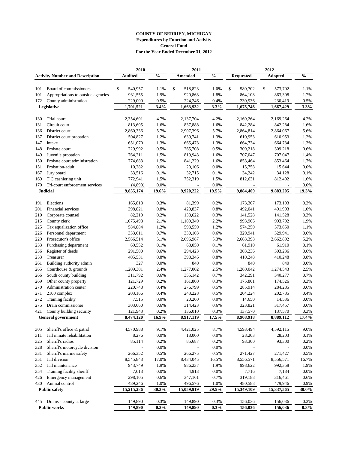## **COUNTY OF BERRIEN, MICHIGAN Expenditures by Function and Activity General Fund For the Year Ended December 31, 2012**

|     |                                        | 2010           |               | 2011                     |               |                          | 2012           |               |
|-----|----------------------------------------|----------------|---------------|--------------------------|---------------|--------------------------|----------------|---------------|
|     | <b>Activity Number and Description</b> | <b>Audited</b> | $\frac{0}{0}$ | <b>Amended</b>           | $\frac{0}{0}$ | <b>Requested</b>         | <b>Adopted</b> | $\frac{0}{0}$ |
|     |                                        |                |               |                          |               |                          |                |               |
| 101 | Board of commissioners                 | \$<br>540,957  | 1.1%          | \$<br>518,823            | 1.0%          | \$<br>580,702            | \$<br>573,702  | 1.1%          |
| 101 | Appropriations to outside agencies     | 931,555        | 1.9%          | 920,863                  | 1.8%          | 864,108                  | 863,308        | 1.7%          |
| 172 | County administration                  | 229,009        | 0.5%          | 224,246                  | 0.4%          | 230,936                  | 230,419        | 0.5%          |
|     | Legislative                            | 1,701,521      | 3.4%          | 1,663,932                | 3.3%          | 1,675,746                | 1,667,429      | 3.3%          |
| 130 | Trial court                            | 2,354,601      | 4.7%          | 2,137,704                | 4.2%          | 2,169,264                | 2,169,264      | 4.2%          |
| 131 | Circuit court                          | 813,605        | 1.6%          | 837,888                  | 1.6%          | 842,284                  | 842,284        | 1.6%          |
| 136 | District court                         | 2,860,336      | 5.7%          | 2,907,396                | 5.7%          | 2,864,814                | 2,864,067      | 5.6%          |
| 137 | District court probation               | 594,827        | 1.2%          | 639,741                  | 1.3%          | 610,953                  | 610,953        | 1.2%          |
| 147 | Intake                                 | 651,070        | 1.3%          | 665,473                  | 1.3%          | 664,734                  | 664,734        | 1.3%          |
| 148 | Probate court                          | 229,992        | 0.5%          | 265,708                  | 0.5%          | 309,218                  | 309,218        | 0.6%          |
| 149 | Juvenile probation                     | 764,211        | 1.5%          | 819,943                  | 1.6%          | 707,047                  | 707,047        | 1.4%          |
| 150 | Probate court administration           | 774,683        | 1.5%          | 841,229                  | 1.6%          | 853,464                  | 853,464        | 1.7%          |
| 151 | Probation-adult                        | 10,282         | 0.0%          | 20,106                   | 0.0%          | 15,758                   | 15,644         | 0.0%          |
| 167 | Jury board                             | 33,516         | 0.1%          | 32,715                   | 0.1%          | 34,242                   | 34,128         | 0.1%          |
| 169 | T C cashiering unit                    | 772,941        | 1.5%          | 752,319                  | 1.5%          | 812,631                  | 812,402        | 1.6%          |
| 170 | Tri-court enforcement services         | (4,890)        | 0.0%          | $\overline{\phantom{a}}$ | 0.0%          | $\overline{\phantom{a}}$ |                | 0.0%          |
|     | <b>Judicial</b>                        | 9,855,174      | 19.6%         | 9,920,222                | 19.5%         | 9,884,409                | 9,883,205      | 19.3%         |
|     |                                        |                |               |                          |               |                          |                |               |
| 191 | Elections                              | 165,818        | 0.3%          | 81,399                   | 0.2%          | 173,307                  | 173,193        | 0.3%          |
| 201 | Financial services                     | 398,821        | 0.8%          | 420,837                  | 0.8%          | 492,041                  | 491,903        | 1.0%          |
| 210 | Corporate counsel                      | 82,210         | 0.2%          | 138,622                  | 0.3%          | 141,528                  | 141,528        | 0.3%          |
| 215 | County clerk                           | 1,075,498      | 2.1%          | 1,109,349                | 2.2%          | 993,906                  | 993,792        | 1.9%          |
| 225 | Tax equalization office                | 584,884        | 1.2%          | 593,559                  | 1.2%          | 574,250                  | 573,650        | 1.1%          |
| 226 | Personnel department                   | 333,611        | 0.7%          | 330,103                  | 0.6%          | 329,941                  | 329,941        | 0.6%          |
| 229 | Prosecutor's office                    | 2,566,514      | 5.1%          | 2,696,987                | 5.3%          | 2,663,398                | 2,662,892      | 5.2%          |
| 233 | Purchasing department                  | 69,552         | 0.1%          | 68,050                   | 0.1%          | 61,910                   | 61,910         | 0.1%          |
| 236 | Register of deeds                      | 291,500        | 0.6%          | 294,423                  | 0.6%          | 303,236                  | 303,236        | 0.6%          |
| 253 | Treasurer                              | 405,531        | 0.8%          | 398,346                  | 0.8%          | 410,248                  | 410,248        | 0.8%          |
| 261 | Building authority admin               | 327            | 0.0%          | 840                      | 0.0%          | 840                      | 840            | 0.0%          |
| 265 | Courthouse & grounds                   | 1,209,301      | 2.4%          | 1,277,002                | 2.5%          | 1,280,042                | 1,274,543      | 2.5%          |
| 266 | South county building                  | 311,792        | 0.6%          | 355,142                  | 0.7%          | 342,291                  | 340,277        | 0.7%          |
| 269 | Other county property                  | 121,729        | 0.2%          | 161,800                  | 0.3%          | 175,801                  | 174,526        | 0.3%          |
| 270 | Administration center                  | 220,748        | 0.4%          | 276,799                  | 0.5%          | 285,914                  | 284,285        | 0.6%          |
| 271 | 2100 complex                           | 203,166        | 0.4%          | 243,228                  | 0.5%          | 204,224                  | 202,785        | 0.4%          |
| 272 | <b>Training facility</b>               | 7,515          | 0.0%          | 20,200                   | 0.0%          | 14,650                   | 14,536         | 0.0%          |
| 275 | Drain commissioner                     | 303,660        | 0.6%          | 314,423                  | 0.6%          | 323,821                  | 317,457        | 0.6%          |
| 421 | County building security               | 121,943        | 0.2%          | 136,010                  | 0.3%          | 137,570                  | 137,570        | 0.3%          |
|     | <b>General government</b>              | 8,474,120      | 16.9%         | 8,917,119                | 17.5%         | 8,908,918                | 8,889,112      | 17.4%         |
| 305 | Sheriff's office & patrol              | 4,570,988      | 9.1%          | 4,421,025                | 8.7%          | 4,593,494                | 4,592,115      | 9.0%          |
| 311 | Jail inmate rehabilitation             | 8,276          | $0.0\%$       | 18,000                   | 0.0%          | 28,203                   | 28,203         | 0.1%          |
| 325 | Sheriff's radios                       | 85,114         | 0.2%          | 85,687                   | 0.2%          | 93,300                   | 93,300         | 0.2%          |
| 328 | Sheriff's motorcycle division          |                | 0.0%          |                          | 0.0%          |                          |                | $0.0\%$       |
| 331 | Sheriff's marine safety                | 266,352        | 0.5%          | 266,275                  | 0.5%          | 271,427                  | 271,427        | 0.5%          |
| 351 | Jail division                          | 8,545,843      | 17.0%         | 8,434,045                | 16.5%         | 8,556,571                | 8,556,571      | 16.7%         |
| 352 | Jail maintenance                       | 943,749        | 1.9%          | 986,237                  | 1.9%          | 998,622                  | 992,358        | 1.9%          |
| 354 | Training facility sheriff              | 7,613          | 0.0%          | 4,913                    | 0.0%          | 7,716                    | 7,184          | 0.0%          |
| 426 | Emergency management                   | 298,105        | 0.6%          | 347,161                  | 0.7%          | 319,188                  | 316,461        | 0.6%          |
| 430 | Animal control                         | 489,246        | 1.0%          | 496,576                  | 1.0%          | 480,588                  | 479,946        | 0.9%          |
|     | <b>Public safety</b>                   | 15,215,286     | 30.3%         | 15,059,919               | 29.5%         | 15,349,109               | 15,337,565     | $30.0\%$      |
|     |                                        |                |               |                          |               |                          |                |               |
| 445 | Drains - county at large               | 149,890        | 0.3%          | 149,890                  | 0.3%          | 156,036                  | 156,036        | 0.3%          |
|     | <b>Public works</b>                    | 149,890        | 0.3%          | 149,890                  | 0.3%          | 156,036                  | 156,036        | 0.3%          |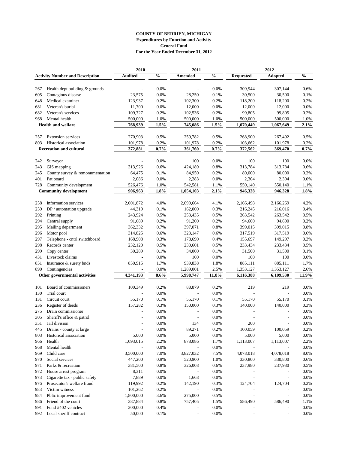## **COUNTY OF BERRIEN, MICHIGAN Expenditures by Function and Activity General Fund For the Year Ended December 31, 2012**

|            |                                                    | 2010               |               | 2011                     |               |                  | 2012                     |               |
|------------|----------------------------------------------------|--------------------|---------------|--------------------------|---------------|------------------|--------------------------|---------------|
|            | <b>Activity Number and Description</b>             | <b>Audited</b>     | $\frac{0}{0}$ | Amended                  | $\frac{0}{0}$ | <b>Requested</b> | <b>Adopted</b>           | $\frac{0}{0}$ |
| 267        | Health dept building & grounds                     |                    | 0.0%          |                          | 0.0%          | 309,944          | 307,144                  | 0.6%          |
| 605        | Contagious disease                                 | 23,575             | 0.0%          | 28,250                   | 0.1%          | 30,500           | 30,500                   | 0.1%          |
| 648        | Medical examiner                                   | 123,937            | 0.2%          | 102,300                  | 0.2%          | 118,200          | 118,200                  | 0.2%          |
|            |                                                    |                    | 0.0%          |                          | 0.0%          |                  |                          | 0.0%          |
| 681        | Veteran's burial                                   | 11,700             |               | 12,000                   |               | 12,000           | 12,000                   |               |
| 682<br>968 | Veteran's services                                 | 109,727            | 0.2%          | 102,536                  | 0.2%          | 99,805           | 99,805                   | 0.2%          |
|            | Mental health                                      | 500,000            | 1.0%          | 500,000                  | $1.0\%$       | 500,000          | 500,000                  | 1.0%          |
|            | <b>Health and welfare</b>                          | 768,939            | 1.5%          | 745,086                  | 1.5%          | 1,070,449        | 1,067,649                | 2.1%          |
| 257        | <b>Extension services</b>                          | 270,903            | 0.5%          | 259,782                  | 0.5%          | 268,900          | 267,492                  | 0.5%          |
| 803        | Historical association                             | 101,978            | 0.2%          | 101,978                  | 0.2%          | 103,662          | 101,978                  | 0.2%          |
|            | <b>Recreation and cultural</b>                     | 372,881            | 0.7%          | 361,760                  | $0.7\%$       | 372,562          | 369,470                  | 0.7%          |
| 242        | Surveyor                                           |                    | 0.0%          | 100                      | 0.0%          | 100              | 100                      | 0.0%          |
| 243        | GIS mapping                                        | 313,926            | 0.6%          | 424,189                  | 0.8%          | 313,784          | 313,784                  | 0.6%          |
| 245        | County survey & remonumentation                    | 64,475             | 0.1%          | 84,950                   | 0.2%          | 80,000           | 80,000                   | 0.2%          |
| 401        | Pat board                                          | 2,086              | 0.0%          | 2,283                    | 0.0%          | 2,304            | 2,304                    | 0.0%          |
| 728        |                                                    |                    |               |                          |               |                  |                          |               |
|            | Community development                              | 526,476<br>906,963 | 1.0%<br>1.8%  | 542,581                  | 1.1%<br>2.1%  | 550,140          | 550,140                  | 1.1%<br>1.8%  |
|            | <b>Community development</b>                       |                    |               | 1,054,103                |               | 946,328          | 946,328                  |               |
| 258        | Information services                               | 2,001,872          | 4.0%          | 2,099,664                | 4.1%          | 2,166,498        | 2,166,269                | 4.2%          |
| 259        | DP / automation upgrade                            | 44,319             | 0.1%          | 162,000                  | 0.3%          | 216,245          | 216,016                  | 0.4%          |
| 292        | Printing                                           | 243,924            | 0.5%          | 253,435                  | 0.5%          | 263,542          | 263,542                  | 0.5%          |
| 294        | Central supply                                     | 91,689             | 0.2%          | 91,200                   | 0.2%          | 94,600           | 94,600                   | 0.2%          |
| 295        | Mailing department                                 | 362,332            | 0.7%          | 397,071                  | 0.8%          | 399,015          | 399,015                  | 0.8%          |
| 296        | Motor pool                                         | 314,825            | 0.6%          | 323,147                  | 0.6%          | 317,519          | 317,519                  | 0.6%          |
| 297        | Telephone - cntrl switchboard                      | 168,908            | 0.3%          | 178,690                  | 0.4%          | 155,697          | 149,297                  | 0.3%          |
| 298        | Records center                                     | 232,120            | 0.5%          | 230,601                  | 0.5%          | 233,434          | 233,434                  | 0.5%          |
| 299        | Copy center                                        | 30,289             | 0.1%          | 34,000                   | 0.1%          | 31,500           | 31,500                   | 0.1%          |
| 431        | Livestock claims                                   |                    | 0.0%          | 100                      | 0.0%          | 100              | 100                      | 0.0%          |
| 851        | Insurance & surety bnds                            | 850,915            | 1.7%          | 939,838                  | 1.8%          | 885,111          | 885,111                  | 1.7%          |
| 890        | Contingencies                                      |                    | 0.0%          | 1,289,001                | 2.5%          | 1,353,127        | 1,353,127                | 2.6%          |
|            | Other governmental activities                      | 4,341,193          | 8.6%          | 5,998,747                | 11.8%         | 6,116,388        | 6,109,530                | 11.9%         |
| 101        | Board of commissioners                             | 100,349            | 0.2%          | 88,879                   | 0.2%          | 219              | 219                      | 0.0%          |
| 130        | Trial court                                        |                    | 0.0%          |                          | 0.0%          |                  |                          | 0.0%          |
| 131        | Circuit court                                      | 55,170             | 0.1%          | 55,170                   | 0.1%          | 55,170           | 55,170                   | 0.1%          |
| 236        | Register of deeds                                  | 157,282            | 0.3%          | 150,000                  | 0.3%          | 140,000          | 140,000                  | 0.3%          |
| 275        | Drain commissioner                                 |                    | $0.0\%$       |                          | 0.0%          |                  |                          | 0.0%          |
| 305        | Sheriff's office & patrol                          |                    | $0.0\%$       |                          | 0.0%          |                  |                          | 0.0%          |
| 351        | Jail division                                      |                    | $0.0\%$       | 134                      | $0.0\%$       | 200              |                          | 0.0%          |
| 445        |                                                    | L,                 | $0.0\%$       | 89,271                   | 0.2%          | 100,059          | 100,059                  | 0.2%          |
| 803        | Drains - county at large<br>Historical association | 5,000              | 0.0%          | 5,000                    | 0.0%          | 5,000            | 5,000                    | $0.0\%$       |
|            |                                                    |                    |               |                          |               |                  |                          |               |
| 966        | Health<br>Mental health                            | 1,093,015          | 2.2%<br>0.0%  | 878,086                  | 1.7%<br>0.0%  | 1,113,007        | 1,113,007                | 2.2%<br>0.0%  |
| 968<br>969 | Child care                                         | 3,500,000          | 7.0%          | 3,827,032                | 7.5%          | 4,078,018        | 4,078,018                | 8.0%          |
|            |                                                    | 447,200            |               | 520,900                  |               |                  |                          |               |
| 970        | Social services                                    |                    | 0.9%          |                          | 1.0%          | 330,800          | 330,800                  | 0.6%          |
| 971        | Parks & recreation                                 | 381,500            | 0.8%          | 326,008                  | 0.6%          | 237,980          | 237,980                  | 0.5%          |
| 972        | House arrest program                               | 8,311              | 0.0%          |                          | 0.0%          |                  |                          | 0.0%          |
| 973        | Cigarette tax - public safety                      | 7,889              | 0.0%          | 1,668                    | 0.0%          |                  | $\overline{a}$           | 0.0%          |
| 976        | Prosecutor's welfare fraud                         | 119,992            | 0.2%          | 142,190                  | 0.3%          | 124,704          | 124,704                  | 0.2%          |
| 983        | Victim witness                                     | 101,262            | 0.2%          |                          | 0.0%          |                  |                          | 0.0%          |
| 984        | Pblic improvement fund                             | 1,800,000          | 3.6%          | 275,000                  | 0.5%          |                  |                          | 0.0%          |
| 986        | Friend of the court                                | 387,884            | $0.8\%$       | 757,405                  | 1.5%          | 586,490          | 586,490                  | 1.1%          |
| 991        | Fund #402 vehicles                                 | 200,000            | 0.4%          |                          | $0.0\%$       |                  |                          | $0.0\%$       |
| 992        | Local sheriff contract                             | 50,000             | 0.1%          | $\overline{\phantom{m}}$ | 0.0%          |                  | $\overline{\phantom{a}}$ | 0.0%          |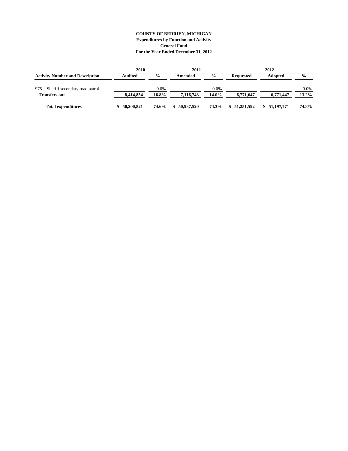## **COUNTY OF BERRIEN, MICHIGAN Expenditures by Function and Activity General Fund For the Year Ended December 31, 2012**

| 2010           |               | 2011       |               |                  | 2012           |               |
|----------------|---------------|------------|---------------|------------------|----------------|---------------|
| <b>Audited</b> | $\frac{0}{0}$ | Amended    | $\frac{0}{0}$ | <b>Requested</b> | <b>Adopted</b> | $\frac{0}{0}$ |
|                | 0.0%          | -          | 0.0%          |                  | -              | $0.0\%$       |
| 8.414.854      | 16.8%         | 7.116.743  | 14.0%         | 6,771,647        | 6,771,447      | $13.2\%$      |
| \$50,200.821   | 74.6%         | 50,987,520 | 74.3%         | 51,251,592<br>S. | \$51.197.771   | 74.8%         |
|                |               |            |               |                  |                |               |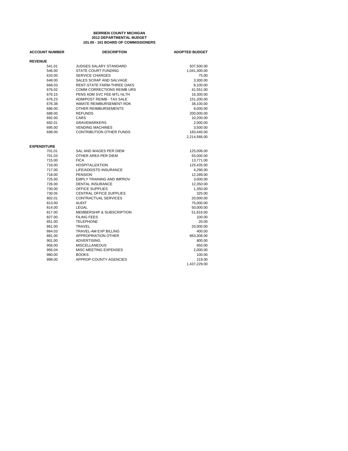#### **BERRIEN COUNTY MICHIGAN 2012 DEPARTMENTAL BUDGET 101.00 - 101 BOARD OF COMMISSIONERS**

| <b>ACCOUNT NUMBER</b> | <b>DESCRIPTION</b>               | <b>ADOPTED BUDGET</b> |
|-----------------------|----------------------------------|-----------------------|
| <b>REVENUE</b>        |                                  |                       |
| 541.01                | <b>JUDGES SALARY STANDARD</b>    | 507,500.00            |
| 546.00                | <b>STATE COURT FUNDING</b>       | 1,041,300.00          |
| 633.00                | <b>SERVICE CHARGES</b>           | 75.00                 |
| 648.00                | SALES SCRAP AND SALVAGE          | 3,300.00              |
| 668.03                | RENT-STATE FARM-THREE OAKS       | 8,100.00              |
| 676.02                | COMM CORRECTIONS REIMB URS       | 41,551.00             |
| 676.15                | PENS ADM SVC FEE-MTL HLTH        | 16,300.00             |
| 676.23                | ADM/POST REIMB - TAX SALE        | 151,200.00            |
| 676.38                | <b>INMATE REIMBURSEMENT-RDK</b>  | 38,100.00             |
| 686.00                | OTHER REIMBURSEMENTS             | 8,000.00              |
| 688.00                | <b>REFUNDS</b>                   | 200,000.00            |
| 692.00                | CARS                             | 10,200.00             |
| 692.01                | <b>GRAVEMARKERS</b>              | 2,000.00              |
| 695.00                | <b>VENDING MACHINES</b>          | 3,500.00              |
| 699.00                | <b>CONTRIBUTION OTHER FUNDS</b>  | 183,440.00            |
|                       |                                  | 2,214,566.00          |
| <b>EXPENDITURE</b>    |                                  |                       |
| 701.01                | SAL AND WAGES PER DIEM           | 125,006.00            |
| 701.03                | OTHER AREA PER DIEM              | 55,000.00             |
| 715.00                | <b>FICA</b>                      | 13,771.00             |
| 716.00                | <b>HOSPITALIZATION</b>           | 125,435.00            |
| 717.00                | LIFE/ADD/STD INSURANCE           | 4,290.00              |
| 718.00                | <b>PENSION</b>                   | 12,289.00             |
| 725.00                | <b>EMPLY TRAINING AND IMPROV</b> | 3,000.00              |
| 726.00                | <b>DENTAL INSURANCE</b>          | 12,350.00             |
| 730.00                | <b>OFFICE SUPPLIES</b>           | 1,350.00              |
| 730.05                | <b>CENTRAL OFFICE SUPPLIES</b>   | 325.00                |
| 802.01                | <b>CONTRACTUAL SERVICES</b>      | 20,000.00             |
| 813.00                | <b>AUDIT</b>                     | 75,000.00             |
| 814.00                | LEGAL                            | 50,000.00             |
| 817.00                | MEMBERSHIP & SUBSCRIPTION        | 51,816.00             |
| 827.00                | <b>FILING FEES</b>               | 100.00                |
| 851.00                | <b>TELEPHONE</b>                 | 20.00                 |
| 861.00                | <b>TRAVEL</b>                    | 20,000.00             |
| 864.03                | TRAVEL-AM EXP BILLING            | 400.00                |
| 881.00                | <b>APPROPRIATION OTHER</b>       | 863,308.00            |
| 901.00                | <b>ADVERTISING</b>               | 800.00                |
| 956.00                | <b>MISCELLANEOUS</b>             | 650.00                |
| 956.04                | MISC-MEETING EXPENSES            | 2,000.00              |
| 980.00                | <b>BOOKS</b>                     | 100.00                |
| 999.00                | APPROP-COUNTY AGENCIES           | 219.00                |
|                       |                                  | 1,437,229.00          |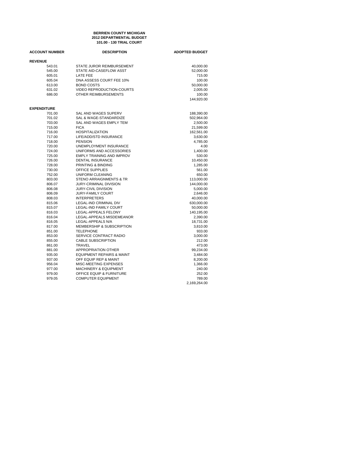#### **BERRIEN COUNTY MICHIGAN 2012 DEPARTMENTAL BUDGET 101.00 - 130 TRIAL COURT**

| <b>ACCOUNT NUMBER</b> | <b>DESCRIPTION</b>                   | <b>ADOPTED BUDGET</b> |  |  |
|-----------------------|--------------------------------------|-----------------------|--|--|
| <b>REVENUE</b>        |                                      |                       |  |  |
| 543.01                | STATE JUROR REIMBURSEMENT            | 40,000.00             |  |  |
| 545.00                | STATE AID-CASEFLOW ASST              | 52,000.00             |  |  |
| 605.01                | <b>LATE FEE</b>                      | 715.00                |  |  |
| 605.04                | DNA ASSESS COURT FEE 10%             | 100.00                |  |  |
| 613.00                | <b>BOND COSTS</b>                    | 50,000.00             |  |  |
| 631.02                | <b>VIDEO REPRODUCTION-COURTS</b>     | 2,005.00              |  |  |
| 686.00                | OTHER REIMBURSEMENTS                 | 100.00                |  |  |
|                       |                                      | 144,920.00            |  |  |
| <b>EXPENDITURE</b>    |                                      |                       |  |  |
| 701.00                | SAL AND WAGES SUPERV                 | 188,390.00            |  |  |
| 701.02                | SAL & WAGE-STANDARDIZE               | 502,964.00            |  |  |
| 703.00                | SAL AND WAGES EMPLY TEM              | 2,500.00              |  |  |
| 715.00                | <b>FICA</b>                          | 21,599.00             |  |  |
| 716.00                | <b>HOSPITALIZATION</b>               | 162,561.00            |  |  |
| 717.00                | LIFE/ADD/STD INSURANCE               | 3,630.00              |  |  |
| 718.00                | <b>PENSION</b>                       | 4,785.00              |  |  |
| 720.00                | UNEMPLOYMENT INSURANCE               | 4.00                  |  |  |
| 724.00                | UNIFORMS AND ACCESSORIES             | 1,400.00              |  |  |
| 725.00                | EMPLY TRAINING AND IMPROV            | 530.00                |  |  |
| 726.00                | <b>DENTAL INSURANCE</b>              | 10,450.00             |  |  |
| 728.00                | PRINTING & BINDING                   | 1,285.00              |  |  |
| 730.00                | <b>OFFICE SUPPLIES</b>               | 561.00                |  |  |
| 752.00                | UNIFORM CLEANING                     | 650.00                |  |  |
| 803.00                | STENO ARRAIGNMENTS & TR              | 113,000.00            |  |  |
| 806.07                | <b>JURY-CRIMINAL DIVISION</b>        | 144,000.00            |  |  |
| 806.08                | <b>JURY-CIVIL DIVISION</b>           | 5,000.00              |  |  |
| 806.09                | <b>JURY-FAMILY COURT</b>             | 2,646.00              |  |  |
| 808.03                | <b>INTERPRETERS</b>                  | 40,000.00             |  |  |
| 815.06                | LEGAL-IND CRIMINAL DIV               | 630,000.00            |  |  |
| 815.07                | <b>LEGAL-IND FAMILY COURT</b>        | 50,000.00             |  |  |
| 816.03                | LEGAL-APPEALS FELONY                 | 140,195.00            |  |  |
| 816.04                | LEGAL-APPEALS MISDEMEANOR            | 2,390.00              |  |  |
| 816.05                | LEGAL-APPEALS N/A                    | 18,731.00             |  |  |
| 817.00                | MEMBERSHIP & SUBSCRIPTION            | 3,810.00              |  |  |
| 851.00                | <b>TELEPHONE</b>                     | 933.00                |  |  |
| 853.00                | SERVICE CONTRACT RADIO               | 3,000.00              |  |  |
| 855.00                | <b>CABLE SUBSCRIPTION</b>            | 212.00                |  |  |
| 861.00                | <b>TRAVEL</b>                        | 473.00                |  |  |
| 881.00                | APPROPRIATION OTHER                  | 99,234.00             |  |  |
| 935.00                | <b>EQUIPMENT REPAIRS &amp; MAINT</b> | 3,484.00              |  |  |
| 937.00                | OFF EQUIP REP & MAINT                | 8,200.00              |  |  |
| 956.04                | MISC-MEETING EXPENSES                | 1,366.00              |  |  |
| 977.00                | <b>MACHINERY &amp; EQUIPMENT</b>     | 240.00                |  |  |
| 979.00                | OFFICE EQUIP & FURNITURE             | 252.00                |  |  |
| 979.05                | <b>COMPUTER EQUIPMENT</b>            | 789.00                |  |  |
|                       |                                      | 2,169,264.00          |  |  |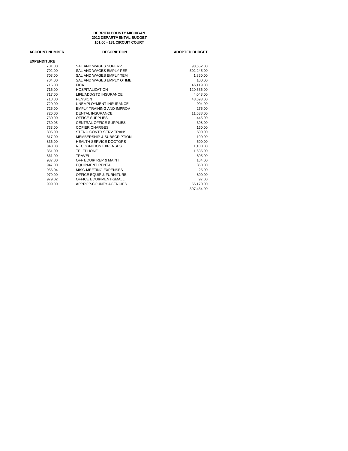#### **BERRIEN COUNTY MICHIGAN 2012 DEPARTMENTAL BUDGET 101.00 - 131 CIRCUIT COURT**

| <b>ACCOUNT NUMBER</b> | <b>DESCRIPTION</b>                   | <b>ADOPTED BUDGET</b> |
|-----------------------|--------------------------------------|-----------------------|
| <b>EXPENDITURE</b>    |                                      |                       |
| 701.00                | SAL AND WAGES SUPERV                 | 98,652.00             |
| 702.00                | SAL AND WAGES EMPLY PER              | 502,245.00            |
| 703.00                | SAL AND WAGES EMPLY TEM              | 1,850.00              |
| 704.00                | SAL AND WAGES EMPLY OTIME            | 100.00                |
| 715.00                | <b>FICA</b>                          | 46,119.00             |
| 716.00                | <b>HOSPITALIZATION</b>               | 120,536.00            |
| 717.00                | LIFE/ADD/STD INSURANCE               | 4,043.00              |
| 718.00                | <b>PENSION</b>                       | 48,693.00             |
| 720.00                | UNEMPLOYMENT INSURANCE               | 904.00                |
| 725.00                | <b>EMPLY TRAINING AND IMPROV</b>     | 275.00                |
| 726.00                | <b>DENTAL INSURANCE</b>              | 11.638.00             |
| 730.00                | <b>OFFICE SUPPLIES</b>               | 445.00                |
| 730.05                | CENTRAL OFFICE SUPPLIES              | 398.00                |
| 733.00                | <b>COPIER CHARGES</b>                | 160.00                |
| 805.00                | STENO CONTR SERV TRANS               | 500.00                |
| 817.00                | <b>MEMBERSHIP &amp; SUBSCRIPTION</b> | 190.00                |
| 836.00                | <b>HEALTH SERVICE DOCTORS</b>        | 500.00                |
| 848.08                | <b>RECOGNITION EXPENSES</b>          | 1,100.00              |
| 851.00                | <b>TELEPHONE</b>                     | 1,685.00              |
| 861.00                | TRAVEL                               | 805.00                |
| 937.00                | OFF EQUIP REP & MAINT                | 164.00                |
| 947.00                | <b>EQUIPMENT RENTAL</b>              | 360.00                |
| 956.04                | MISC-MEETING EXPENSES                | 25.00                 |
| 979.00                | <b>OFFICE EQUIP &amp; FURNITURE</b>  | 800.00                |
| 979.02                | OFFICE EQUIPMENT-SMALL               | 97.00                 |
| 999.00                | APPROP-COUNTY AGENCIES               | 55,170.00             |
|                       |                                      | 897.454.00            |
|                       |                                      |                       |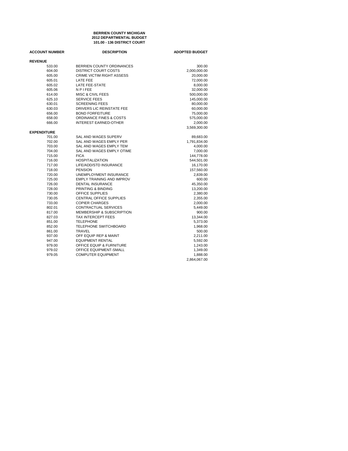#### **101.00 - 136 DISTRICT COURT 2012 DEPARTMENTAL BUDGET BERRIEN COUNTY MICHIGAN**

| <b>ACCOUNT NUMBER</b>        | <b>DESCRIPTION</b>               | <b>ADOPTED BUDGET</b> |
|------------------------------|----------------------------------|-----------------------|
| <b>REVENUE</b>               |                                  |                       |
| 533.00                       | BERRIEN COUNTY ORDINANCES        | 300.00                |
| 604.00                       | <b>DISTRICT COURT COSTS</b>      | 2,000,000.00          |
| 605.00                       | CRIME VICTIM RIGHT ASSESS        | 20,000.00             |
| 605.01                       | <b>LATE FEE</b>                  | 72,000.00             |
| 605.02                       | LATE FEE-STATE                   | 8,000.00              |
| 605.06                       | <b>NPIFEE</b>                    | 32,000.00             |
| 614.00                       | <b>MISC &amp; CIVIL FEES</b>     | 500,000.00            |
| 625.10                       | <b>SERVICE FEES</b>              | 145,000.00            |
| 630.01                       | <b>SCREENING FEES</b>            | 80,000.00             |
| 630.03                       | DRIVERS LIC REINSTATE FEE        | 60,000.00             |
| 656.00                       | <b>BOND FORFEITURE</b>           | 75,000.00             |
| 658.00                       | ORDINANCE FINES & COSTS          | 575,000.00            |
| 666.00                       | <b>INTEREST EARNED-OTHER</b>     | 2,000.00              |
|                              |                                  | 3,569,300.00          |
| <b>EXPENDITURE</b><br>701.00 | SAL AND WAGES SUPERV             | 89,683.00             |
| 702.00                       | SAL AND WAGES EMPLY PER          | 1,791,834.00          |
| 703.00                       | SAL AND WAGES EMPLY TEM          | 4,000.00              |
| 704.00                       | SAL AND WAGES EMPLY OTIME        | 7,000.00              |
| 715.00                       | <b>FICA</b>                      | 144,778.00            |
| 716.00                       | <b>HOSPITALIZATION</b>           | 544,501.00            |
| 717.00                       | LIFE/ADD/STD INSURANCE           | 16,170.00             |
| 718.00                       | <b>PENSION</b>                   | 157,560.00            |
| 720.00                       | UNEMPLOYMENT INSURANCE           | 2,839.00              |
| 725.00                       | <b>EMPLY TRAINING AND IMPROV</b> | 600.00                |
| 726.00                       | <b>DENTAL INSURANCE</b>          | 45,350.00             |
| 728.00                       | PRINTING & BINDING               | 13,200.00             |
| 730.00                       | <b>OFFICE SUPPLIES</b>           | 2,380.00              |
| 730.05                       | <b>CENTRAL OFFICE SUPPLIES</b>   | 2,355.00              |
| 733.00                       | <b>COPIER CHARGES</b>            | 2,000.00              |
| 802.01                       | CONTRACTUAL SERVICES             | 5,449.00              |
| 817.00                       | MEMBERSHIP & SUBSCRIPTION        | 900.00                |
| 827.03                       | <b>TAX INTERCEPT FEES</b>        | 13,344.00             |
| 851.00                       | <b>TELEPHONE</b>                 | 5,373.00              |
| 852.00                       | <b>TELEPHONE SWITCHBOARD</b>     | 1,968.00              |
| 861.00                       | <b>TRAVEL</b>                    | 500.00                |
| 937.00                       | OFF EQUIP REP & MAINT            | 2,211.00              |
| 947.00                       | <b>EQUIPMENT RENTAL</b>          | 5,592.00              |
| 979.00                       | OFFICE EQUIP & FURNITURE         | 1,243.00              |
| 979.02                       | OFFICE EQUIPMENT-SMALL           | 1,349.00              |
| 979.05                       | <b>COMPUTER EQUIPMENT</b>        | 1,888.00              |
|                              |                                  | 2,864,067.00          |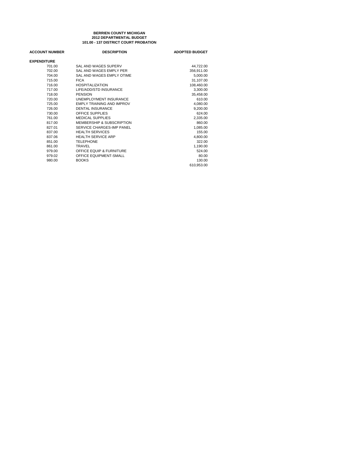#### **101.00 - 137 DISTRICT COURT PROBATION 2012 DEPARTMENTAL BUDGET BERRIEN COUNTY MICHIGAN**

| <b>ACCOUNT NUMBER</b> | <b>DESCRIPTION</b>               | <b>ADOPTED BUDGET</b> |
|-----------------------|----------------------------------|-----------------------|
| <b>EXPENDITURE</b>    |                                  |                       |
| 701.00                | SAL AND WAGES SUPERV             | 44,722.00             |
| 702.00                | SAL AND WAGES EMPLY PER          | 356,911.00            |
| 704.00                | SAL AND WAGES EMPLY OTIME        | 5,000.00              |
| 715.00                | <b>FICA</b>                      | 31,107.00             |
| 716.00                | <b>HOSPITALIZATION</b>           | 108,460.00            |
| 717.00                | LIFE/ADD/STD INSURANCE           | 3,300.00              |
| 718.00                | <b>PENSION</b>                   | 35,458.00             |
| 720.00                | <b>UNEMPLOYMENT INSURANCE</b>    | 610.00                |
| 725.00                | <b>EMPLY TRAINING AND IMPROV</b> | 4,080.00              |
| 726.00                | <b>DENTAL INSURANCE</b>          | 9,200.00              |
| 730.00                | <b>OFFICE SUPPLIES</b>           | 624.00                |
| 761.00                | <b>MEDICAL SUPPLIES</b>          | 2,335.00              |
| 817.00                | MEMBERSHIP & SUBSCRIPTION        | 860.00                |
| 827.01                | SERVICE CHARGES-IMP PANEL        | 1,085.00              |
| 837.00                | <b>HEALTH SERVICES</b>           | 155.00                |
| 837.06                | <b>HEALTH SERVICE ARP</b>        | 4,800.00              |
| 851.00                | <b>TELEPHONE</b>                 | 322.00                |
| 861.00                | TRAVEL                           | 1,190.00              |
| 979.00                | OFFICE EQUIP & FURNITURE         | 524.00                |
| 979.02                | <b>OFFICE EQUIPMENT-SMALL</b>    | 80.00                 |
| 980.00                | <b>BOOKS</b>                     | 130.00                |
|                       |                                  | 610.953.00            |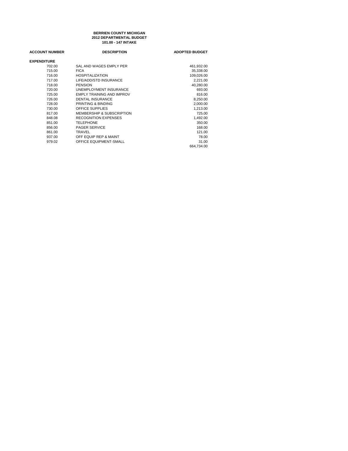#### **101.00 - 147 INTAKE 2012 DEPARTMENTAL BUDGET BERRIEN COUNTY MICHIGAN**

| <b>ACCOUNT NUMBER</b> | <b>DESCRIPTION</b>               | <b>ADOPTED BUDGET</b> |
|-----------------------|----------------------------------|-----------------------|
| <b>EXPENDITURE</b>    |                                  |                       |
| 702.00                | SAL AND WAGES EMPLY PER          | 461,932.00            |
| 715.00                | <b>FICA</b>                      | 35.338.00             |
| 716.00                | <b>HOSPITALIZATION</b>           | 109,026.00            |
| 717.00                | LIFE/ADD/STD INSURANCE           | 2,221.00              |
| 718.00                | <b>PENSION</b>                   | 40,280.00             |
| 720.00                | UNEMPLOYMENT INSURANCE           | 693.00                |
| 725.00                | <b>EMPLY TRAINING AND IMPROV</b> | 816.00                |
| 726.00                | <b>DENTAL INSURANCE</b>          | 8,250.00              |
| 728.00                | PRINTING & BINDING               | 2,000.00              |
| 730.00                | OFFICE SUPPLIES                  | 1,213.00              |
| 817.00                | MEMBERSHIP & SUBSCRIPTION        | 725.00                |
| 848.08                | <b>RECOGNITION EXPENSES</b>      | 1,492.00              |
| 851.00                | <b>TELEPHONE</b>                 | 350.00                |
| 856.00                | PAGER SERVICE                    | 168.00                |
| 861.00                | <b>TRAVEL</b>                    | 121.00                |
| 937.00                | OFF EQUIP REP & MAINT            | 78.00                 |
| 979.02                | OFFICE EQUIPMENT-SMALL           | 31.00                 |
|                       |                                  | 664.734.00            |
|                       |                                  |                       |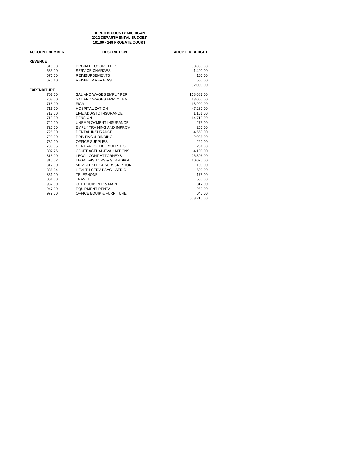**101.00 - 148 PROBATE COURT BERRIEN COUNTY MICHIGAN 2012 DEPARTMENTAL BUDGET**

| <b>ACCOUNT NUMBER</b> | <b>DESCRIPTION</b>                   | <b>ADOPTED BUDGET</b> |
|-----------------------|--------------------------------------|-----------------------|
| <b>REVENUE</b>        |                                      |                       |
| 616.00                | PROBATE COURT FEES                   | 80,000.00             |
| 633.00                | <b>SERVICE CHARGES</b>               | 1.400.00              |
| 676.00                | <b>REIMBURSEMENTS</b>                | 100.00                |
| 676.10                | <b>REIMB-LIP REVIEWS</b>             | 500.00                |
|                       |                                      | 82,000.00             |
| <b>EXPENDITURE</b>    |                                      |                       |
| 702.00                | SAL AND WAGES EMPLY PER              | 168,687.00            |
| 703.00                | SAL AND WAGES EMPLY TEM              | 13,000.00             |
| 715.00                | <b>FICA</b>                          | 13,900.00             |
| 716.00                | <b>HOSPITALIZATION</b>               | 47,230.00             |
| 717.00                | LIFE/ADD/STD INSURANCE               | 1,151.00              |
| 718.00                | <b>PENSION</b>                       | 14,710.00             |
| 720.00                | UNEMPLOYMENT INSURANCE               | 273.00                |
| 725.00                | <b>EMPLY TRAINING AND IMPROV</b>     | 250.00                |
| 726.00                | <b>DENTAL INSURANCE</b>              | 4,550.00              |
| 728.00                | PRINTING & BINDING                   | 2,036.00              |
| 730.00                | OFFICE SUPPLIES                      | 222.00                |
| 730.05                | CENTRAL OFFICE SUPPLIES              | 201.00                |
| 802.26                | CONTRACTUAL-EVALUATIONS              | 4,100.00              |
| 815.00                | LEGAL-CONT ATTORNEYS                 | 26,306.00             |
| 815.02                | <b>LEGAL-VISITORS &amp; GUARDIAN</b> | 10,025.00             |
| 817.00                | MEMBERSHIP & SUBSCRIPTION            | 100.00                |
| 836.04                | <b>HEALTH SERV PSYCHIATRIC</b>       | 600.00                |
| 851.00                | <b>TELEPHONE</b>                     | 175.00                |
| 861.00                | <b>TRAVEL</b>                        | 500.00                |
| 937.00                | OFF EQUIP REP & MAINT                | 312.00                |
| 947.00                | <b>EQUIPMENT RENTAL</b>              | 250.00                |
| 979.00                | OFFICE EQUIP & FURNITURE             | 640.00                |
|                       |                                      | 309.218.00            |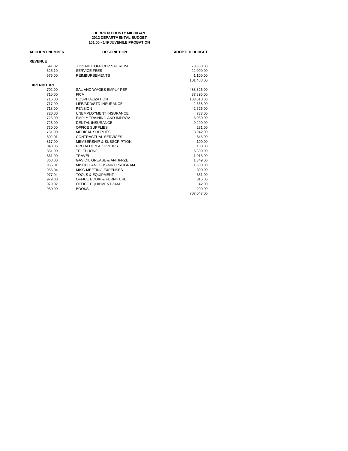#### **101.00 - 149 JUVENILE PROBATION BERRIEN COUNTY MICHIGAN 2012 DEPARTMENTAL BUDGET**

| <b>ACCOUNT NUMBER</b> | <b>DESCRIPTION</b>                   | <b>ADOPTED BUDGET</b> |
|-----------------------|--------------------------------------|-----------------------|
| <b>REVENUE</b>        |                                      |                       |
| 541.02                | <b>JUVENILE OFFICER SAL REIM</b>     | 78,388.00             |
| 625.10                | <b>SERVICE FEES</b>                  | 22.000.00             |
| 676.00                | <b>REIMBURSEMENTS</b>                | 1,100.00              |
|                       |                                      | 101.488.00            |
| <b>EXPENDITURE</b>    |                                      |                       |
| 702.00                | SAL AND WAGES EMPLY PER              | 488,826.00            |
| 715.00                | <b>FICA</b>                          | 37,395.00             |
| 716.00                | <b>HOSPITALIZATION</b>               | 103,010.00            |
| 717.00                | LIFE/ADD/STD INSURANCE               | 2,368.00              |
| 718.00                | <b>PENSION</b>                       | 42.626.00             |
| 720.00                | <b>UNEMPLOYMENT INSURANCE</b>        | 733.00                |
| 725.00                | EMPLY TRAINING AND IMPROV            | 6,080.00              |
| 726.00                | <b>DENTAL INSURANCE</b>              | 9,290.00              |
| 730.00                | <b>OFFICE SUPPLIES</b>               | 281.00                |
| 761.00                | <b>MEDICAL SUPPLIES</b>              | 3,942.00              |
| 802.01                | <b>CONTRACTUAL SERVICES</b>          | 846.00                |
| 817.00                | MEMBERSHIP & SUBSCRIPTION            | 100.00                |
| 848.06                | PROBATION ACTIVITIES                 | 100.00                |
| 851.00                | <b>TELEPHONE</b>                     | 6,380.00              |
| 861.00                | <b>TRAVEL</b>                        | 1,013.00              |
| 868.00                | <b>GAS OIL GREASE &amp; ANTIFRZE</b> | 1,349.00              |
| 956.01                | MISCELLANEOUS-MKT PROGRAM            | 1,500.00              |
| 956.04                | MISC-MEETING EXPENSES                | 300.00                |
| 977.04                | <b>TOOLS &amp; EQUIPMENT</b>         | 351.00                |
| 979.00                | <b>OFFICE EQUIP &amp; FURNITURE</b>  | 315.00                |
| 979.02                | OFFICE EQUIPMENT-SMALL               | 42.00                 |
| 980.00                | <b>BOOKS</b>                         | 200.00                |
|                       |                                      | 707,047.00            |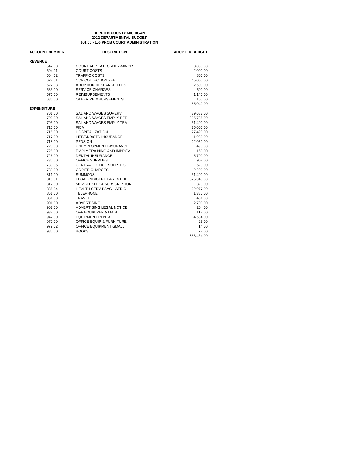#### **101.00 - 150 PROB COURT ADMINISTRATION BERRIEN COUNTY MICHIGAN 2012 DEPARTMENTAL BUDGET**

| <b>ACCOUNT NUMBER</b> | <b>DESCRIPTION</b>               | <b>ADOPTED BUDGET</b> |
|-----------------------|----------------------------------|-----------------------|
| <b>REVENUE</b>        |                                  |                       |
| 542.00                | COURT APPT ATTORNEY-MINOR        | 3,000.00              |
| 604.01                | <b>COURT COSTS</b>               | 2,000.00              |
| 604.02                | <b>TRAFFIC COSTS</b>             | 800.00                |
| 622.01                | <b>CCF COLLECTION FEE</b>        | 45.000.00             |
| 622.03                | <b>ADOPTION RESEARCH FEES</b>    | 2,500.00              |
| 633.00                | <b>SERVICE CHARGES</b>           | 500.00                |
| 676.00                | <b>REIMBURSEMENTS</b>            | 1,140.00              |
| 686.00                | OTHER REIMBURSEMENTS             | 100.00                |
|                       |                                  | 55,040.00             |
| <b>EXPENDITURE</b>    |                                  |                       |
| 701.00                | SAL AND WAGES SUPERV             | 89,683.00             |
| 702.00                | SAL AND WAGES EMPLY PER          | 205,786.00            |
| 703.00                | SAL AND WAGES EMPLY TEM          | 31,400.00             |
| 715.00                | <b>FICA</b>                      | 25,005.00             |
| 716.00                | <b>HOSPITALIZATION</b>           | 77,498.00             |
| 717.00                | LIFE/ADD/STD INSURANCE           | 1,980.00              |
| 718.00                | <b>PENSION</b>                   | 22,050.00             |
| 720.00                | UNEMPLOYMENT INSURANCE           | 490.00                |
| 725.00                | <b>EMPLY TRAINING AND IMPROV</b> | 160.00                |
| 726.00                | <b>DENTAL INSURANCE</b>          | 5,700.00              |
| 730.00                | OFFICE SUPPLIES                  | 907.00                |
| 730.05                | <b>CENTRAL OFFICE SUPPLIES</b>   | 620.00                |
| 733.00                | <b>COPIER CHARGES</b>            | 2,200.00              |
| 811.00                | <b>SUMMONS</b>                   | 31,400.00             |
| 816.01                | <b>LEGAL-INDIGENT PARENT DEF</b> | 325,343.00            |
| 817.00                | MEMBERSHIP & SUBSCRIPTION        | 820.00                |
| 836.04                | <b>HEALTH SERV PSYCHIATRIC</b>   | 22,977.00             |
| 851.00                | <b>TELEPHONE</b>                 | 1,380.00              |
| 861.00                | <b>TRAVEL</b>                    | 401.00                |
| 901.00                | <b>ADVERTISING</b>               | 2,700.00              |
| 902.00                | ADVERTISING LEGAL NOTICE         | 204.00                |
| 937.00                | OFF EQUIP REP & MAINT            | 117.00                |
| 947.00                | <b>EQUIPMENT RENTAL</b>          | 4,584.00              |
| 979.00                | OFFICE EQUIP & FURNITURE         | 23.00                 |
| 979.02                | OFFICE EQUIPMENT-SMALL           | 14.00                 |
| 980.00                | <b>BOOKS</b>                     | 22.00                 |
|                       |                                  | 853,464.00            |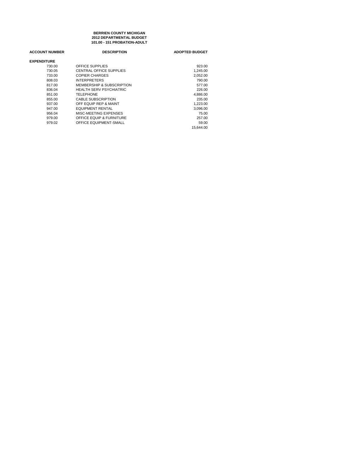#### **101.00 - 151 PROBATION-ADULT BERRIEN COUNTY MICHIGAN 2012 DEPARTMENTAL BUDGET**

| <b>ACCOUNT NUMBER</b> | <b>DESCRIPTION</b>                   | <b>ADOPTED BUDGET</b> |
|-----------------------|--------------------------------------|-----------------------|
| <b>EXPENDITURE</b>    |                                      |                       |
| 730.00                | OFFICE SUPPLIES                      | 923.00                |
| 730.05                | CENTRAL OFFICE SUPPLIES              | 1.245.00              |
| 733.00                | COPIER CHARGES                       | 2,052.00              |
| 808.03                | <b>INTERPRETERS</b>                  | 790.00                |
| 817.00                | <b>MEMBERSHIP &amp; SUBSCRIPTION</b> | 577.00                |
| 836.04                | HEALTH SERV PSYCHIATRIC              | 226.00                |
| 851.00                | TELEPHONE                            | 4,886.00              |
| 855.00                | <b>CABLE SUBSCRIPTION</b>            | 235.00                |
| 937.00                | OFF EQUIP REP & MAINT                | 1,223.00              |
| 947.00                | <b>EQUIPMENT RENTAL</b>              | 3.096.00              |
| 956.04                | MISC-MEETING EXPENSES                | 75.00                 |
| 979.00                | <b>OFFICE EQUIP &amp; FURNITURE</b>  | 257.00                |
| 979.02                | OFFICE EQUIPMENT-SMALL               | 59.00                 |
|                       |                                      | 15.644.00             |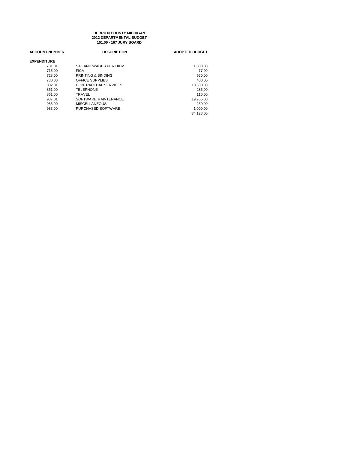#### **101.00 - 167 JURY BOARD BERRIEN COUNTY MICHIGAN 2012 DEPARTMENTAL BUDGET**

| <b>ACCOUNT NUMBER</b><br><b>DESCRIPTION</b><br><b>ADOPTED BUDGET</b> |           |
|----------------------------------------------------------------------|-----------|
|                                                                      |           |
| <b>EXPENDITURE</b>                                                   |           |
| SAL AND WAGES PER DIEM<br>701.01                                     | 1.000.00  |
| <b>FICA</b><br>715.00                                                | 77.00     |
| PRINTING & BINDING<br>728.00                                         | 550.00    |
| OFFICE SUPPLIES<br>730.00                                            | 400.00    |
| CONTRACTUAL SERVICES<br>802.01                                       | 10.500.00 |
| <b>TELEPHONE</b><br>851.00                                           | 286.00    |
| 861.00<br>TRAVEL                                                     | 110.00    |
| SOFTWARE MAINTENANCE<br>937.01                                       | 19.955.00 |
| 956.00<br><b>MISCELLANEOUS</b>                                       | 250.00    |
| PURCHASED SOFTWARE<br>983.00                                         | 1.000.00  |
|                                                                      | 34.128.00 |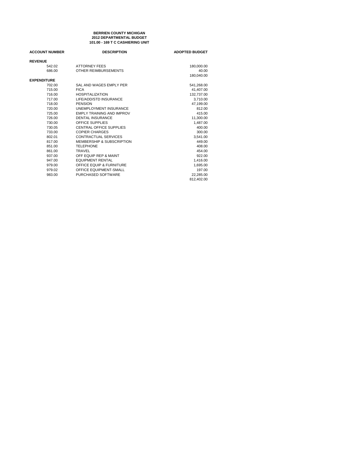#### **101.00 - 169 T C CASHIERING UNIT BERRIEN COUNTY MICHIGAN 2012 DEPARTMENTAL BUDGET**

| <b>DESCRIPTION</b>            | <b>ADOPTED BUDGET</b> |
|-------------------------------|-----------------------|
|                               |                       |
| <b>ATTORNEY FEES</b>          | 180,000.00            |
| OTHER REIMBURSEMENTS          | 40.00                 |
|                               | 180,040.00            |
|                               |                       |
| SAL AND WAGES EMPLY PER       | 541,268.00            |
| <b>FICA</b>                   | 41,407.00             |
| <b>HOSPITALIZATION</b>        | 132.737.00            |
| LIFE/ADD/STD INSURANCE        | 3,710.00              |
| <b>PENSION</b>                | 47,199.00             |
| <b>UNEMPLOYMENT INSURANCE</b> | 812.00                |
| EMPLY TRAINING AND IMPROV     | 415.00                |
| <b>DENTAL INSURANCE</b>       | 11,300.00             |
| OFFICE SUPPLIES               | 1.487.00              |
| CENTRAL OFFICE SUPPLIES       | 400.00                |
| <b>COPIER CHARGES</b>         | 300.00                |
| CONTRACTUAL SERVICES          | 3.541.00              |
| MEMBERSHIP & SUBSCRIPTION     | 449.00                |
| <b>TELEPHONE</b>              | 408.00                |
| TRAVEL                        | 454.00                |
| OFF EQUIP REP & MAINT         | 922.00                |
| <b>EQUIPMENT RENTAL</b>       | 1,416.00              |
| OFFICE EQUIP & FURNITURE      | 1,695.00              |
| <b>OFFICE EQUIPMENT-SMALL</b> | 197.00                |
| PURCHASED SOFTWARE            | 22,285.00             |
|                               | 812,402.00            |
|                               |                       |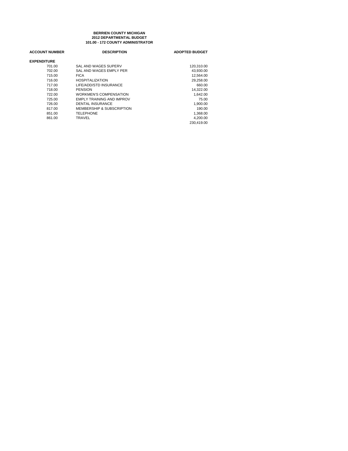#### **BERRIEN COUNTY MICHIGAN 101.00 - 172 COUNTY ADMINISTRATOR 2012 DEPARTMENTAL BUDGET**

| <b>ACCOUNT NUMBER</b> | <b>DESCRIPTION</b>               | <b>ADOPTED BUDGET</b> |
|-----------------------|----------------------------------|-----------------------|
| <b>EXPENDITURE</b>    |                                  |                       |
| 701.00                | SAL AND WAGES SUPERV             | 120,310.00            |
| 702.00                | SAL AND WAGES EMPLY PER          | 43.930.00             |
| 715.00                | <b>FICA</b>                      | 12.564.00             |
| 716.00                | <b>HOSPITALIZATION</b>           | 29,258.00             |
| 717.00                | LIFE/ADD/STD INSURANCE           | 660.00                |
| 718.00                | <b>PENSION</b>                   | 14,322.00             |
| 722.00                | <b>WORKMEN'S COMPENSATION</b>    | 1.642.00              |
| 725.00                | <b>EMPLY TRAINING AND IMPROV</b> | 75.00                 |
| 726.00                | DENTAL INSURANCE                 | 1.900.00              |
| 817.00                | MEMBERSHIP & SUBSCRIPTION        | 190.00                |
| 851.00                | <b>TELEPHONE</b>                 | 1,368.00              |
| 861.00                | TRAVEL                           | 4,200.00              |
|                       |                                  | 230.419.00            |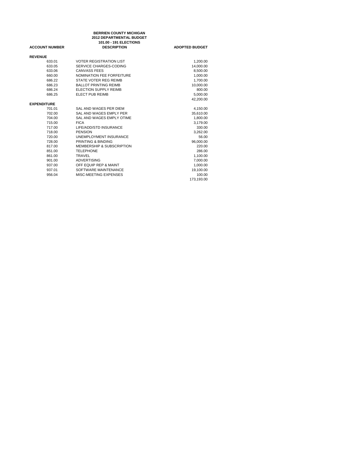|                       | <b>BERRIEN COUNTY MICHIGAN</b> |                       |
|-----------------------|--------------------------------|-----------------------|
|                       | 2012 DEPARTMENTAL BUDGET       |                       |
|                       | 101.00 - 191 ELECTIONS         |                       |
| <b>ACCOUNT NUMBER</b> | <b>DESCRIPTION</b>             | <b>ADOPTED BUDGET</b> |
| <b>REVENUE</b>        |                                |                       |
| 633.01                | <b>VOTER REGISTRATION LIST</b> | 1,200.00              |
| 633.05                | SERVICE CHARGES-CODING         | 14,000.00             |
| 633.06                | <b>CANVASS FEES</b>            | 8,500.00              |
| 660.00                | NOMINATION FEE FORFEITURE      | 1,000.00              |
| 686.22                | STATE VOTER REG REIMB          | 1,700.00              |
| 686.23                | <b>BALLOT PRINTING REIMB</b>   | 10,000.00             |
| 686.24                | ELECTION SUPPLY REIMB          | 800.00                |
| 686.25                | <b>ELECT PUB REIMB</b>         | 5,000.00              |
|                       |                                | 42.200.00             |
| <b>EXPENDITURE</b>    |                                |                       |
| 701.01                | SAL AND WAGES PER DIEM         | 4,150.00              |
| 702.00                | SAL AND WAGES EMPLY PER        | 35,610.00             |
| 704.00                | SAL AND WAGES EMPLY OTIME      | 1,800.00              |
| 715.00                | <b>FICA</b>                    | 3,179.00              |
| 717.00                | LIFE/ADD/STD INSURANCE         | 330.00                |
| 718.00                | <b>PENSION</b>                 | 3,262.00              |
| 720.00                | UNEMPLOYMENT INSURANCE         | 56.00                 |
| 728.00                | PRINTING & BINDING             | 96,000.00             |
| 817.00                | MEMBERSHIP & SUBSCRIPTION      | 220.00                |
| 851.00                | <b>TELEPHONE</b>               | 286.00                |
| 861.00                | <b>TRAVEL</b>                  | 1,100.00              |
| 901.00                | <b>ADVERTISING</b>             | 7,000.00              |
| 937.00                | OFF EQUIP REP & MAINT          | 1,000.00              |
| 937.01                | SOFTWARE MAINTENANCE           | 19,100.00             |
| 956.04                | MISC-MEETING EXPENSES          | 100.00                |
|                       |                                | 173,193.00            |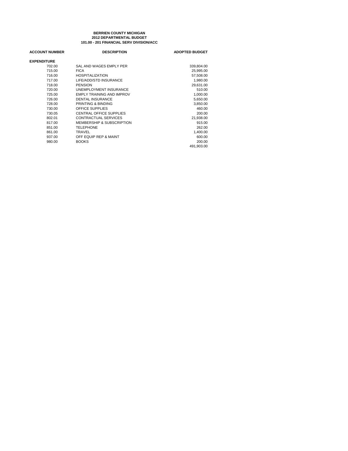#### **BERRIEN COUNTY MICHIGAN 101.00 - 201 FINANCIAL SERV DIVISION/ACC 2012 DEPARTMENTAL BUDGET**

| <b>ACCOUNT NUMBER</b> | <b>DESCRIPTION</b>             | <b>ADOPTED BUDGET</b> |
|-----------------------|--------------------------------|-----------------------|
| <b>EXPENDITURE</b>    |                                |                       |
| 702.00                | SAL AND WAGES EMPLY PER        | 339,804.00            |
| 715.00                | <b>FICA</b>                    | 25,995.00             |
| 716.00                | <b>HOSPITALIZATION</b>         | 57,508.00             |
| 717.00                | LIFE/ADD/STD INSURANCE         | 1,980.00              |
| 718.00                | <b>PENSION</b>                 | 29,631.00             |
| 720.00                | UNEMPLOYMENT INSURANCE         | 510.00                |
| 725.00                | EMPLY TRAINING AND IMPROV      | 1,000.00              |
| 726.00                | <b>DENTAL INSURANCE</b>        | 5,650.00              |
| 728.00                | PRINTING & BINDING             | 3,850.00              |
| 730.00                | OFFICE SUPPLIES                | 460.00                |
| 730.05                | <b>CENTRAL OFFICE SUPPLIES</b> | 200.00                |
| 802.01                | CONTRACTUAL SERVICES           | 21,938.00             |
| 817.00                | MEMBERSHIP & SUBSCRIPTION      | 915.00                |
| 851.00                | <b>TELEPHONE</b>               | 262.00                |
| 861.00                | TRAVEL                         | 1,400.00              |
| 937.00                | OFF EQUIP REP & MAINT          | 600.00                |
| 980.00                | <b>BOOKS</b>                   | 200.00                |
|                       |                                | 491,903.00            |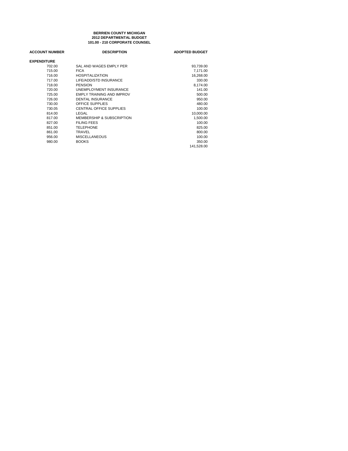#### **BERRIEN COUNTY MICHIGAN 101.00 - 210 CORPORATE COUNSEL 2012 DEPARTMENTAL BUDGET**

| <b>ACCOUNT NUMBER</b> | <b>DESCRIPTION</b>                   | <b>ADOPTED BUDGET</b> |
|-----------------------|--------------------------------------|-----------------------|
| <b>EXPENDITURE</b>    |                                      |                       |
| 702.00                | SAL AND WAGES EMPLY PER              | 93,739.00             |
| 715.00                | <b>FICA</b>                          | 7.171.00              |
| 716.00                | <b>HOSPITALIZATION</b>               | 16,268.00             |
| 717.00                | LIFE/ADD/STD INSURANCE               | 330.00                |
| 718.00                | <b>PENSION</b>                       | 8.174.00              |
| 720.00                | UNEMPLOYMENT INSURANCE               | 141.00                |
| 725.00                | EMPLY TRAINING AND IMPROV            | 500.00                |
| 726.00                | <b>DENTAL INSURANCE</b>              | 950.00                |
| 730.00                | <b>OFFICE SUPPLIES</b>               | 480.00                |
| 730.05                | CENTRAL OFFICE SUPPLIES              | 100.00                |
| 814.00                | LEGAL                                | 10,000.00             |
| 817.00                | <b>MEMBERSHIP &amp; SUBSCRIPTION</b> | 1.500.00              |
| 827.00                | <b>FILING FEES</b>                   | 100.00                |
| 851.00                | <b>TELEPHONE</b>                     | 825.00                |
| 861.00                | TRAVEL                               | 800.00                |
| 956.00                | <b>MISCELLANEOUS</b>                 | 100.00                |
| 980.00                | <b>BOOKS</b>                         | 350.00                |
|                       |                                      | 141.528.00            |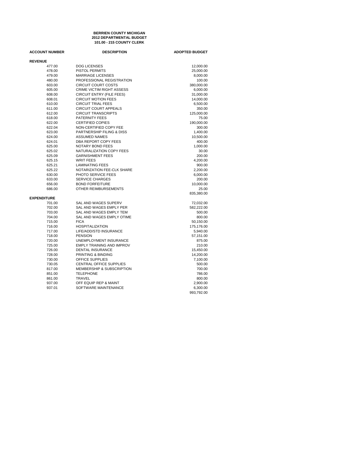#### **101.00 - 215 COUNTY CLERK BERRIEN COUNTY MICHIGAN 2012 DEPARTMENTAL BUDGET**

| <b>ACCOUNT NUMBER</b> | <b>DESCRIPTION</b>               | <b>ADOPTED BUDGET</b> |
|-----------------------|----------------------------------|-----------------------|
| <b>REVENUE</b>        |                                  |                       |
| 477.00                | <b>DOG LICENSES</b>              | 12,000.00             |
| 478.00                | <b>PISTOL PERMITS</b>            | 25,000.00             |
| 479.00                | <b>MARRIAGE LICENSES</b>         | 8,000.00              |
| 480.00                | PROFESSIONAL REGISTRATION        | 100.00                |
| 603.00                | <b>CIRCUIT COURT COSTS</b>       | 380,000.00            |
| 605.00                | CRIME VICTIM RIGHT ASSESS        | 6,000.00              |
| 608.00                | CIRCUIT ENTRY (FILE FEES)        | 31,000.00             |
| 608.01                | <b>CIRCUIT MOTION FEES</b>       | 14,000.00             |
| 610.00                | <b>CIRCUIT TRIAL FEES</b>        | 6,500.00              |
| 611.00                | <b>CIRCUIT COURT APPEALS</b>     | 350.00                |
| 612.00                | <b>CIRCUIT TRANSCRIPTS</b>       | 125,000.00            |
| 618.00                | PATERNITY FEES                   | 75.00                 |
| 622.00                | <b>CERTIFIED COPIES</b>          | 190,000.00            |
| 622.04                | NON-CERTIFIED COPY FEE           | 300.00                |
| 623.00                | PARTNERSHIP FILING & DISS        | 1,400.00              |
| 624.00                | <b>ASSUMED NAMES</b>             | 10,500.00             |
| 624.01                | DBA REPORT COPY FEES             | 400.00                |
| 625.00                | NOTARY BOND FEES                 | 1,000.00              |
| 625.02                | NATURALIZATION COPY FEES         | 30.00                 |
| 625.09                | <b>GARNISHMENT FEES</b>          | 200.00                |
| 625.15                | <b>WRIT FEES</b>                 | 4,200.00              |
| 625.21                | <b>LAMINATING FEES</b>           | 900.00                |
| 625.22                | NOTARIZATION FEE-CLK SHARE       | 2,200.00              |
| 630.00                | PHOTO SERVICE FEES               | 6,000.00              |
| 633.00                | <b>SERVICE CHARGES</b>           | 200.00                |
| 656.00                | <b>BOND FORFEITURE</b>           | 10,000.00             |
| 686.00                | OTHER REIMBURSEMENTS             | 25.00                 |
|                       |                                  | 835,380.00            |
| <b>EXPENDITURE</b>    |                                  |                       |
| 701.00                | <b>SAL AND WAGES SUPERV</b>      | 72,032.00             |
| 702.00                | SAL AND WAGES EMPLY PER          | 582,222.00            |
| 703.00                | SAL AND WAGES EMPLY TEM          | 500.00                |
| 704.00                | SAL AND WAGES EMPLY OTIME        | 800.00                |
| 715.00                | <b>FICA</b>                      | 50,150.00             |
| 716.00                | <b>HOSPITALIZATION</b>           | 175,176.00            |
| 717.00                | LIFE/ADD/STD INSURANCE           | 5,940.00              |
| 718.00                | <b>PENSION</b>                   | 57,151.00             |
| 720.00                | UNEMPLOYMENT INSURANCE           | 875.00                |
| 725.00                | <b>EMPLY TRAINING AND IMPROV</b> | 210.00                |
| 726.00                | DENTAL INSURANCE                 | 15,450.00             |
| 728.00                | PRINTING & BINDING               | 14,200.00             |
| 730.00                | OFFICE SUPPLIES                  | 7,100.00              |
| 730.05                | <b>CENTRAL OFFICE SUPPLIES</b>   | 500.00                |
| 817.00                | MEMBERSHIP & SUBSCRIPTION        | 700.00                |
| 851.00                | <b>TELEPHONE</b>                 | 786.00                |
| 861.00                | TRAVEL                           | 800.00                |
| 937.00                | OFF EQUIP REP & MAINT            | 2,900.00              |
| 937.01                | SOFTWARE MAINTENANCE             | 6,300.00              |
|                       |                                  | 993,792.00            |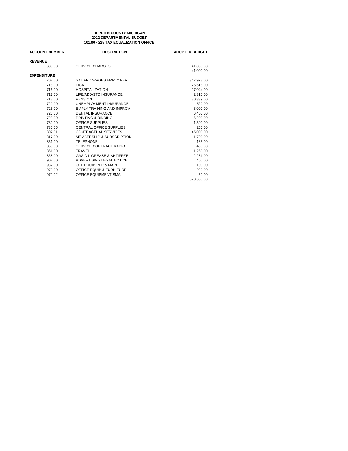#### **101.00 - 225 TAX EQUALIZATION OFFICE BERRIEN COUNTY MICHIGAN 2012 DEPARTMENTAL BUDGET**

| <b>ACCOUNT NUMBER</b> | <b>DESCRIPTION</b>                   | <b>ADOPTED BUDGET</b> |
|-----------------------|--------------------------------------|-----------------------|
| <b>REVENUE</b>        |                                      |                       |
| 633.00                | <b>SERVICE CHARGES</b>               | 41,000.00             |
|                       |                                      | 41.000.00             |
| <b>EXPENDITURE</b>    |                                      |                       |
| 702.00                | SAL AND WAGES EMPLY PER              | 347,923.00            |
| 715.00                | <b>FICA</b>                          | 26,616.00             |
| 716.00                | <b>HOSPITALIZATION</b>               | 97,044.00             |
| 717.00                | LIFE/ADD/STD INSURANCE               | 2,310.00              |
| 718.00                | <b>PENSION</b>                       | 30.339.00             |
| 720.00                | UNEMPLOYMENT INSURANCE               | 522.00                |
| 725.00                | <b>EMPLY TRAINING AND IMPROV</b>     | 3,000.00              |
| 726.00                | <b>DENTAL INSURANCE</b>              | 6,400.00              |
| 728.00                | PRINTING & BINDING                   | 6.200.00              |
| 730.00                | OFFICE SUPPLIES                      | 1,500.00              |
| 730.05                | <b>CENTRAL OFFICE SUPPLIES</b>       | 250.00                |
| 802.01                | CONTRACTUAL SERVICES                 | 45,000.00             |
| 817.00                | <b>MEMBERSHIP &amp; SUBSCRIPTION</b> | 1.700.00              |
| 851.00                | <b>TELEPHONE</b>                     | 135.00                |
| 853.00                | SERVICE CONTRACT RADIO               | 400.00                |
| 861.00                | TRAVEL                               | 1,260.00              |
| 868.00                | <b>GAS OIL GREASE &amp; ANTIFRZE</b> | 2.281.00              |
| 902.00                | ADVERTISING LEGAL NOTICE             | 400.00                |
| 937.00                | OFF EQUIP REP & MAINT                | 100.00                |
| 979.00                | <b>OFFICE EQUIP &amp; FURNITURE</b>  | 220.00                |
| 979.02                | <b>OFFICE EQUIPMENT-SMALL</b>        | 50.00                 |
|                       |                                      | 573.650.00            |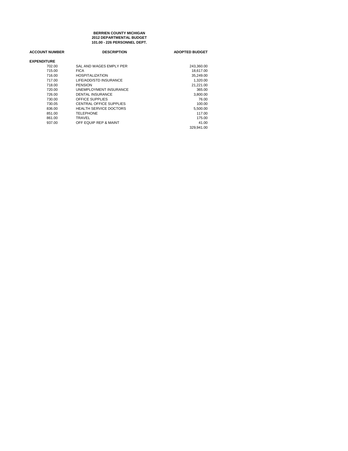**101.00 - 226 PERSONNEL DEPT. 2012 DEPARTMENTAL BUDGET BERRIEN COUNTY MICHIGAN**

| <b>ACCOUNT NUMBER</b> | <b>DESCRIPTION</b>            | <b>ADOPTED BUDGET</b> |
|-----------------------|-------------------------------|-----------------------|
| <b>EXPENDITURE</b>    |                               |                       |
| 702.00                | SAL AND WAGES EMPLY PER       | 243.360.00            |
| 715.00                | <b>FICA</b>                   | 18.617.00             |
| 716.00                | <b>HOSPITALIZATION</b>        | 35,249.00             |
| 717.00                | LIFE/ADD/STD INSURANCE        | 1,320.00              |
| 718.00                | <b>PENSION</b>                | 21.221.00             |
| 720.00                | UNEMPLOYMENT INSURANCE        | 365.00                |
| 726.00                | DENTAL INSURANCE              | 3,800.00              |
| 730.00                | <b>OFFICE SUPPLIES</b>        | 76.00                 |
| 730.05                | CENTRAL OFFICE SUPPLIES       | 100.00                |
| 836.00                | <b>HEALTH SERVICE DOCTORS</b> | 5,500.00              |
| 851.00                | <b>TELEPHONE</b>              | 117.00                |
| 861.00                | TRAVEL                        | 175.00                |
| 937.00                | OFF EQUIP REP & MAINT         | 41.00                 |
|                       |                               | 329.941.00            |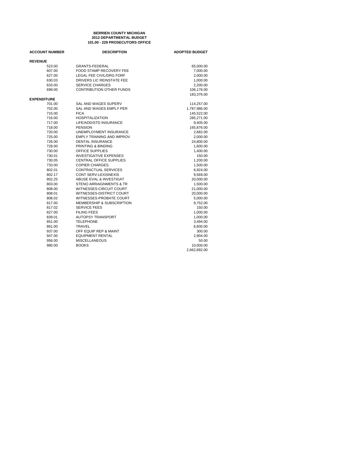#### **101.00 - 229 PROSECUTORS OFFICE 2012 DEPARTMENTAL BUDGET BERRIEN COUNTY MICHIGAN**

| <b>ACCOUNT NUMBER</b> | <b>DESCRIPTION</b>                   | <b>ADOPTED BUDGET</b> |
|-----------------------|--------------------------------------|-----------------------|
| <b>REVENUE</b>        |                                      |                       |
| 523.00                | <b>GRANTS-FEDERAL</b>                | 65,000.00             |
| 607.00                | FOOD STAMP RECOVERY FEE              | 7,000.00              |
| 627.00                | LEGAL FEE CIVIL/DRG FORF             | 2,000.00              |
| 630.03                | DRIVERS LIC REINSTATE FEE            | 1,000.00              |
| 633.00                | <b>SERVICE CHARGES</b>               | 2,200.00              |
| 699.00                | CONTRIBUTION OTHER FUNDS             | 106,176.00            |
|                       |                                      | 183,376.00            |
| <b>EXPENDITURE</b>    |                                      |                       |
| 701.00                | SAL AND WAGES SUPERV                 | 114,257.00            |
| 702.00                | SAL AND WAGES EMPLY PER              | 1,787,986.00          |
| 715.00                | <b>FICA</b>                          | 145,522.00            |
| 716.00                | <b>HOSPITALIZATION</b>               | 285,271.00            |
| 717.00                | LIFE/ADD/STD INSURANCE               | 9,405.00              |
| 718.00                | <b>PENSION</b>                       | 165,876.00            |
| 720.00                | UNEMPLOYMENT INSURANCE               | 2,682.00              |
| 725.00                | <b>EMPLY TRAINING AND IMPROV</b>     | 2,000.00              |
| 726.00                | <b>DENTAL INSURANCE</b>              | 24,800.00             |
| 728.00                | PRINTING & BINDING                   | 1,600.00              |
| 730.00                | <b>OFFICE SUPPLIES</b>               | 1,400.00              |
| 730.01                | <b>INVESTIGATIVE EXPENSES</b>        | 150.00                |
| 730.05                | <b>CENTRAL OFFICE SUPPLIES</b>       | 1,200.00              |
| 733.00                | <b>COPIER CHARGES</b>                | 1,500.00              |
| 802.01                | <b>CONTRACTUAL SERVICES</b>          | 6,924.00              |
| 802.17                | <b>CONT SERV-LEXISNEXIS</b>          | 9,569.00              |
| 802.25                | ABUSE EVAL & INVESTIGAT              | 20,000.00             |
| 803.00                | STENO ARRAIGNMENTS & TR              | 1,500.00              |
| 808.00                | WITNESSES-CIRCUIT COURT              | 21,000.00             |
| 808.01                | WITNESSES-DISTRICT COURT             | 20,000.00             |
| 808.02                | WITNESSES-PROBATE COURT              | 5,000.00              |
| 817.00                | <b>MEMBERSHIP &amp; SUBSCRIPTION</b> | 9,752.00              |
| 817.02                | <b>SERVICE FEES</b>                  | 150.00                |
| 827.00                | <b>FILING FEES</b>                   | 1,000.00              |
| 839.01                | <b>AUTOPSY TRANSPORT</b>             | 1,000.00              |
| 851.00                | <b>TELEPHONE</b>                     | 3,494.00              |
| 861.00                | TRAVEL                               | 6,600.00              |
| 937.00                | OFF EQUIP REP & MAINT                | 300.00                |
| 947.00                | <b>EQUIPMENT RENTAL</b>              | 2,904.00              |
| 956.00                | <b>MISCELLANEOUS</b>                 | 50.00                 |
| 980.00                | <b>BOOKS</b>                         | 10,000.00             |
|                       |                                      | 2,662,892.00          |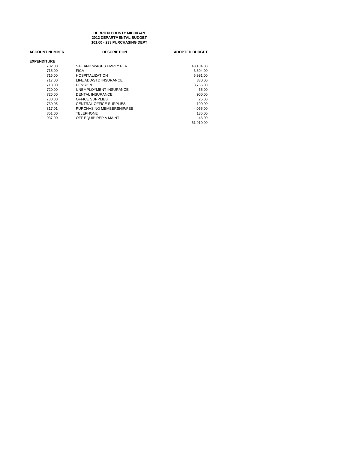**101.00 - 233 PURCHASING DEPT 2012 DEPARTMENTAL BUDGET BERRIEN COUNTY MICHIGAN**

| <b>DESCRIPTION</b>        | <b>ADOPTED BUDGET</b> |
|---------------------------|-----------------------|
|                           |                       |
| SAL AND WAGES EMPLY PER   | 43.184.00             |
| <b>FICA</b>               | 3,304.00              |
| <b>HOSPITALIZATION</b>    | 5.991.00              |
| LIFE/ADD/STD INSURANCE    | 330.00                |
| <b>PENSION</b>            | 3,766.00              |
| UNEMPLOYMENT INSURANCE    | 65.00                 |
| <b>DENTAL INSURANCE</b>   | 900.00                |
| OFFICE SUPPLIES           | 25.00                 |
| CENTRAL OFFICE SUPPLIES   | 100.00                |
| PURCHASING MEMBERSHIP/FEE | 4.065.00              |
| TELEPHONE                 | 135.00                |
| OFF EQUIP REP & MAINT     | 45.00                 |
|                           | 61.910.00             |
|                           |                       |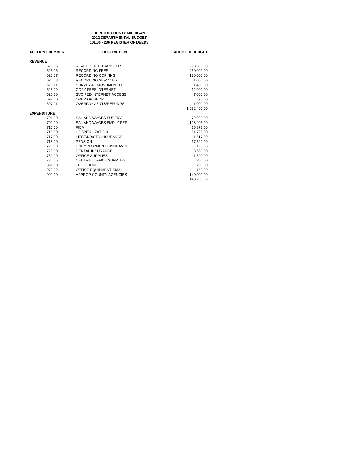#### **101.00 - 236 REGISTER OF DEEDS 2012 DEPARTMENTAL BUDGET BERRIEN COUNTY MICHIGAN**

| <b>ACCOUNT NUMBER</b> | <b>DESCRIPTION</b>             | <b>ADOPTED BUDGET</b> |
|-----------------------|--------------------------------|-----------------------|
| <b>REVENUE</b>        |                                |                       |
| 625.05                | <b>REAL ESTATE TRANSFER</b>    | 390,000.00            |
| 625.06                | <b>RECORDING FEES</b>          | 450.000.00            |
| 625.07                | RECORDING COPYING              | 170,000.00            |
| 625.08                | RECORDING SERVICES             | 1.000.00              |
| 625.11                | SURVEY-REMONUMENT FEE          | 1,400.00              |
| 625.29                | <b>COPY FEES-INTERNET</b>      | 12,000.00             |
| 625.30                | SVC FEE-INTERNET ACCESS        | 7.000.00              |
| 697.00                | <b>OVER OR SHORT</b>           | 90.00                 |
| 697.01                | OVERPAYMENTS/REFUNDS           | 1,000.00              |
|                       |                                | 1.032.490.00          |
| <b>EXPENDITURE</b>    |                                |                       |
| 701.00                | SAL AND WAGES SUPERV           | 72,032.00             |
| 702.00                | SAL AND WAGES EMPLY PER        | 128,905.00            |
| 715.00                | <b>FICA</b>                    | 15,372.00             |
| 716.00                | <b>HOSPITALIZATION</b>         | 61,795.00             |
| 717.00                | LIFE/ADD/STD INSURANCE         | 1,617.00              |
| 718.00                | PENSION                        | 17,522.00             |
| 720.00                | UNEMPLOYMENT INSURANCE         | 193.00                |
| 726.00                | <b>DENTAL INSURANCE</b>        | 3,650.00              |
| 730.00                | OFFICE SUPPLIES                | 1,500.00              |
| 730.05                | <b>CENTRAL OFFICE SUPPLIES</b> | 300.00                |
| 851.00                | <b>TELEPHONE</b>               | 200.00                |
| 979.02                | OFFICE EQUIPMENT-SMALL         | 150.00                |
| 999.00                | APPROP-COUNTY AGENCIES         | 140,000.00            |
|                       |                                | 443.236.00            |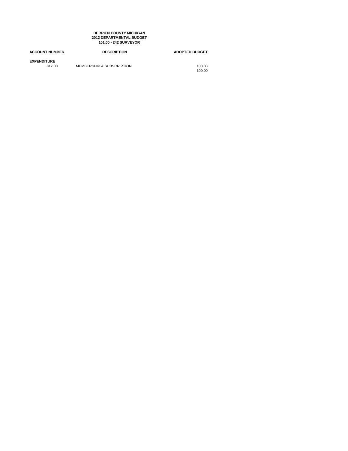### **2012 DEPARTMENTAL BUDGET 101.00 - 242 SURVEYOR BERRIEN COUNTY MICHIGAN**

| <b>ACCOUNT NUMBER</b>        | <b>DESCRIPTION</b>        | <b>ADOPTED BUDGET</b> |
|------------------------------|---------------------------|-----------------------|
| <b>EXPENDITURE</b><br>817.00 | MEMBERSHIP & SUBSCRIPTION | 100.00<br>100.00      |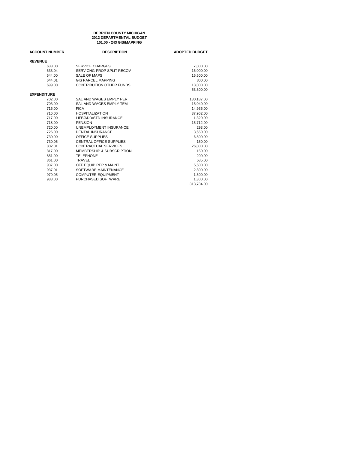### **101.00 - 243 GIS/MAPPING 2012 DEPARTMENTAL BUDGET BERRIEN COUNTY MICHIGAN**

| <b>ACCOUNT NUMBER</b> | <b>DESCRIPTION</b>              | <b>ADOPTED BUDGET</b> |
|-----------------------|---------------------------------|-----------------------|
| <b>REVENUE</b>        |                                 |                       |
| 633.00                | <b>SERVICE CHARGES</b>          | 7,000.00              |
| 633.04                | SERV CHG-PROP SPLIT RECOV       | 16,000.00             |
| 644.00                | SALE OF MAPS                    | 16,500.00             |
| 644.01                | <b>GIS PARCEL MAPPING</b>       | 800.00                |
| 699.00                | <b>CONTRIBUTION OTHER FUNDS</b> | 13,000.00             |
|                       |                                 | 53,300.00             |
| <b>EXPENDITURE</b>    |                                 |                       |
| 702.00                | SAL AND WAGES EMPLY PER         | 180,187.00            |
| 703.00                | SAL AND WAGES EMPLY TEM         | 15,040.00             |
| 715.00                | <b>FICA</b>                     | 14,935.00             |
| 716.00                | <b>HOSPITALIZATION</b>          | 37,962.00             |
| 717.00                | LIFE/ADD/STD INSURANCE          | 1,320.00              |
| 718.00                | <b>PENSION</b>                  | 15,712.00             |
| 720.00                | <b>UNEMPLOYMENT INSURANCE</b>   | 293.00                |
| 726.00                | <b>DENTAL INSURANCE</b>         | 3,650.00              |
| 730.00                | OFFICE SUPPLIES                 | 6,500.00              |
| 730.05                | CENTRAL OFFICE SUPPLIES         | 150.00                |
| 802.01                | CONTRACTUAL SERVICES            | 26,000.00             |
| 817.00                | MEMBERSHIP & SUBSCRIPTION       | 150.00                |
| 851.00                | <b>TELEPHONE</b>                | 200.00                |
| 861.00                | TRAVEL                          | 585.00                |
| 937.00                | OFF EQUIP REP & MAINT           | 5,500.00              |
| 937.01                | SOFTWARE MAINTENANCE            | 2,800.00              |
| 979.05                | <b>COMPUTER EQUIPMENT</b>       | 1,500.00              |
| 983.00                | PURCHASED SOFTWARE              | 1.300.00              |
|                       |                                 | 313.784.00            |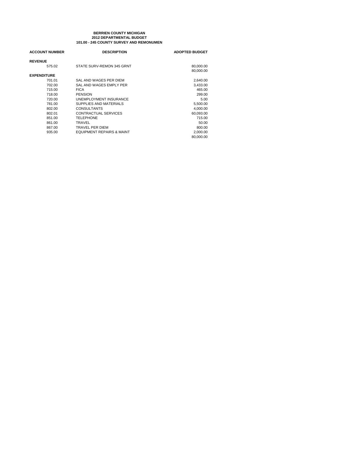# **101.00 - 245 COUNTY SURVEY AND REMONUMEN BERRIEN COUNTY MICHIGAN 2012 DEPARTMENTAL BUDGET**

| <b>ACCOUNT NUMBER</b> | <b>DESCRIPTION</b>                   | <b>ADOPTED BUDGET</b> |
|-----------------------|--------------------------------------|-----------------------|
| <b>REVENUE</b>        |                                      |                       |
| 575.02                | STATE SURV-REMON 345 GRNT            | 80,000.00             |
|                       |                                      | 80,000.00             |
| <b>EXPENDITURE</b>    |                                      |                       |
| 701.01                | SAL AND WAGES PER DIEM               | 2,640.00              |
| 702.00                | SAL AND WAGES EMPLY PER              | 3.433.00              |
| 715.00                | <b>FICA</b>                          | 465.00                |
| 718.00                | <b>PENSION</b>                       | 299.00                |
| 720.00                | UNEMPLOYMENT INSURANCE               | 5.00                  |
| 781.00                | SUPPLIES AND MATERIALS               | 5,500.00              |
| 802.00                | <b>CONSULTANTS</b>                   | 4,000.00              |
| 802.01                | CONTRACTUAL SERVICES                 | 60,093.00             |
| 851.00                | <b>TELEPHONE</b>                     | 715.00                |
| 861.00                | TRAVEL                               | 50.00                 |
| 867.00                | TRAVEL PER DIEM                      | 800.00                |
| 935.00                | <b>EQUIPMENT REPAIRS &amp; MAINT</b> | 2,000.00              |
|                       |                                      | 80,000.00             |
|                       |                                      |                       |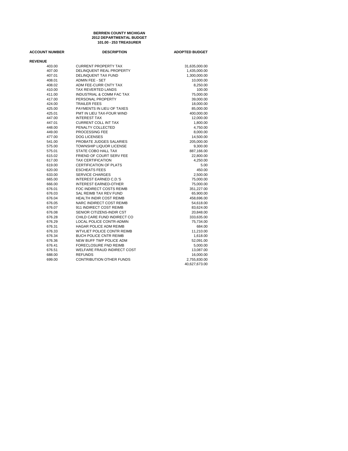### **101.00 - 253 TREASURER BERRIEN COUNTY MICHIGAN 2012 DEPARTMENTAL BUDGET**

| <b>ACCOUNT NUMBER</b> | <b>DESCRIPTION</b>                 | <b>ADOPTED BUDGET</b> |
|-----------------------|------------------------------------|-----------------------|
| <b>REVENUE</b>        |                                    |                       |
| 403.00                | <b>CURRENT PROPERTY TAX</b>        | 31,635,000.00         |
| 407.00                | DELINQUENT REAL PROPERTY           | 1,435,000.00          |
| 407.01                | <b>DELINQUENT TAX FUND</b>         | 1,300,000.00          |
| 408.01                | <b>ADMIN FEE - SET</b>             | 10,000.00             |
| 408.02                | ADM FEE-CURR CNTY TAX              | 8,250.00              |
| 410.00                | TAX REVERTED LANDS                 | 100.00                |
| 411.00                | INDUSTRIAL & COMM FAC TAX          | 75,000.00             |
| 417.00                | PERSONAL PROPERTY                  | 39,000.00             |
| 424.00                | <b>TRAILER FEES</b>                | 18,000.00             |
| 425.00                | PAYMENTS IN LIEU OF TAXES          | 85,000.00             |
| 425.01                | PMT IN LIEU TAX-FOUR WIND          | 400,000.00            |
| 447.00                | <b>INTEREST TAX</b>                | 12,000.00             |
| 447.01                | <b>CURRENT COLL INT TAX</b>        | 1,800.00              |
| 448.00                | PENALTY COLLECTED                  | 4,750.00              |
| 449.00                | PROCESSING FEE                     | 8,000.00              |
| 477.00                | <b>DOG LICENSES</b>                | 14,500.00             |
| 541.00                | PROBATE JUDGES SALARIES            | 205,000.00            |
| 575.00                | TOWNSHIP LIQUOR LICENSE            | 9,300.00              |
| 575.01                | STATE COBO HALL TAX                | 887,166.00            |
| 615.02                | FRIEND OF COURT SERV FEE           | 22,800.00             |
| 617.00                | <b>TAX CERTIFICATION</b>           | 4,250.00              |
| 619.00                | <b>CERTIFICATION OF PLATS</b>      | 5.00                  |
| 620.00                | <b>ESCHEATS FEES</b>               | 450.00                |
| 633.00                | <b>SERVICE CHARGES</b>             | 2,500.00              |
| 665.00                | <b>INTEREST EARNED C.D.'S</b>      | 75,000.00             |
| 666.00                | <b>INTEREST EARNED-OTHER</b>       | 75,000.00             |
| 676.01                | FOC INDIRECT COSTS REIMB           | 351,227.00            |
| 676.03                | SAL REIMB TAX REV FUND             | 65,900.00             |
| 676.04                | <b>HEALTH INDIR COST REIMB</b>     | 458,696.00            |
| 676.05                | NARC INDIRECT COST REIMB           | 54,618.00             |
| 676.07                | 911 INDIRECT COST REIMB            | 83,624.00             |
| 676.08                | SENIOR CITIZENS-INDIR CST          | 20,848.00             |
| 676.28                | CHILD CARE FUND INDIRECT CO        | 333,635.00            |
| 676.29                | LOCAL POLICE CONTR-ADMIN           | 75,734.00             |
| 676.31                | <b>HAGAR POLICE ADM REIMB</b>      | 684.00                |
| 676.33                | WTVLIET POLICE CONTR REIMB         | 11,210.00             |
| 676.34                | <b>BUCH POLICE CNTR REIMB</b>      | 1,618.00              |
| 676.36                | NEW BUFF TWP POLICE ADM            | 52,091.00             |
| 676.41                | <b>FORECLOSURE FND REIMB</b>       | 5,000.00              |
| 676.51                | <b>WELFARE FRAUD INDIRECT COST</b> | 13,087.00             |
| 688.00                | <b>REFUNDS</b>                     | 16,000.00             |
| 699.00                | <b>CONTRIBUTION OTHER FUNDS</b>    | 2,755,830.00          |
|                       |                                    | 40,627,673.00         |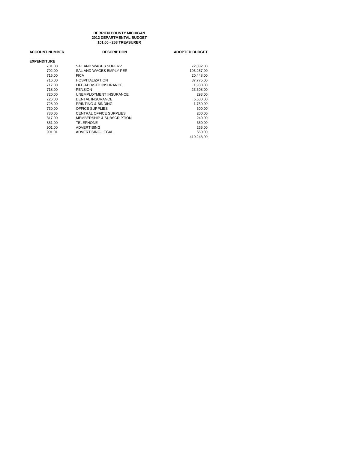### **101.00 - 253 TREASURER BERRIEN COUNTY MICHIGAN 2012 DEPARTMENTAL BUDGET**

| <b>ACCOUNT NUMBER</b> | <b>DESCRIPTION</b>                   | <b>ADOPTED BUDGET</b> |
|-----------------------|--------------------------------------|-----------------------|
| <b>EXPENDITURE</b>    |                                      |                       |
| 701.00                | SAL AND WAGES SUPERV                 | 72.032.00             |
| 702.00                | SAL AND WAGES EMPLY PER              | 195,257.00            |
| 715.00                | <b>FICA</b>                          | 20.448.00             |
| 716.00                | <b>HOSPITALIZATION</b>               | 87,775.00             |
| 717.00                | LIFE/ADD/STD INSURANCE               | 1,980.00              |
| 718.00                | <b>PENSION</b>                       | 23,308.00             |
| 720.00                | UNEMPLOYMENT INSURANCE               | 293.00                |
| 726.00                | <b>DENTAL INSURANCE</b>              | 5.500.00              |
| 728.00                | PRINTING & BINDING                   | 1,750.00              |
| 730.00                | <b>OFFICE SUPPLIES</b>               | 300.00                |
| 730.05                | CENTRAL OFFICE SUPPLIES              | 200.00                |
| 817.00                | <b>MEMBERSHIP &amp; SUBSCRIPTION</b> | 240.00                |
| 851.00                | <b>TELEPHONE</b>                     | 350.00                |
| 901.00                | ADVERTISING                          | 265.00                |
| 901.01                | ADVERTISING-LEGAL                    | 550.00                |
|                       |                                      | 410.248.00            |
|                       |                                      |                       |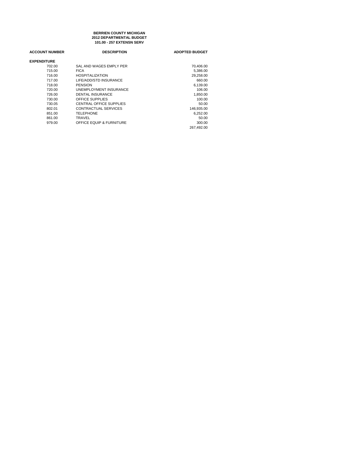### **101.00 - 257 EXTENSN SERV BERRIEN COUNTY MICHIGAN 2012 DEPARTMENTAL BUDGET**

| <b>ACCOUNT NUMBER</b> | <b>DESCRIPTION</b>       | <b>ADOPTED BUDGET</b> |
|-----------------------|--------------------------|-----------------------|
| <b>EXPENDITURE</b>    |                          |                       |
| 702.00                | SAL AND WAGES EMPLY PER  | 70,406.00             |
| 715.00                | <b>FICA</b>              | 5,386.00              |
| 716.00                | <b>HOSPITALIZATION</b>   | 29,258.00             |
| 717.00                | LIFE/ADD/STD INSURANCE   | 660.00                |
| 718.00                | <b>PENSION</b>           | 6.139.00              |
| 720.00                | UNEMPLOYMENT INSURANCE   | 106.00                |
| 726.00                | <b>DENTAL INSURANCE</b>  | 1.850.00              |
| 730.00                | OFFICE SUPPLIES          | 100.00                |
| 730.05                | CENTRAL OFFICE SUPPLIES  | 50.00                 |
| 802.01                | CONTRACTUAL SERVICES     | 146.935.00            |
| 851.00                | <b>TELEPHONE</b>         | 6.252.00              |
| 861.00                | TRAVEL                   | 50.00                 |
| 979.00                | OFFICE EQUIP & FURNITURE | 300.00                |
|                       |                          | 267.492.00            |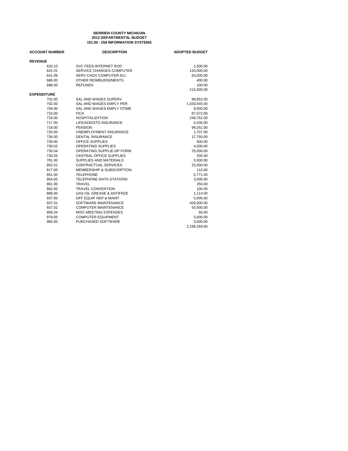### **101.00 - 258 INFORMATION SYSTEMS BERRIEN COUNTY MICHIGAN 2012 DEPARTMENTAL BUDGET**

| <b>ACCOUNT NUMBER</b> | <b>DESCRIPTION</b>                   | <b>ADOPTED BUDGET</b> |
|-----------------------|--------------------------------------|-----------------------|
| <b>REVENUE</b>        |                                      |                       |
| 633.10                | SVC FEES-INTERNET ROD                | 1,500.00              |
| 641.01                | SERVICE CHARGES COMPUTER             | 150,000.00            |
| 641.09                | <b>SERV CHGS COMPUTER-911</b>        | 63,000.00             |
| 686.00                | OTHER REIMBURSEMENTS                 | 400.00                |
| 688.00                | <b>REFUNDS</b>                       | 100.00                |
|                       |                                      | 215,000.00            |
| <b>EXPENDITURE</b>    |                                      |                       |
| 701.00                | SAL AND WAGES SUPERV                 | 98,652.00             |
| 702.00                | SAL AND WAGES EMPLY PER              | 1,030,545.00          |
| 704.00                | SAL AND WAGES EMPLY OTIME            | 9,000.00              |
| 715.00                | <b>FICA</b>                          | 87,072.00             |
| 716.00                | <b>HOSPITALIZATION</b>               | 248,762.00            |
| 717.00                | LIFE/ADD/STD INSURANCE               | 6,435.00              |
| 718.00                | <b>PENSION</b>                       | 99,251.00             |
| 720.00                | UNEMPLOYMENT INSURANCE               | 1,707.00              |
| 726.00                | <b>DENTAL INSURANCE</b>              | 17,750.00             |
| 730.00                | <b>OFFICE SUPPLIES</b>               | 500.00                |
| 730.02                | <b>OPERATING SUPPLIES</b>            | 4,000.00              |
| 730.04                | OPERATING SUPPLIE-DP FORM            | 25,000.00             |
| 730.05                | CENTRAL OFFICE SUPPLIES              | 200.00                |
| 781.00                | SUPPLIES AND MATERIALS               | 5,000.00              |
| 802.01                | <b>CONTRACTUAL SERVICES</b>          | 25,000.00             |
| 817.00                | MEMBERSHIP & SUBSCRIPTION            | 110.00                |
| 851.00                | <b>TELEPHONE</b>                     | 5,771.00              |
| 854.00                | TELEPHONE-DATA STATIONS              | 3,000.00              |
| 861.00                | <b>TRAVEL</b>                        | 250.00                |
| 862.00                | <b>TRAVEL CONVENTION</b>             | 100.00                |
| 868.00                | <b>GAS OIL GREASE &amp; ANTIFRZE</b> | 1,114.00              |
| 937.00                | OFF EQUIP REP & MAINT                | 5,000.00              |
| 937.01                | SOFTWARE MAINTENANCE                 | 429,000.00            |
| 937.02                | <b>COMPUTER MAINTENANCE</b>          | 55,000.00             |
| 956.04                | MISC-MEETING EXPENSES                | 50.00                 |
| 979.05                | <b>COMPUTER EQUIPMENT</b>            | 5,000.00              |
| 983.00                | PURCHASED SOFTWARE                   | 3,000.00              |
|                       |                                      | 2,166,269.00          |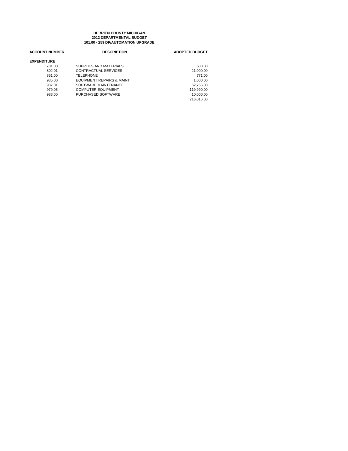# **101.00 - 259 DP/AUTOMATION UPGRADE BERRIEN COUNTY MICHIGAN 2012 DEPARTMENTAL BUDGET**

| <b>ACCOUNT NUMBER</b> | <b>DESCRIPTION</b>                   | <b>ADOPTED BUDGET</b> |
|-----------------------|--------------------------------------|-----------------------|
| <b>EXPENDITURE</b>    |                                      |                       |
| 781.00                | SUPPLIES AND MATERIALS               | 500.00                |
| 802.01                | CONTRACTUAL SERVICES                 | 21,000.00             |
| 851.00                | <b>TELEPHONE</b>                     | 771.00                |
| 935.00                | <b>EQUIPMENT REPAIRS &amp; MAINT</b> | 1.000.00              |
| 937.01                | SOFTWARE MAINTENANCE                 | 62,755.00             |
| 979.05                | <b>COMPUTER EQUIPMENT</b>            | 119.990.00            |
| 983.00                | PURCHASED SOFTWARE                   | 10,000.00             |
|                       |                                      | 216.016.00            |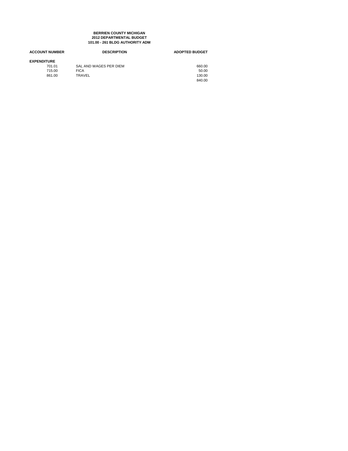### **BERRIEN COUNTY MICHIGAN 2012 DEPARTMENTAL BUDGET 101.00 - 261 BLDG AUTHORITY ADM**

| <b>DESCRIPTION</b>     | <b>ADOPTED BUDGET</b> |
|------------------------|-----------------------|
|                        |                       |
| SAL AND WAGES PER DIEM | 660.00                |
| <b>FICA</b>            | 50.00                 |
| TRAVEL                 | 130.00                |
|                        | 840.00                |
|                        |                       |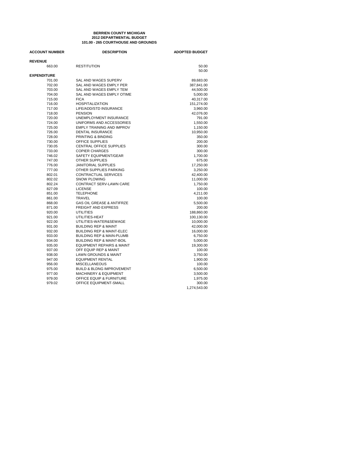### **101.00 - 265 COURTHOUSE AND GROUNDS BERRIEN COUNTY MICHIGAN 2012 DEPARTMENTAL BUDGET**

| <b>ACCOUNT NUMBER</b>        | <b>DESCRIPTION</b>                   | <b>ADOPTED BUDGET</b> |
|------------------------------|--------------------------------------|-----------------------|
| <b>REVENUE</b>               |                                      |                       |
| 663.00                       | <b>RESTITUTION</b>                   | 50.00                 |
|                              |                                      | 50.00                 |
| <b>EXPENDITURE</b><br>701.00 | SAL AND WAGES SUPERV                 | 89,683.00             |
| 702.00                       | SAL AND WAGES EMPLY PER              | 387,841.00            |
| 703.00                       | SAL AND WAGES EMPLY TEM              | 44,500.00             |
| 704.00                       | SAL AND WAGES EMPLY OTIME            | 5,000.00              |
| 715.00                       | <b>FICA</b>                          | 40,317.00             |
| 716.00                       | <b>HOSPITALIZATION</b>               | 151,274.00            |
| 717.00                       | LIFE/ADD/STD INSURANCE               | 3,960.00              |
| 718.00                       | <b>PENSION</b>                       | 42,076.00             |
| 720.00                       | UNEMPLOYMENT INSURANCE               | 791.00                |
| 724.00                       | UNIFORMS AND ACCESSORIES             | 1,550.00              |
| 725.00                       | <b>EMPLY TRAINING AND IMPROV</b>     | 1,150.00              |
| 726.00                       | <b>DENTAL INSURANCE</b>              | 10,950.00             |
| 728.00                       | PRINTING & BINDING                   | 350.00                |
| 730.00                       | OFFICE SUPPLIES                      | 200.00                |
| 730.05                       | <b>CENTRAL OFFICE SUPPLIES</b>       | 300.00                |
| 733.00                       | <b>COPIER CHARGES</b>                | 300.00                |
| 746.02                       | SAFETY EQUIPMENT/GEAR                | 1,700.00              |
| 747.00                       | <b>OTHER SUPPLIES</b>                | 675.00                |
| 776.00                       | <b>JANITORIAL SUPPLIES</b>           | 17,250.00             |
| 777.00                       | OTHER SUPPLIES PARKING               | 3,250.00              |
| 802.01                       | <b>CONTRACTUAL SERVICES</b>          | 42,400.00             |
| 802.02                       | <b>SNOW PLOWING</b>                  | 11,000.00             |
| 802.24                       | CONTRACT SERV-LAWN CARE              | 1,750.00              |
| 827.09                       | <b>LICENSE</b>                       | 100.00                |
| 851.00                       | <b>TELEPHONE</b>                     | 4,211.00              |
| 861.00                       | <b>TRAVEL</b>                        | 100.00                |
| 868.00                       | <b>GAS OIL GREASE &amp; ANTIFRZE</b> | 5,500.00              |
| 871.00                       | <b>FREIGHT AND EXPRESS</b>           | 200.00                |
| 920.00                       | <b>UTILITIES</b>                     | 188,860.00            |
| 921.00                       | UTILITIES-HEAT                       | 100,130.00            |
| 922.00                       | UTILITIES-WATER&SEWAGE               | 10,000.00             |
| 931.00                       | <b>BUILDING REP &amp; MAINT</b>      | 42,000.00             |
| 932.00                       | <b>BUILDING REP &amp; MAINT-ELEC</b> | 16,000.00             |
| 933.00                       | <b>BUILDING REP &amp; MAIN-PLUMB</b> | 6,750.00              |
| 934.00                       | <b>BUILDING REP &amp; MAINT-BOIL</b> | 5,000.00              |
| 935.00                       | <b>EQUIPMENT REPAIRS &amp; MAINT</b> | 19,300.00             |
| 937.00                       | OFF EQUIP REP & MAINT                | 100.00                |
| 938.00                       | <b>LAWN GROUNDS &amp; MAINT</b>      | 3,750.00              |
| 947.00                       | <b>EQUIPMENT RENTAL</b>              | 1,900.00              |
| 956.00                       | <b>MISCELLANEOUS</b>                 | 100.00                |
| 975.00                       | <b>BUILD &amp; BLDNG IMPROVEMENT</b> | 6,500.00              |
| 977.00                       | <b>MACHINERY &amp; EQUIPMENT</b>     | 3,500.00              |
| 979.00                       | OFFICE EQUIP & FURNITURE             | 1,975.00              |
| 979.02                       | OFFICE EQUIPMENT-SMALL               | 300.00                |
|                              |                                      | 1,274,543.00          |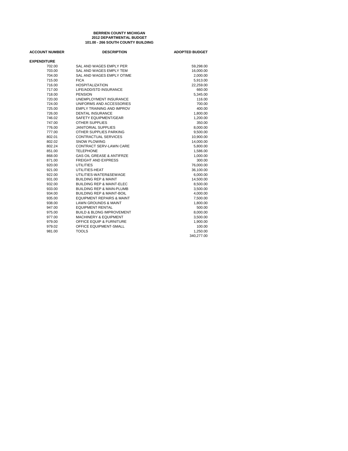# **101.00 - 266 SOUTH COUNTY BUILDING BERRIEN COUNTY MICHIGAN 2012 DEPARTMENTAL BUDGET**

| <b>ACCOUNT NUMBER</b> | <b>DESCRIPTION</b>                   | <b>ADOPTED BUDGET</b> |
|-----------------------|--------------------------------------|-----------------------|
| <b>EXPENDITURE</b>    |                                      |                       |
| 702.00                | SAL AND WAGES EMPLY PER              | 59,298.00             |
| 703.00                | SAL AND WAGES EMPLY TEM              | 16,000.00             |
| 704.00                | SAL AND WAGES EMPLY OTIME            | 2,000.00              |
| 715.00                | <b>FICA</b>                          | 5,913.00              |
| 716.00                | <b>HOSPITALIZATION</b>               | 22,259.00             |
| 717.00                | LIFE/ADD/STD INSURANCE               | 660.00                |
| 718.00                | <b>PENSION</b>                       | 5,345.00              |
| 720.00                | UNEMPLOYMENT INSURANCE               | 116.00                |
| 724.00                | UNIFORMS AND ACCESSORIES             | 700.00                |
| 725.00                | <b>EMPLY TRAINING AND IMPROV</b>     | 400.00                |
| 726.00                | <b>DENTAL INSURANCE</b>              | 1,800.00              |
| 746.02                | SAFETY EQUIPMENT/GEAR                | 1,200.00              |
| 747.00                | <b>OTHER SUPPLIES</b>                | 350.00                |
| 776.00                | <b>JANITORIAL SUPPLIES</b>           | 8,000.00              |
| 777.00                | OTHER SUPPLIES PARKING               | 9,500.00              |
| 802.01                | <b>CONTRACTUAL SERVICES</b>          | 10,900.00             |
| 802.02                | <b>SNOW PLOWING</b>                  | 14,000.00             |
| 802.24                | <b>CONTRACT SERV-LAWN CARE</b>       | 5,800.00              |
| 851.00                | <b>TELEPHONE</b>                     | 1,586.00              |
| 868.00                | <b>GAS OIL GREASE &amp; ANTIFRZE</b> | 1,000.00              |
| 871.00                | <b>FREIGHT AND EXPRESS</b>           | 300.00                |
| 920.00                | <b>UTILITIES</b>                     | 76,000.00             |
| 921.00                | UTILITIES-HEAT                       | 36,100.00             |
| 922.00                | UTILITIES-WATER&SEWAGE               | 6,000.00              |
| 931.00                | <b>BUILDING REP &amp; MAINT</b>      | 14,500.00             |
| 932.00                | <b>BUILDING REP &amp; MAINT-ELEC</b> | 8,500.00              |
| 933.00                | <b>BUILDING REP &amp; MAIN-PLUMB</b> | 3,500.00              |
| 934.00                | <b>BUILDING REP &amp; MAINT-BOIL</b> | 4,000.00              |
| 935.00                | <b>EQUIPMENT REPAIRS &amp; MAINT</b> | 7,500.00              |
| 938.00                | <b>LAWN GROUNDS &amp; MAINT</b>      | 1,800.00              |
| 947.00                | <b>EQUIPMENT RENTAL</b>              | 500.00                |
| 975.00                | <b>BUILD &amp; BLDNG IMPROVEMENT</b> | 8,000.00              |
| 977.00                | <b>MACHINERY &amp; EQUIPMENT</b>     | 3,500.00              |
| 979.00                | OFFICE EQUIP & FURNITURE             | 1,900.00              |
| 979.02                | OFFICE EQUIPMENT-SMALL               | 100.00                |
| 981.00                | <b>TOOLS</b>                         | 1,250.00              |
|                       |                                      | 340,277.00            |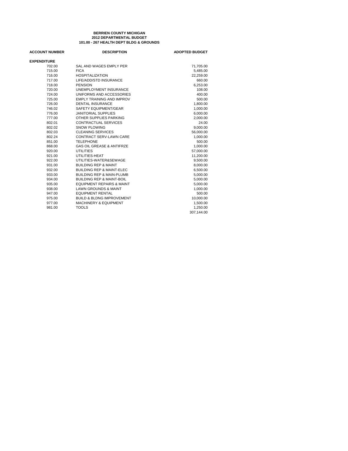# **101.00 - 267 HEALTH DEPT BLDG & GROUNDS BERRIEN COUNTY MICHIGAN 2012 DEPARTMENTAL BUDGET**

| <b>ACCOUNT NUMBER</b> | <b>DESCRIPTION</b>                   | <b>ADOPTED BUDGET</b> |
|-----------------------|--------------------------------------|-----------------------|
| <b>EXPENDITURE</b>    |                                      |                       |
| 702.00                | SAL AND WAGES EMPLY PER              | 71,705.00             |
| 715.00                | <b>FICA</b>                          | 5,485.00              |
| 716.00                | <b>HOSPITALIZATION</b>               | 22.259.00             |
| 717.00                | LIFE/ADD/STD INSURANCE               | 660.00                |
| 718.00                | <b>PENSION</b>                       | 6,253.00              |
| 720.00                | UNEMPLOYMENT INSURANCE               | 108.00                |
| 724.00                | UNIFORMS AND ACCESSORIES             | 400.00                |
| 725.00                | <b>EMPLY TRAINING AND IMPROV</b>     | 500.00                |
| 726.00                | <b>DENTAL INSURANCE</b>              | 1,800.00              |
| 746.02                | SAFETY EQUIPMENT/GEAR                | 1,000.00              |
| 776.00                | <b>JANITORIAL SUPPLIES</b>           | 6,000.00              |
| 777.00                | OTHER SUPPLIES PARKING               | 2,000.00              |
| 802.01                | CONTRACTUAL SERVICES                 | 24.00                 |
| 802.02                | <b>SNOW PLOWING</b>                  | 9,000.00              |
| 802.03                | CLEANING SERVICES                    | 56,000.00             |
| 802.24                | <b>CONTRACT SERV-LAWN CARE</b>       | 1,000.00              |
| 851.00                | <b>TELEPHONE</b>                     | 500.00                |
| 868.00                | <b>GAS OIL GREASE &amp; ANTIFRZE</b> | 1,000.00              |
| 920.00                | <b>UTILITIES</b>                     | 57,000.00             |
| 921.00                | UTILITIES-HEAT                       | 11,200.00             |
| 922.00                | UTILITIES-WATER&SEWAGE               | 9,500.00              |
| 931.00                | <b>BUILDING REP &amp; MAINT</b>      | 8.000.00              |
| 932.00                | <b>BUILDING REP &amp; MAINT-ELEC</b> | 6,500.00              |
| 933.00                | <b>BUILDING REP &amp; MAIN-PLUMB</b> | 5,000.00              |
| 934.00                | <b>BUILDING REP &amp; MAINT-BOIL</b> | 5,000.00              |
| 935.00                | <b>EQUIPMENT REPAIRS &amp; MAINT</b> | 5,000.00              |
| 938.00                | <b>LAWN GROUNDS &amp; MAINT</b>      | 1,000.00              |
| 947.00                | <b>EQUIPMENT RENTAL</b>              | 500.00                |
| 975.00                | <b>BUILD &amp; BLDNG IMPROVEMENT</b> | 10,000.00             |
| 977.00                | <b>MACHINERY &amp; EQUIPMENT</b>     | 1,500.00              |
| 981.00                | <b>TOOLS</b>                         | 1,250.00              |
|                       |                                      | 307,144.00            |
|                       |                                      |                       |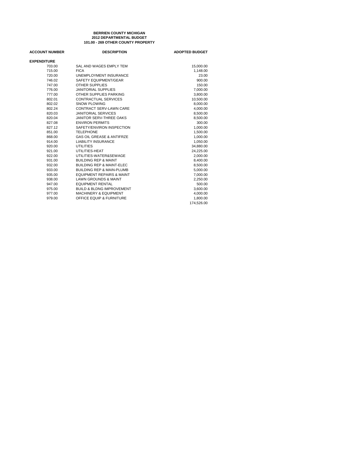# **101.00 - 269 OTHER COUNTY PROPERTY BERRIEN COUNTY MICHIGAN 2012 DEPARTMENTAL BUDGET**

| <b>ACCOUNT NUMBER</b> | <b>DESCRIPTION</b>                   | <b>ADOPTED BUDGET</b> |
|-----------------------|--------------------------------------|-----------------------|
| <b>EXPENDITURE</b>    |                                      |                       |
| 703.00                | SAL AND WAGES EMPLY TEM              | 15,000.00             |
| 715.00                | <b>FICA</b>                          | 1,148.00              |
| 720.00                | <b>UNEMPLOYMENT INSURANCE</b>        | 23.00                 |
| 746.02                | SAFETY EQUIPMENT/GEAR                | 900.00                |
| 747.00                | <b>OTHER SUPPLIES</b>                | 150.00                |
| 776.00                | <b>JANITORIAL SUPPLIES</b>           | 7,000.00              |
| 777.00                | OTHER SUPPLIES PARKING               | 3,800.00              |
| 802.01                | <b>CONTRACTUAL SERVICES</b>          | 10,500.00             |
| 802.02                | SNOW PLOWING                         | 8,000.00              |
| 802.24                | CONTRACT SERV-LAWN CARE              | 4,000.00              |
| 820.03                | <b>JANITORIAL SERVICES</b>           | 8,500.00              |
| 820.04                | JANITOR SERV-THREE OAKS              | 8,500.00              |
| 827.08                | <b>ENVIRON PERMITS</b>               | 300.00                |
| 827.12                | SAFETY/ENVIRON INSPECTION            | 1,000.00              |
| 851.00                | <b>TELEPHONE</b>                     | 1,500.00              |
| 868.00                | <b>GAS OIL GREASE &amp; ANTIFRZE</b> | 1,000.00              |
| 914.00                | <b>LIABILITY INSURANCE</b>           | 1,050.00              |
| 920.00                | <b>UTILITIES</b>                     | 34,880.00             |
| 921.00                | UTILITIES-HEAT                       | 24,225.00             |
| 922.00                | UTILITIES-WATER&SEWAGE               | 2,000.00              |
| 931.00                | <b>BUILDING REP &amp; MAINT</b>      | 8,400.00              |
| 932.00                | <b>BUILDING REP &amp; MAINT-ELEC</b> | 8,500.00              |
| 933.00                | <b>BUILDING REP &amp; MAIN-PLUMB</b> | 5,000.00              |
| 935.00                | <b>EQUIPMENT REPAIRS &amp; MAINT</b> | 7,000.00              |
| 938.00                | <b>LAWN GROUNDS &amp; MAINT</b>      | 2,250.00              |
| 947.00                | <b>EQUIPMENT RENTAL</b>              | 500.00                |
| 975.00                | <b>BUILD &amp; BLDNG IMPROVEMENT</b> | 3,600.00              |
| 977.00                | <b>MACHINERY &amp; EQUIPMENT</b>     | 4,000.00              |
| 979.00                | OFFICE EQUIP & FURNITURE             | 1,800.00              |
|                       |                                      | 174.526.00            |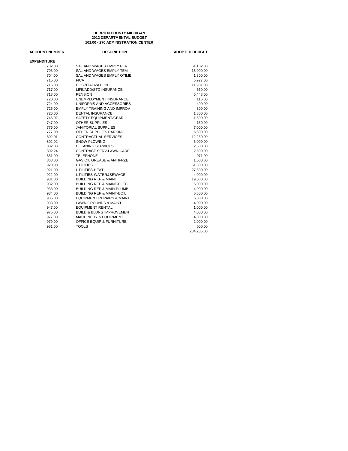# **101.00 - 270 ADMINISTRATION CENTER BERRIEN COUNTY MICHIGAN 2012 DEPARTMENTAL BUDGET**

| <b>ACCOUNT NUMBER</b> | <b>DESCRIPTION</b>                   | <b>ADOPTED BUDGET</b> |
|-----------------------|--------------------------------------|-----------------------|
| <b>EXPENDITURE</b>    |                                      |                       |
| 702.00                | SAL AND WAGES EMPLY PER              | 61,182.00             |
| 703.00                | SAL AND WAGES EMPLY TEM              | 15,000.00             |
| 704.00                | SAL AND WAGES EMPLY OTIME            | 1,300.00              |
| 715.00                | <b>FICA</b>                          | 5,927.00              |
| 716.00                | <b>HOSPITALIZATION</b>               | 11,981.00             |
| 717.00                | LIFE/ADD/STD INSURANCE               | 660.00                |
| 718.00                | <b>PENSION</b>                       | 5.448.00              |
| 720.00                | UNEMPLOYMENT INSURANCE               | 116.00                |
| 724.00                | UNIFORMS AND ACCESSORIES             | 400.00                |
| 725.00                | <b>EMPLY TRAINING AND IMPROV</b>     | 300.00                |
| 726.00                | <b>DENTAL INSURANCE</b>              | 1,800.00              |
| 746.02                | SAFETY EQUIPMENT/GEAR                | 1,500.00              |
| 747.00                | <b>OTHER SUPPLIES</b>                | 150.00                |
| 776.00                | <b>JANITORIAL SUPPLIES</b>           | 7,000.00              |
| 777.00                | OTHER SUPPLIES PARKING               | 6,500.00              |
| 802.01                | CONTRACTUAL SERVICES                 | 12,250.00             |
| 802.02                | <b>SNOW PLOWING</b>                  | 6,000.00              |
| 802.03                | CLEANING SERVICES                    | 2,500.00              |
| 802.24                | CONTRACT SERV-LAWN CARE              | 2,500.00              |
| 851.00                | <b>TELEPHONE</b>                     | 971.00                |
| 868.00                | <b>GAS OIL GREASE &amp; ANTIFRZE</b> | 1,000.00              |
| 920.00                | <b>UTILITIES</b>                     | 51.300.00             |
| 921.00                | UTILITIES-HEAT                       | 27,500.00             |
| 922.00                | UTILITIES-WATER&SEWAGE               | 4,000.00              |
| 931.00                | <b>BUILDING REP &amp; MAINT</b>      | 19,000.00             |
| 932.00                | <b>BUILDING REP &amp; MAINT-ELEC</b> | 6,000.00              |
| 933.00                | <b>BUILDING REP &amp; MAIN-PLUMB</b> | 4,000.00              |
| 934.00                | <b>BUILDING REP &amp; MAINT-BOIL</b> | 6,500.00              |
| 935.00                | <b>EQUIPMENT REPAIRS &amp; MAINT</b> | 6,000.00              |
| 938.00                | <b>LAWN GROUNDS &amp; MAINT</b>      | 4,000.00              |
| 947.00                | <b>EQUIPMENT RENTAL</b>              | 1,000.00              |
| 975.00                | <b>BUILD &amp; BLDNG IMPROVEMENT</b> | 4,000.00              |
| 977.00                | <b>MACHINERY &amp; EQUIPMENT</b>     | 4,000.00              |
| 979.00                | OFFICE EQUIP & FURNITURE             | 2,000.00              |
| 981.00                | <b>TOOLS</b>                         | 500.00                |
|                       |                                      | 284,285.00            |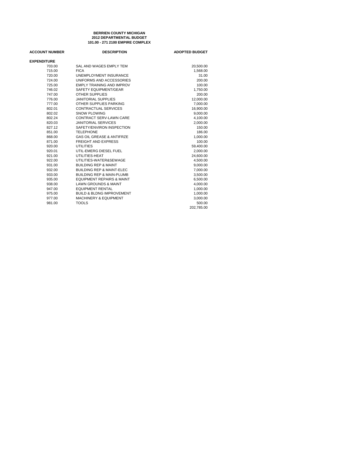# **BERRIEN COUNTY MICHIGAN 101.00 - 271 2100 EMPIRE COMPLEX 2012 DEPARTMENTAL BUDGET**

| <b>ACCOUNT NUMBER</b> | <b>DESCRIPTION</b>                   | <b>ADOPTED BUDGET</b> |
|-----------------------|--------------------------------------|-----------------------|
| <b>EXPENDITURE</b>    |                                      |                       |
| 703.00                | SAL AND WAGES EMPLY TEM              | 20,500.00             |
| 715.00                | <b>FICA</b>                          | 1,568.00              |
| 720.00                | UNEMPLOYMENT INSURANCE               | 31.00                 |
| 724.00                | UNIFORMS AND ACCESSORIES             | 200.00                |
| 725.00                | <b>EMPLY TRAINING AND IMPROV</b>     | 100.00                |
| 746.02                | SAFETY EQUIPMENT/GEAR                | 1,750.00              |
| 747.00                | <b>OTHER SUPPLIES</b>                | 200.00                |
| 776.00                | <b>JANITORIAL SUPPLIES</b>           | 12,000.00             |
| 777.00                | OTHER SUPPLIES PARKING               | 7,000.00              |
| 802.01                | CONTRACTUAL SERVICES                 | 16,900.00             |
| 802.02                | <b>SNOW PLOWING</b>                  | 9,000.00              |
| 802.24                | <b>CONTRACT SERV-LAWN CARE</b>       | 4,100.00              |
| 820.03                | <b>JANITORIAL SERVICES</b>           | 2,000.00              |
| 827.12                | SAFETY/ENVIRON INSPECTION            | 150.00                |
| 851.00                | <b>TELEPHONE</b>                     | 186.00                |
| 868.00                | <b>GAS OIL GREASE &amp; ANTIFRZE</b> | 1,000.00              |
| 871.00                | <b>FREIGHT AND EXPRESS</b>           | 100.00                |
| 920.00                | <b>UTILITIES</b>                     | 59,400.00             |
| 920.01                | UTIL-EMERG DIESEL FUEL               | 2,000.00              |
| 921.00                | UTILITIES-HEAT                       | 24,600.00             |
| 922.00                | UTILITIES-WATER&SEWAGE               | 4,500.00              |
| 931.00                | <b>BUILDING REP &amp; MAINT</b>      | 9,000.00              |
| 932.00                | <b>BUILDING REP &amp; MAINT-ELEC</b> | 7,000.00              |
| 933.00                | <b>BUILDING REP &amp; MAIN-PLUMB</b> | 3,500.00              |
| 935.00                | <b>EQUIPMENT REPAIRS &amp; MAINT</b> | 6,500.00              |
| 938.00                | <b>LAWN GROUNDS &amp; MAINT</b>      | 4,000.00              |
| 947.00                | <b>EQUIPMENT RENTAL</b>              | 1,000.00              |
| 975.00                | <b>BUILD &amp; BLDNG IMPROVEMENT</b> | 1,000.00              |
| 977.00                | <b>MACHINERY &amp; EQUIPMENT</b>     | 3,000.00              |
| 981.00                | <b>TOOLS</b>                         | 500.00                |
|                       |                                      | 202.785.00            |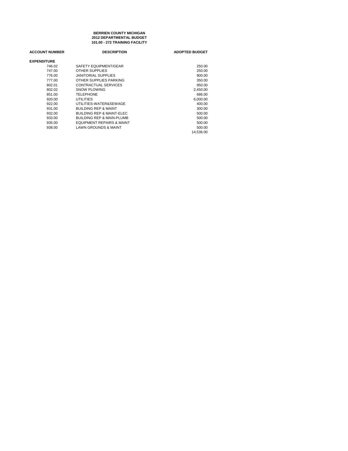**BERRIEN COUNTY MICHIGAN 101.00 - 272 TRAINING FACILITY 2012 DEPARTMENTAL BUDGET**

| <b>ACCOUNT NUMBER</b> | <b>DESCRIPTION</b>                   | <b>ADOPTED BUDGET</b> |
|-----------------------|--------------------------------------|-----------------------|
| <b>EXPENDITURE</b>    |                                      |                       |
| 746.02                | SAFETY EQUIPMENT/GEAR                | 250.00                |
| 747.00                | <b>OTHER SUPPLIES</b>                | 250.00                |
| 776.00                | <b>JANITORIAL SUPPLIES</b>           | 900.00                |
| 777.00                | OTHER SUPPLIES PARKING               | 350.00                |
| 802.01                | CONTRACTUAL SERVICES                 | 950.00                |
| 802.02                | SNOW PLOWING                         | 2,450.00              |
| 851.00                | <b>TELEPHONE</b>                     | 686.00                |
| 920.00                | <b>UTILITIES</b>                     | 6,000.00              |
| 922.00                | UTILITIES-WATER&SEWAGE               | 400.00                |
| 931.00                | <b>BUILDING REP &amp; MAINT</b>      | 300.00                |
| 932.00                | <b>BUILDING REP &amp; MAINT-ELEC</b> | 500.00                |
| 933.00                | <b>BUILDING REP &amp; MAIN-PLUMB</b> | 500.00                |
| 935.00                | <b>EQUIPMENT REPAIRS &amp; MAINT</b> | 500.00                |
| 938.00                | LAWN GROUNDS & MAINT                 | 500.00                |
|                       |                                      | 14.536.00             |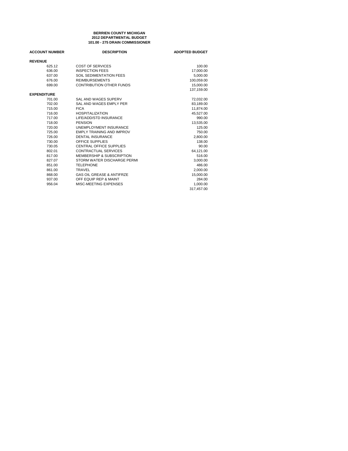### **101.00 - 275 DRAIN COMMISSIONER BERRIEN COUNTY MICHIGAN 2012 DEPARTMENTAL BUDGET**

| <b>ACCOUNT NUMBER</b> | <b>DESCRIPTION</b>                   | <b>ADOPTED BUDGET</b> |
|-----------------------|--------------------------------------|-----------------------|
| <b>REVENUE</b>        |                                      |                       |
| 625.12                | COST OF SERVICES                     | 100.00                |
| 636.00                | <b>INSPECTION FEES</b>               | 17,000.00             |
| 637.00                | SOIL SEDIMENTATION FEES              | 5,000.00              |
| 676.00                | <b>REIMBURSEMENTS</b>                | 100,059.00            |
| 699.00                | <b>CONTRIBUTION OTHER FUNDS</b>      | 15,000.00             |
|                       |                                      | 137.159.00            |
| <b>EXPENDITURE</b>    |                                      |                       |
| 701.00                | SAL AND WAGES SUPERV                 | 72,032.00             |
| 702.00                | SAL AND WAGES EMPLY PER              | 83,189.00             |
| 715.00                | <b>FICA</b>                          | 11.874.00             |
| 716.00                | <b>HOSPITALIZATION</b>               | 45,527.00             |
| 717.00                | LIFE/ADD/STD INSURANCE               | 990.00                |
| 718.00                | <b>PENSION</b>                       | 13,535.00             |
| 720.00                | <b>UNEMPLOYMENT INSURANCE</b>        | 125.00                |
| 725.00                | <b>EMPLY TRAINING AND IMPROV</b>     | 750.00                |
| 726.00                | <b>DENTAL INSURANCE</b>              | 2,800.00              |
| 730.00                | OFFICE SUPPLIES                      | 138.00                |
| 730.05                | <b>CENTRAL OFFICE SUPPLIES</b>       | 90.00                 |
| 802.01                | CONTRACTUAL SERVICES                 | 64,121.00             |
| 817.00                | MEMBERSHIP & SUBSCRIPTION            | 516.00                |
| 827.07                | STORM WATER DISCHARGE PERMI          | 3,000.00              |
| 851.00                | <b>TELEPHONE</b>                     | 486.00                |
| 861.00                | <b>TRAVEL</b>                        | 2,000.00              |
| 868.00                | <b>GAS OIL GREASE &amp; ANTIFRZE</b> | 15,000.00             |
| 937.00                | OFF EQUIP REP & MAINT                | 284.00                |
| 956.04                | MISC-MEETING EXPENSES                | 1,000.00              |
|                       |                                      | 317.457.00            |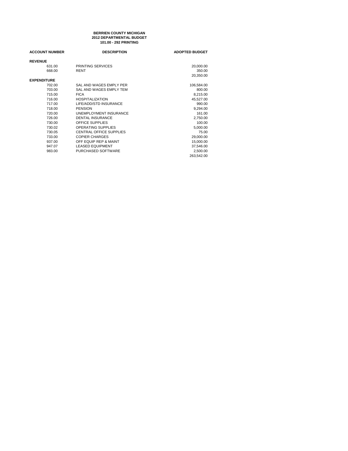### **BERRIEN COUNTY MICHIGAN 101.00 - 292 PRINTING 2012 DEPARTMENTAL BUDGET**

| <b>ACCOUNT NUMBER</b> | <b>DESCRIPTION</b>             | <b>ADOPTED BUDGET</b> |
|-----------------------|--------------------------------|-----------------------|
| <b>REVENUE</b>        |                                |                       |
| 631.00                | PRINTING SERVICES              | 20,000.00             |
| 668.00                | <b>RENT</b>                    | 350.00                |
|                       |                                | 20,350.00             |
| <b>EXPENDITURE</b>    |                                |                       |
| 702.00                | SAL AND WAGES EMPLY PER        | 106,584.00            |
| 703.00                | SAL AND WAGES EMPLY TEM        | 800.00                |
| 715.00                | <b>FICA</b>                    | 8,215.00              |
| 716.00                | <b>HOSPITALIZATION</b>         | 45,527.00             |
| 717.00                | LIFE/ADD/STD INSURANCE         | 990.00                |
| 718.00                | <b>PENSION</b>                 | 9,294.00              |
| 720.00                | UNEMPLOYMENT INSURANCE         | 161.00                |
| 726.00                | <b>DENTAL INSURANCE</b>        | 2,750.00              |
| 730.00                | <b>OFFICE SUPPLIES</b>         | 100.00                |
| 730.02                | <b>OPERATING SUPPLIES</b>      | 5,000.00              |
| 730.05                | <b>CENTRAL OFFICE SUPPLIES</b> | 75.00                 |
| 733.00                | <b>COPIER CHARGES</b>          | 29,000.00             |
| 937.00                | OFF EQUIP REP & MAINT          | 15,000.00             |
| 947.07                | <b>LEASED EQUIPMENT</b>        | 37,546.00             |
| 983.00                | PURCHASED SOFTWARE             | 2,500.00              |
|                       |                                | 263,542.00            |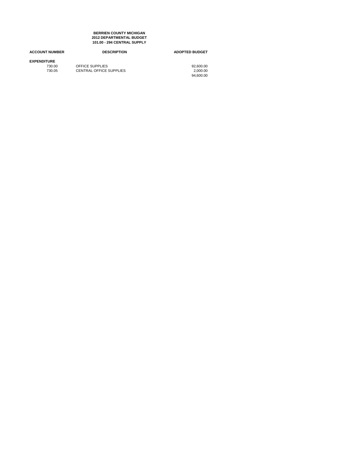**101.00 - 294 CENTRAL SUPPLY BERRIEN COUNTY MICHIGAN 2012 DEPARTMENTAL BUDGET**

| <b>ACCOUNT NUMBER</b> | <b>DESCRIPTION</b>             | <b>ADOPTED BUDGET</b> |
|-----------------------|--------------------------------|-----------------------|
| <b>EXPENDITURE</b>    |                                |                       |
| 730.00                | OFFICE SUPPLIES                | 92.600.00             |
| 730.05                | <b>CENTRAL OFFICE SUPPLIES</b> | 2.000.00              |
|                       |                                | 94.600.00             |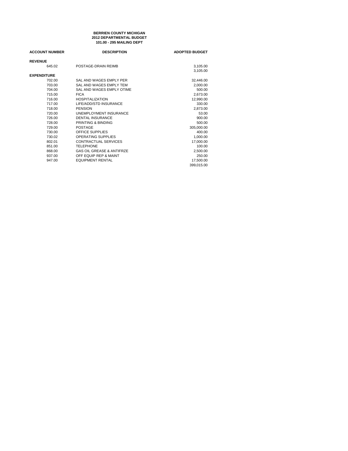### **101.00 - 295 MAILING DEPT BERRIEN COUNTY MICHIGAN 2012 DEPARTMENTAL BUDGET**

| <b>ACCOUNT NUMBER</b> | <b>DESCRIPTION</b>                   | <b>ADOPTED BUDGET</b> |
|-----------------------|--------------------------------------|-----------------------|
| <b>REVENUE</b>        |                                      |                       |
| 645.02                | POSTAGE-DRAIN REIMB                  | 3,105.00              |
|                       |                                      | 3,105.00              |
| <b>EXPENDITURE</b>    |                                      |                       |
| 702.00                | SAL AND WAGES EMPLY PER              | 32,446.00             |
| 703.00                | SAL AND WAGES EMPLY TEM              | 2,000.00              |
| 704.00                | SAL AND WAGES EMPLY OTIME            | 500.00                |
| 715.00                | <b>FICA</b>                          | 2,673.00              |
| 716.00                | <b>HOSPITALIZATION</b>               | 12,990.00             |
| 717.00                | LIFE/ADD/STD INSURANCE               | 330.00                |
| 718.00                | <b>PENSION</b>                       | 2,873.00              |
| 720.00                | <b>UNEMPLOYMENT INSURANCE</b>        | 53.00                 |
| 726.00                | <b>DENTAL INSURANCE</b>              | 900.00                |
| 728.00                | PRINTING & BINDING                   | 500.00                |
| 729.00                | POSTAGE                              | 305,000.00            |
| 730.00                | OFFICE SUPPLIES                      | 400.00                |
| 730.02                | <b>OPERATING SUPPLIES</b>            | 1,000.00              |
| 802.01                | <b>CONTRACTUAL SERVICES</b>          | 17,000.00             |
| 851.00                | <b>TELEPHONE</b>                     | 100.00                |
| 868.00                | <b>GAS OIL GREASE &amp; ANTIFRZE</b> | 2,500.00              |
| 937.00                | OFF EQUIP REP & MAINT                | 250.00                |
| 947.00                | <b>EQUIPMENT RENTAL</b>              | 17,500.00             |
|                       |                                      | 399.015.00            |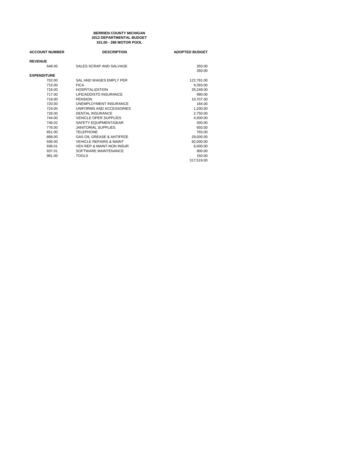### **101.00 - 296 MOTOR POOL BERRIEN COUNTY MICHIGAN 2012 DEPARTMENTAL BUDGET**

| <b>ACCOUNT NUMBER</b> | <b>DESCRIPTION</b>                   | <b>ADOPTED BUDGET</b> |
|-----------------------|--------------------------------------|-----------------------|
| <b>REVENUE</b>        |                                      |                       |
| 648.00                | SALES SCRAP AND SALVAGE              | 350.00                |
|                       |                                      | 350.00                |
| <b>EXPENDITURE</b>    |                                      |                       |
| 702.00                | SAL AND WAGES EMPLY PER              | 122,781.00            |
| 715.00                | <b>FICA</b>                          | 9.393.00              |
| 716.00                | <b>HOSPITALIZATION</b>               | 35,249.00             |
| 717.00                | LIFE/ADD/STD INSURANCE               | 990.00                |
| 718.00                | <b>PENSION</b>                       | 10,707.00             |
| 720.00                | UNEMPLOYMENT INSURANCE               | 184.00                |
| 724.00                | UNIFORMS AND ACCESSORIES             | 1,200.00              |
| 726.00                | <b>DENTAL INSURANCE</b>              | 2,750.00              |
| 744.00                | <b>VEHICLE OPER SUPPLIES</b>         | 4,500.00              |
| 746.02                | SAFETY EQUIPMENT/GEAR                | 300.00                |
| 776.00                | <b>JANITORIAL SUPPLIES</b>           | 650.00                |
| 851.00                | <b>TELEPHONE</b>                     | 765.00                |
| 868.00                | <b>GAS OIL GREASE &amp; ANTIFRZE</b> | 29,000.00             |
| 936.00                | <b>VEHICLE REPAIRS &amp; MAINT</b>   | 92,000.00             |
| 936.01                | <b>VEH REP &amp; MAINT-NON INSUR</b> | 6,000.00              |
| 937.01                | SOFTWARE MAINTENANCE                 | 900.00                |
| 981.00                | <b>TOOLS</b>                         | 150.00                |
|                       |                                      | 317,519.00            |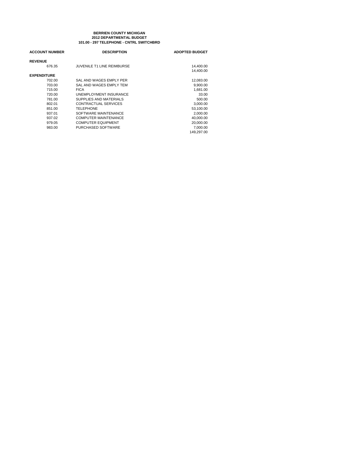### **101.00 - 297 TELEPHONE - CNTRL SWITCHBRD BERRIEN COUNTY MICHIGAN 2012 DEPARTMENTAL BUDGET**

| <b>ACCOUNT NUMBER</b> | <b>DESCRIPTION</b>                | <b>ADOPTED BUDGET</b> |
|-----------------------|-----------------------------------|-----------------------|
| <b>REVENUE</b>        |                                   |                       |
| 676.35                | <b>JUVENILE T1 LINE REIMBURSE</b> | 14,400.00             |
|                       |                                   | 14.400.00             |
| <b>EXPENDITURE</b>    |                                   |                       |
| 702.00                | SAL AND WAGES EMPLY PER           | 12,083.00             |
| 703.00                | SAL AND WAGES EMPLY TEM           | 9.900.00              |
| 715.00                | <b>FICA</b>                       | 1,681.00              |
| 720.00                | UNEMPLOYMENT INSURANCE            | 33.00                 |
| 781.00                | SUPPLIES AND MATERIALS            | 500.00                |
| 802.01                | CONTRACTUAL SERVICES              | 3,000.00              |
| 851.00                | <b>TELEPHONE</b>                  | 53,100.00             |
| 937.01                | SOFTWARE MAINTENANCE              | 2,000.00              |
| 937.02                | COMPUTER MAINTENANCE              | 40,000.00             |
| 979.05                | <b>COMPUTER EQUIPMENT</b>         | 20,000,00             |
| 983.00                | PURCHASED SOFTWARE                | 7.000.00              |
|                       |                                   | 149.297.00            |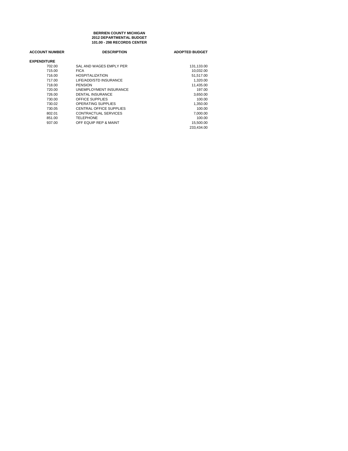**101.00 - 298 RECORDS CENTER BERRIEN COUNTY MICHIGAN 2012 DEPARTMENTAL BUDGET**

| <b>ACCOUNT NUMBER</b> | <b>DESCRIPTION</b>            | <b>ADOPTED BUDGET</b> |
|-----------------------|-------------------------------|-----------------------|
| <b>EXPENDITURE</b>    |                               |                       |
| 702.00                | SAL AND WAGES EMPLY PER       | 131,133.00            |
| 715.00                | <b>FICA</b>                   | 10.032.00             |
| 716.00                | <b>HOSPITALIZATION</b>        | 51,517.00             |
| 717.00                | LIFE/ADD/STD INSURANCE        | 1,320.00              |
| 718.00                | <b>PENSION</b>                | 11.435.00             |
| 720.00                | <b>UNEMPLOYMENT INSURANCE</b> | 197.00                |
| 726.00                | DENTAL INSURANCE              | 3,650.00              |
| 730.00                | OFFICE SUPPLIES               | 100.00                |
| 730.02                | <b>OPERATING SUPPLIES</b>     | 1,350.00              |
| 730.05                | CENTRAL OFFICE SUPPLIES       | 100.00                |
| 802.01                | CONTRACTUAL SERVICES          | 7.000.00              |
| 851.00                | <b>TELEPHONE</b>              | 100.00                |
| 937.00                | OFF EQUIP REP & MAINT         | 15,500.00             |
|                       |                               | 233.434.00            |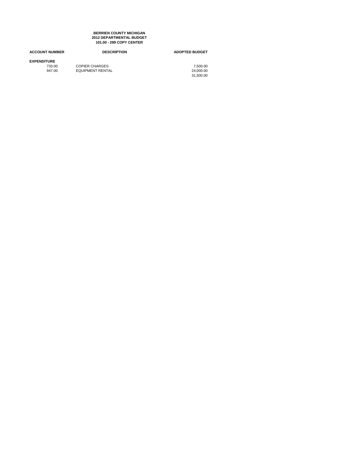### **BERRIEN COUNTY MICHIGAN 2012 DEPARTMENTAL BUDGET 101.00 - 299 COPY CENTER**

| <b>ACCOUNT NUMBER</b> | <b>DESCRIPTION</b>      | <b>ADOPTED BUDGET</b> |
|-----------------------|-------------------------|-----------------------|
| <b>EXPENDITURE</b>    |                         |                       |
| 733.00                | <b>COPIER CHARGES</b>   | 7.500.00              |
| 947.00                | <b>EQUIPMENT RENTAL</b> | 24.000.00             |
|                       |                         | 31.500.00             |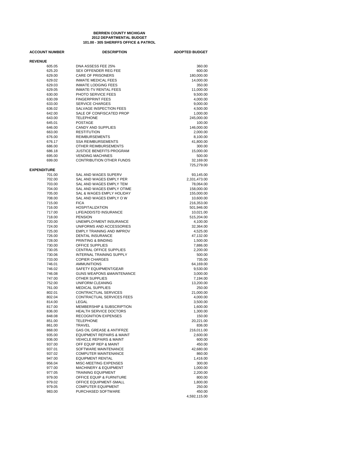### **101.00 - 305 SHERIFFS OFFICE & PATROL BERRIEN COUNTY MICHIGAN 2012 DEPARTMENTAL BUDGET**

| <b>ACCOUNT NUMBER</b> | <b>DESCRIPTION</b>                   | <b>ADOPTED BUDGET</b> |
|-----------------------|--------------------------------------|-----------------------|
| <b>REVENUE</b>        |                                      |                       |
| 605.05                | DNA ASSESS FEE 25%                   | 360.00                |
| 625.20                | <b>SEX OFFENDER REG FEE</b>          | 600.00                |
| 629.00                | <b>CARE OF PRISONERS</b>             | 180,000.00            |
| 629.02                | <b>INMATE MEDICAL FEES</b>           | 14,000.00             |
| 629.03                | <b>INMATE LODGING FEES</b>           | 350.00                |
| 629.05                | <b>INMATE-TV RENTAL FEES</b>         | 11,000.00             |
| 630.00                | PHOTO SERVICE FEES                   | 9,500.00              |
| 630.09                | <b>FINGERPRINT FEES</b>              | 4,000.00              |
| 633.00                | <b>SERVICE CHARGES</b>               | 9,000.00              |
| 636.02                | SALVAGE INSPECTION FEES              | 4,500.00              |
| 642.00                | SALE OF CONFISCATED PROP             | 1,000.00              |
| 643.00                | <b>TELEPHONE</b>                     | 245,000.00            |
| 645.01                | <b>POSTAGE</b>                       | 100.00                |
| 646.00                | CANDY AND SUPPLIES                   | 146,000.00            |
| 663.00                | <b>RESTITUTION</b>                   | 2,000.00              |
| 676.00                | <b>REIMBURSEMENTS</b>                | 8,100.00              |
| 676.17                | <b>SSA REIMBURSEMENTS</b>            | 41,800.00             |
| 686.00                | OTHER REIMBURSEMENTS                 | 300.00                |
| 686.18                | <b>JUSTICE BENEFITS PROGRAM</b>      | 15,000.00             |
| 695.00                | <b>VENDING MACHINES</b>              | 500.00                |
| 699.00                | CONTRIBUTION OTHER FUNDS             | 32,169.00             |
|                       |                                      |                       |
| <b>EXPENDITURE</b>    |                                      | 725,279.00            |
| 701.00                | <b>SAL AND WAGES SUPERV</b>          | 93,145.00             |
| 702.00                | SAL AND WAGES EMPLY PER              | 2,331,473.00          |
| 703.00                | SAL AND WAGES EMPLY TEM              | 78,064.00             |
| 704.00                | SAL AND WAGES EMPLY OTIME            | 158,000.00            |
| 705.00                | <b>SAL &amp; WAGES EMPLY HOLIDAY</b> | 155,000.00            |
| 708.00                | SAL AND WAGES EMPLY OW               | 10,600.00             |
| 715.00                | <b>FICA</b>                          | 216,353.00            |
| 716.00                | <b>HOSPITALIZATION</b>               | 501,946.00            |
| 717.00                | LIFE/ADD/STD INSURANCE               | 10,021.00             |
| 718.00                | <b>PENSION</b>                       | 515,204.00            |
| 720.00                | UNEMPLOYMENT INSURANCE               | 4,100.00              |
| 724.00                | UNIFORMS AND ACCESSORIES             | 32,364.00             |
| 725.00                | EMPLY TRAINING AND IMPROV            | 4,525.00              |
| 726.00                | DENTAL INSURANCE                     | 47,132.00             |
| 728.00                | PRINTING & BINDING                   | 1,500.00              |
| 730.00                | OFFICE SUPPLIES                      | 7,886.00              |
| 730.05                | CENTRAL OFFICE SUPPLIES              | 2,200.00              |
| 730.06                | <b>INTERNAL TRAINING SUPPLY</b>      |                       |
|                       | <b>COPIER CHARGES</b>                | 500.00                |
| 733.00                | <b>AMMUNITIONS</b>                   | 735.00                |
| 746.01                |                                      | 64,169.00             |
| 746.02                | SAFETY EQUIPMENT/GEAR                | 9,530.00              |
| 746.08                | <b>GUNS WEAPONS &amp;MAINTENANCE</b> | 3,000.00              |
| 747.00                | <b>OTHER SUPPLIES</b>                | 7,194.00              |
| 752.00                | UNIFORM CLEANING                     | 13,200.00             |
| 761.00                | <b>MEDICAL SUPPLIES</b>              | 250.00                |
| 802.01                | <b>CONTRACTUAL SERVICES</b>          | 21,000.00             |
| 802.04                | CONTRACTUAL SERVICES FEES            | 4,000.00              |
| 814.00                | LEGAL                                | 3,500.00              |
| 817.00                | MEMBERSHIP & SUBSCRIPTION            | 1,600.00              |
| 836.00                | <b>HEALTH SERVICE DOCTORS</b>        | 1,300.00              |
| 848.08                | <b>RECOGNITION EXPENSES</b>          | 150.00                |
| 851.00                | <b>TELEPHONE</b>                     | 20,221.00             |
| 861.00                | TRAVEL                               | 836.00                |
| 868.00                | <b>GAS OIL GREASE &amp; ANTIFRZE</b> | 216,011.00            |
| 935.00                | EQUIPMENT REPAIRS & MAINT            | 2,600.00              |
| 936.00                | <b>VEHICLE REPAIRS &amp; MAINT</b>   | 600.00                |
| 937.00                | OFF EQUIP REP & MAINT                | 450.00                |
| 937.01                | SOFTWARE MAINTENANCE                 | 42,680.00             |
| 937.02                | <b>COMPUTER MAINTENANCE</b>          | 860.00                |
| 947.00                | <b>EQUIPMENT RENTAL</b>              | 1,416.00              |
| 956.04                | MISC-MEETING EXPENSES                | 300.00                |
| 977.00                | <b>MACHINERY &amp; EQUIPMENT</b>     | 1,000.00              |
| 977.05                | <b>TRAINING EQUIPMENT</b>            | 2,200.00              |
| 979.00                | OFFICE EQUIP & FURNITURE             | 800.00                |
| 979.02                | OFFICE EQUIPMENT-SMALL               | 1,800.00              |
| 979.05                | <b>COMPUTER EQUIPMENT</b>            | 250.00                |
| 983.00                | PURCHASED SOFTWARE                   | 450.00                |
|                       |                                      | 4,592,115.00          |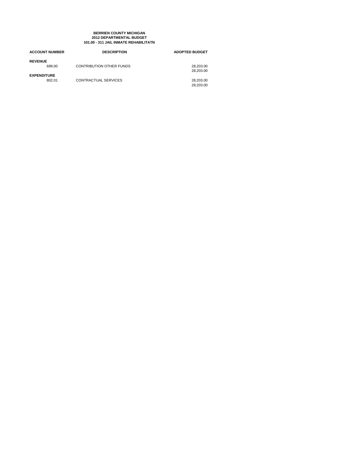### **BERRIEN COUNTY MICHIGAN 101.00 - 311 JAIL INMATE REHABILITATN 2012 DEPARTMENTAL BUDGET**

| <b>ACCOUNT NUMBER</b> | <b>DESCRIPTION</b>          | <b>ADOPTED BUDGET</b> |
|-----------------------|-----------------------------|-----------------------|
| <b>REVENUE</b>        |                             |                       |
| 699.00                | CONTRIBUTION OTHER FUNDS    | 28.203.00             |
|                       |                             | 28.203.00             |
| <b>EXPENDITURE</b>    |                             |                       |
| 802.01                | <b>CONTRACTUAL SERVICES</b> | 28.203.00             |
|                       |                             | 28.203.00             |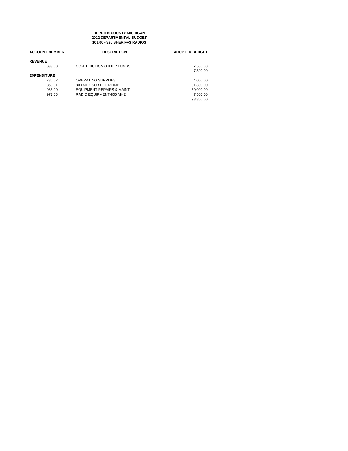**101.00 - 325 SHERIFFS RADIOS BERRIEN COUNTY MICHIGAN 2012 DEPARTMENTAL BUDGET**

| <b>ACCOUNT NUMBER</b> | <b>DESCRIPTION</b>                   | <b>ADOPTED BUDGET</b> |
|-----------------------|--------------------------------------|-----------------------|
| <b>REVENUE</b>        |                                      |                       |
| 699.00                | <b>CONTRIBUTION OTHER FUNDS</b>      | 7,500.00              |
|                       |                                      | 7.500.00              |
| <b>EXPENDITURE</b>    |                                      |                       |
| 730.02                | OPERATING SUPPLIES                   | 4.000.00              |
| 853.01                | 800 MHZ SUB FEE REIMB                | 31,800.00             |
| 935.00                | <b>EQUIPMENT REPAIRS &amp; MAINT</b> | 50,000.00             |
| 977.06                | RADIO EQUIPMENT-800 MHZ              | 7.500.00              |
|                       |                                      | 93.300.00             |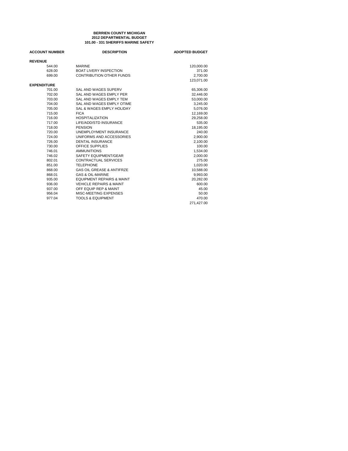# **101.00 - 331 SHERIFFS MARINE SAFETY BERRIEN COUNTY MICHIGAN 2012 DEPARTMENTAL BUDGET**

| <b>ACCOUNT NUMBER</b> | <b>DESCRIPTION</b>                   | <b>ADOPTED BUDGET</b> |
|-----------------------|--------------------------------------|-----------------------|
| <b>REVENUE</b>        |                                      |                       |
| 544.00                | <b>MARINE</b>                        | 120,000.00            |
| 628.00                | <b>BOAT LIVERY INSPECTION</b>        | 371.00                |
| 699.00                | <b>CONTRIBUTION OTHER FUNDS</b>      | 2,700.00              |
|                       |                                      | 123,071.00            |
| <b>EXPENDITURE</b>    |                                      |                       |
| 701.00                | SAL AND WAGES SUPERV                 | 65,306.00             |
| 702.00                | SAL AND WAGES EMPLY PER              | 32,446.00             |
| 703.00                | SAL AND WAGES EMPLY TEM              | 53,000.00             |
| 704.00                | SAL AND WAGES EMPLY OTIME            | 3,245.00              |
| 705.00                | SAL & WAGES EMPLY HOLIDAY            | 5,076.00              |
| 715.00                | <b>FICA</b>                          | 12.169.00             |
| 716.00                | <b>HOSPITALIZATION</b>               | 29,258.00             |
| 717.00                | LIFE/ADD/STD INSURANCE               | 535.00                |
| 718.00                | <b>PENSION</b>                       | 18,195.00             |
| 720.00                | UNEMPLOYMENT INSURANCE               | 240.00                |
| 724.00                | UNIFORMS AND ACCESSORIES             | 2,900.00              |
| 726.00                | <b>DENTAL INSURANCE</b>              | 2,100.00              |
| 730.00                | OFFICE SUPPLIES                      | 100.00                |
| 746.01                | <b>AMMUNITIONS</b>                   | 1,534.00              |
| 746.02                | SAFETY EQUIPMENT/GEAR                | 2,000.00              |
| 802.01                | <b>CONTRACTUAL SERVICES</b>          | 275.00                |
| 851.00                | <b>TELEPHONE</b>                     | 1,020.00              |
| 868.00                | <b>GAS OIL GREASE &amp; ANTIFRZE</b> | 10,588.00             |
| 868.01                | <b>GAS &amp; OIL-MARINE</b>          | 9,993.00              |
| 935.00                | <b>EQUIPMENT REPAIRS &amp; MAINT</b> | 20.282.00             |
| 936.00                | <b>VEHICLE REPAIRS &amp; MAINT</b>   | 600.00                |
| 937.00                | OFF EQUIP REP & MAINT                | 45.00                 |
| 956.04                | MISC-MEETING EXPENSES                | 50.00                 |
| 977.04                | <b>TOOLS &amp; EQUIPMENT</b>         | 470.00                |
|                       |                                      | 271,427.00            |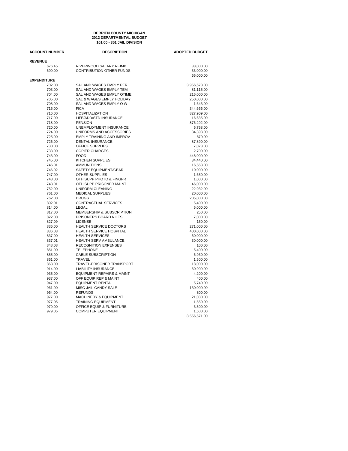# **101.00 - 351 JAIL DIVISION BERRIEN COUNTY MICHIGAN 2012 DEPARTMENTAL BUDGET**

| <b>ACCOUNT NUMBER</b> | <b>DESCRIPTION</b>                                   | <b>ADOPTED BUDGET</b> |
|-----------------------|------------------------------------------------------|-----------------------|
| <b>REVENUE</b>        |                                                      |                       |
| 676.45                | RIVERWOOD SALARY REIMB                               | 33,000.00             |
| 699.00                | <b>CONTRIBUTION OTHER FUNDS</b>                      | 33,000.00             |
| <b>EXPENDITURE</b>    |                                                      | 66,000.00             |
| 702.00                | SAL AND WAGES EMPLY PER                              | 3,956,678.00          |
| 703.00                | SAL AND WAGES EMPLY TEM                              | 81,115.00             |
| 704.00                | SAL AND WAGES EMPLY OTIME                            | 216,000.00            |
| 705.00                | SAL & WAGES EMPLY HOLIDAY                            | 250,000.00            |
| 708.00                | SAL AND WAGES EMPLY OW                               | 1,643.00              |
| 715.00                | <b>FICA</b>                                          | 344,666.00            |
| 716.00                | <b>HOSPITALIZATION</b>                               | 827,909.00            |
| 717.00                | LIFE/ADD/STD INSURANCE                               | 16,635.00             |
| 718.00                | <b>PENSION</b>                                       | 876,292.00            |
| 720.00                | UNEMPLOYMENT INSURANCE                               | 6,758.00              |
| 724.00                | UNIFORMS AND ACCESSORIES                             | 34,398.00             |
| 725.00                | EMPLY TRAINING AND IMPROV                            | 870.00                |
| 726.00                | <b>DENTAL INSURANCE</b>                              | 87,890.00             |
| 730.00                | OFFICE SUPPLIES                                      | 7,073.00              |
| 733.00                | <b>COPIER CHARGES</b>                                | 2,700.00              |
| 743.00                | <b>FOOD</b>                                          | 448,000.00            |
| 745.00                | <b>KITCHEN SUPPLIES</b>                              | 34,440.00             |
| 746.01                | <b>AMMUNITIONS</b>                                   | 16,563.00             |
| 746.02                | SAFETY EQUIPMENT/GEAR                                | 10,000.00             |
| 747.00                | <b>OTHER SUPPLIES</b>                                | 1,650.00              |
| 748.00                | OTH SUPP PHOTO & FINGPR                              | 1,000.00              |
| 748.01                | OTH SUPP PRISONER MAINT                              | 46,000.00             |
| 752.00                | UNIFORM CLEANING                                     | 22,932.00             |
| 761.00                | <b>MEDICAL SUPPLIES</b>                              | 20,000.00             |
| 762.00                | <b>DRUGS</b>                                         | 205,000.00            |
| 802.01                | CONTRACTUAL SERVICES                                 | 5,400.00              |
| 814.00                | LEGAL                                                | 5,000.00              |
| 817.00                | MEMBERSHIP & SUBSCRIPTION                            | 250.00                |
| 822.00                | PRISONERS BOARD NILES                                | 7,000.00              |
| 827.09                | <b>LICENSE</b>                                       | 150.00                |
| 836.00                | HEALTH SERVICE DOCTORS                               | 271,000.00            |
| 836.03                | HEALTH SERVICE HOSPITAL                              | 400,000.00            |
| 837.00                | <b>HEALTH SERVICES</b>                               | 60,000.00             |
| 837.01                | HEALTH SERV AMBULANCE<br><b>RECOGNITION EXPENSES</b> | 30,000.00             |
| 848.08                | <b>TELEPHONE</b>                                     | 100.00                |
| 851.00<br>855.00      | <b>CABLE SUBSCRIPTION</b>                            | 5,400.00              |
| 861.00                | TRAVEL                                               | 6,930.00              |
| 863.00                | TRAVEL-PRISONER TRANSPORT                            | 1,500.00<br>18,000.00 |
| 914.00                | <b>LIABILITY INSURANCE</b>                           | 60,909.00             |
| 935.00                | <b>EQUIPMENT REPAIRS &amp; MAINT</b>                 | 4,200.00              |
| 937.00                | OFF EQUIP REP & MAINT                                | 400.00                |
| 947.00                | <b>EQUIPMENT RENTAL</b>                              | 5,740.00              |
| 961.00                | MISC-JAIL CANDY SALE                                 | 130,000.00            |
| 964.00                | <b>REFUNDS</b>                                       | 800.00                |
| 977.00                | <b>MACHINERY &amp; EQUIPMENT</b>                     | 21,030.00             |
| 977.05                | <b>TRAINING EQUIPMENT</b>                            | 1,550.00              |
| 979.00                | OFFICE EQUIP & FURNITURE                             | 3,500.00              |
| 979.05                | <b>COMPUTER EQUIPMENT</b>                            | 1,500.00              |
|                       |                                                      | 8,556,571.00          |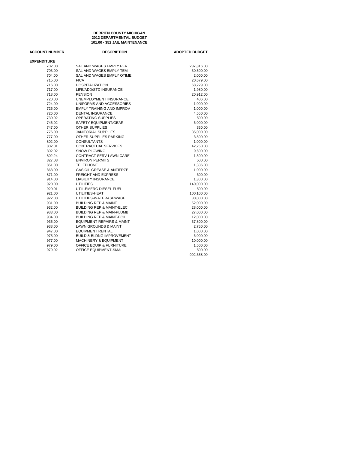### **101.00 - 352 JAIL MAINTENANCE BERRIEN COUNTY MICHIGAN 2012 DEPARTMENTAL BUDGET**

| <b>ACCOUNT NUMBER</b> | <b>DESCRIPTION</b>                   | <b>ADOPTED BUDGET</b> |
|-----------------------|--------------------------------------|-----------------------|
| <b>EXPENDITURE</b>    |                                      |                       |
| 702.00                | SAL AND WAGES EMPLY PER              | 237,816.00            |
| 703.00                | SAL AND WAGES EMPLY TEM              | 30,500.00             |
| 704.00                | SAL AND WAGES EMPLY OTIME            | 2,000.00              |
| 715.00                | <b>FICA</b>                          | 20,679.00             |
| 716.00                | <b>HOSPITALIZATION</b>               | 68,229.00             |
| 717.00                | LIFE/ADD/STD INSURANCE               | 1,980.00              |
| 718.00                | <b>PENSION</b>                       | 20,912.00             |
| 720.00                | UNEMPLOYMENT INSURANCE               | 406.00                |
| 724.00                | UNIFORMS AND ACCESSORIES             | 1,000.00              |
| 725.00                | <b>EMPLY TRAINING AND IMPROV</b>     | 1,000.00              |
| 726.00                | <b>DENTAL INSURANCE</b>              | 4,550.00              |
| 730.02                | <b>OPERATING SUPPLIES</b>            | 500.00                |
| 746.02                | SAFETY EQUIPMENT/GEAR                | 6,000.00              |
| 747.00                | OTHER SUPPLIES                       | 350.00                |
| 776.00                | <b>JANITORIAL SUPPLIES</b>           | 35,000.00             |
| 777.00                | OTHER SUPPLIES PARKING               | 3,500.00              |
| 802.00                | <b>CONSULTANTS</b>                   | 1,000.00              |
| 802.01                | <b>CONTRACTUAL SERVICES</b>          | 42,250.00             |
| 802.02                | <b>SNOW PLOWING</b>                  | 9,600.00              |
| 802.24                | CONTRACT SERV-LAWN CARE              | 1,500.00              |
| 827.08                | <b>ENVIRON PERMITS</b>               | 500.00                |
| 851.00                | <b>TELEPHONE</b>                     | 1,336.00              |
| 868.00                | <b>GAS OIL GREASE &amp; ANTIFRZE</b> | 1,000.00              |
| 871.00                | <b>FREIGHT AND EXPRESS</b>           | 300.00                |
| 914.00                | <b>LIABILITY INSURANCE</b>           | 1,300.00              |
| 920.00                | <b>UTILITIES</b>                     | 140,000.00            |
| 920.01                | UTIL-EMERG DIESEL FUEL               | 500.00                |
| 921.00                | UTILITIES-HEAT                       | 100,100.00            |
| 922.00                | UTILITIES-WATER&SEWAGE               | 80,000.00             |
| 931.00                | <b>BUILDING REP &amp; MAINT</b>      | 52,000.00             |
| 932.00                | <b>BUILDING REP &amp; MAINT-ELEC</b> | 28,000.00             |
| 933.00                | <b>BUILDING REP &amp; MAIN-PLUMB</b> | 27,000.00             |
| 934.00                | <b>BUILDING REP &amp; MAINT-BOIL</b> | 12,000.00             |
| 935.00                | <b>EQUIPMENT REPAIRS &amp; MAINT</b> | 37,800.00             |
| 938.00                | <b>LAWN GROUNDS &amp; MAINT</b>      | 2,750.00              |
| 947.00                | <b>EQUIPMENT RENTAL</b>              | 1,000.00              |
| 975.00                | <b>BUILD &amp; BLDNG IMPROVEMENT</b> | 6,000.00              |
| 977.00                | MACHINERY & EQUIPMENT                | 10,000.00             |
| 979.00                | OFFICE EQUIP & FURNITURE             | 1,500.00              |
| 979.02                | OFFICE EQUIPMENT-SMALL               | 500.00                |
|                       |                                      | 992,358.00            |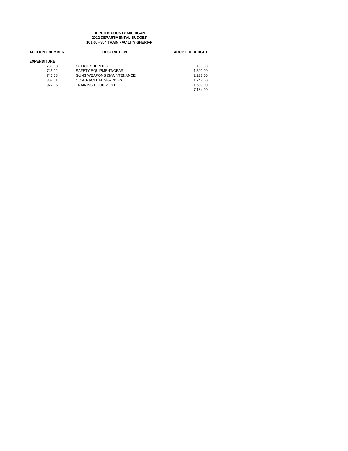### **101.00 - 354 TRAIN FACILITY-SHERIFF BERRIEN COUNTY MICHIGAN 2012 DEPARTMENTAL BUDGET**

| <b>ACCOUNT NUMBER</b> | <b>DESCRIPTION</b>                   | <b>ADOPTED BUDGET</b> |
|-----------------------|--------------------------------------|-----------------------|
| <b>EXPENDITURE</b>    |                                      |                       |
| 730.00                | OFFICE SUPPLIES                      | 100.00                |
| 746.02                | SAFETY EQUIPMENT/GEAR                | 1.500.00              |
| 746.08                | <b>GUNS WEAPONS &amp;MAINTENANCE</b> | 2.233.00              |
| 802.01                | CONTRACTUAL SERVICES                 | 1.742.00              |
| 977.05                | <b>TRAINING EQUIPMENT</b>            | 1.609.00              |
|                       |                                      | 7.184.00              |
|                       |                                      |                       |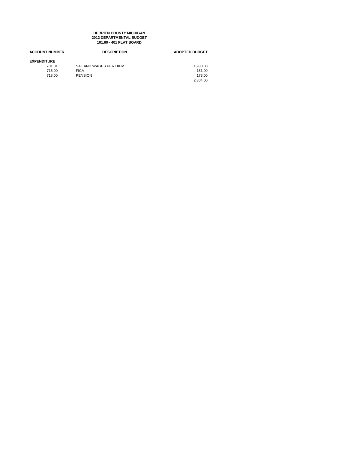### **101.00 - 401 PLAT BOARD BERRIEN COUNTY MICHIGAN 2012 DEPARTMENTAL BUDGET**

| <b>ACCOUNT NUMBER</b> | <b>DESCRIPTION</b>     | <b>ADOPTED BUDGET</b> |
|-----------------------|------------------------|-----------------------|
| <b>EXPENDITURE</b>    |                        |                       |
| 701.01                | SAL AND WAGES PER DIEM | 1,980.00              |
| 715.00                | <b>FICA</b>            | 151.00                |
| 718.00                | <b>PENSION</b>         | 173.00                |
|                       |                        | 2.304.00              |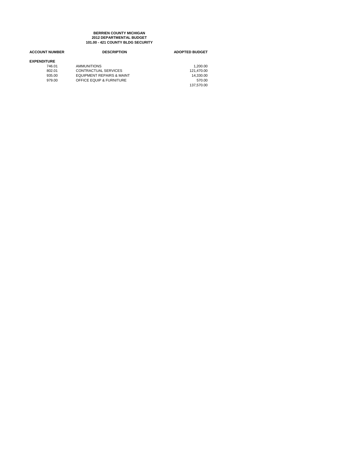### **101.00 - 421 COUNTY BLDG SECURITY BERRIEN COUNTY MICHIGAN 2012 DEPARTMENTAL BUDGET**

| <b>ACCOUNT NUMBER</b> | <b>DESCRIPTION</b>                   | <b>ADOPTED BUDGET</b> |
|-----------------------|--------------------------------------|-----------------------|
| <b>EXPENDITURE</b>    |                                      |                       |
| 746.01                | <b>AMMUNITIONS</b>                   | 1.200.00              |
| 802.01                | <b>CONTRACTUAL SERVICES</b>          | 121.470.00            |
| 935.00                | <b>EQUIPMENT REPAIRS &amp; MAINT</b> | 14.330.00             |
| 979.00                | OFFICE EQUIP & FURNITURE             | 570.00                |
|                       |                                      | 137.570.00            |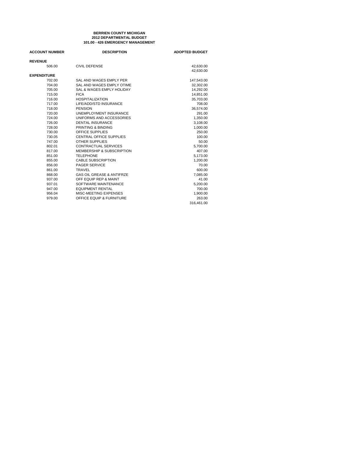### **101.00 - 426 EMERGENCY MANAGEMENT BERRIEN COUNTY MICHIGAN 2012 DEPARTMENTAL BUDGET**

| <b>ACCOUNT NUMBER</b> | <b>DESCRIPTION</b>                   | <b>ADOPTED BUDGET</b> |
|-----------------------|--------------------------------------|-----------------------|
| <b>REVENUE</b>        |                                      |                       |
| 506.00                | CIVIL DEFENSE                        | 42,630.00             |
|                       |                                      | 42,630.00             |
| <b>EXPENDITURE</b>    |                                      |                       |
| 702.00                | SAL AND WAGES EMPLY PER              | 147,543.00            |
| 704.00                | SAL AND WAGES EMPLY OTIME            | 32,302.00             |
| 705.00                | SAL & WAGES EMPLY HOLIDAY            | 14,292.00             |
| 715.00                | <b>FICA</b>                          | 14.851.00             |
| 716.00                | <b>HOSPITALIZATION</b>               | 35,703.00             |
| 717.00                | LIFE/ADD/STD INSURANCE               | 708.00                |
| 718.00                | PENSION                              | 36,574.00             |
| 720.00                | UNEMPLOYMENT INSURANCE               | 291.00                |
| 724.00                | UNIFORMS AND ACCESSORIES             | 1,350.00              |
| 726.00                | <b>DENTAL INSURANCE</b>              | 3,108.00              |
| 728.00                | PRINTING & BINDING                   | 1,000.00              |
| 730.00                | <b>OFFICE SUPPLIES</b>               | 250.00                |
| 730.05                | CENTRAL OFFICE SUPPLIES              | 100.00                |
| 747.00                | <b>OTHER SUPPLIES</b>                | 50.00                 |
| 802.01                | CONTRACTUAL SERVICES                 | 5.700.00              |
| 817.00                | MEMBERSHIP & SUBSCRIPTION            | 407.00                |
| 851.00                | <b>TELEPHONE</b>                     | 5,173.00              |
| 855.00                | <b>CABLE SUBSCRIPTION</b>            | 1,200.00              |
| 856.00                | <b>PAGER SERVICE</b>                 | 70.00                 |
| 861.00                | <b>TRAVEL</b>                        | 600.00                |
| 868.00                | <b>GAS OIL GREASE &amp; ANTIFRZE</b> | 7,085.00              |
| 937.00                | OFF EQUIP REP & MAINT                | 41.00                 |
| 937.01                | SOFTWARE MAINTENANCE                 | 5.200.00              |
| 947.00                | <b>EQUIPMENT RENTAL</b>              | 700.00                |
| 956.04                | MISC-MEETING EXPENSES                | 1,900.00              |
| 979.00                | OFFICE EQUIP & FURNITURE             | 263.00                |
|                       |                                      | 316,461.00            |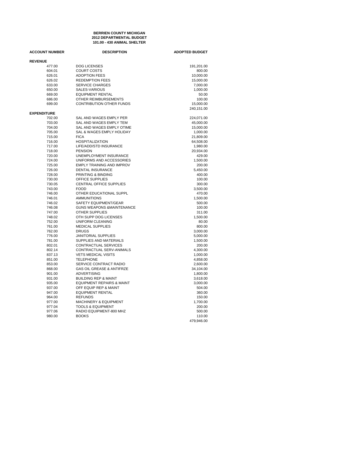### **101.00 - 430 ANIMAL SHELTER BERRIEN COUNTY MICHIGAN 2012 DEPARTMENTAL BUDGET**

| <b>ACCOUNT NUMBER</b> | <b>DESCRIPTION</b>                   | <b>ADOPTED BUDGET</b> |
|-----------------------|--------------------------------------|-----------------------|
| <b>REVENUE</b>        |                                      |                       |
| 477.00                | <b>DOG LICENSES</b>                  | 191,201.00            |
| 604.01                | <b>COURT COSTS</b>                   | 800.00                |
| 626.01                | <b>ADOPTION FEES</b>                 | 10,000.00             |
| 626.02                | <b>REDEMPTION FEES</b>               | 15,000.00             |
| 633.00                | <b>SERVICE CHARGES</b>               | 7,000.00              |
| 650.00                | SALES-VARIOUS                        | 1,000.00              |
| 669.00                | <b>EQUIPMENT RENTAL</b>              | 50.00                 |
| 686.00                | OTHER REIMBURSEMENTS                 | 100.00                |
| 699.00                | CONTRIBUTION OTHER FUNDS             | 15,000.00             |
| <b>EXPENDITURE</b>    |                                      | 240,151.00            |
| 702.00                | SAL AND WAGES EMPLY PER              | 224,071.00            |
| 703.00                | SAL AND WAGES EMPLY TEM              | 45,000.00             |
| 704.00                | SAL AND WAGES EMPLY OTIME            | 15,000.00             |
| 705.00                | SAL & WAGES EMPLY HOLIDAY            | 1,000.00              |
| 715.00                | <b>FICA</b>                          | 21,809.00             |
| 716.00                | <b>HOSPITALIZATION</b>               | 64,508.00             |
| 717.00                | LIFE/ADD/STD INSURANCE               | 1,980.00              |
| 718.00                | <b>PENSION</b>                       | 20,934.00             |
| 720.00                | UNEMPLOYMENT INSURANCE               | 429.00                |
| 724.00                | UNIFORMS AND ACCESSORIES             | 1,500.00              |
| 725.00                | <b>EMPLY TRAINING AND IMPROV</b>     | 200.00                |
| 726.00                | <b>DENTAL INSURANCE</b>              | 5,450.00              |
| 728.00                | PRINTING & BINDING                   | 400.00                |
| 730.00                | <b>OFFICE SUPPLIES</b>               | 100.00                |
| 730.05                | <b>CENTRAL OFFICE SUPPLIES</b>       | 300.00                |
| 743.00                | <b>FOOD</b>                          | 3,500.00              |
| 746.00                | OTHER EDUCATIONAL SUPPL              | 470.00                |
| 746.01                | <b>AMMUNITIONS</b>                   | 1,500.00              |
| 746.02                | SAFETY EQUIPMENT/GEAR                | 500.00                |
| 746.08                | <b>GUNS WEAPONS &amp;MAINTENANCE</b> | 100.00                |
| 747.00                | <b>OTHER SUPPLIES</b>                | 311.00                |
| 748.02                | OTH SUPP DOG LICENSES                | 1,500.00              |
| 752.00                | UNIFORM CLEANING                     | 80.00                 |
| 761.00                | <b>MEDICAL SUPPLIES</b>              | 800.00                |
| 762.00                | <b>DRUGS</b>                         | 3,000.00              |
| 776.00                | <b>JANITORIAL SUPPLIES</b>           | 5,000.00              |
| 781.00                | SUPPLIES AND MATERIALS               | 1,500.00              |
| 802.01                | CONTRACTUAL SERVICES                 | 200.00                |
| 802.14                | CONTRACTUAL SERV-ANIMALS             | 4,300.00              |
| 837.13                | <b>VETS MEDICAL VISITS</b>           | 1,000.00              |
| 851.00                | <b>TELEPHONE</b>                     | 4,858.00              |
| 853.00                | SERVICE CONTRACT RADIO               | 2,600.00              |
| 868.00                | <b>GAS OIL GREASE &amp; ANTIFRZE</b> | 34,104.00             |
| 901.00                | <b>ADVERTISING</b>                   | 1,800.00              |
| 931.00                | <b>BUILDING REP &amp; MAINT</b>      | 3,618.00              |
| 935.00                | EQUIPMENT REPAIRS & MAINT            | 3,000.00              |
| 937.00                | OFF EQUIP REP & MAINT                | 504.00                |
| 947.00                | <b>EQUIPMENT RENTAL</b>              | 360.00                |
| 964.00                | <b>REFUNDS</b>                       | 150.00                |
| 977.00                | <b>MACHINERY &amp; EQUIPMENT</b>     | 1,700.00              |
| 977.04                | <b>TOOLS &amp; EQUIPMENT</b>         | 200.00                |
| 977.06                | RADIO EQUIPMENT-800 MHZ              | 500.00                |
| 980.00                | <b>BOOKS</b>                         | 110.00                |
|                       |                                      | 479,946.00            |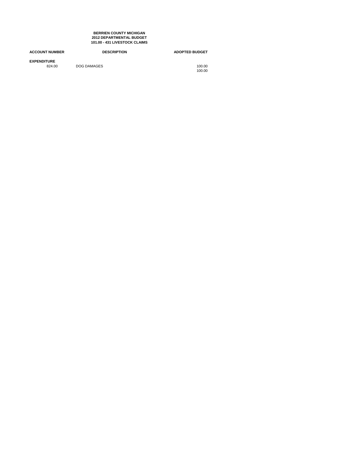**101.00 - 431 LIVESTOCK CLAIMS BERRIEN COUNTY MICHIGAN 2012 DEPARTMENTAL BUDGET**

| <b>ACCOUNT NUMBER</b>        | <b>DESCRIPTION</b> | <b>ADOPTED BUDGET</b> |
|------------------------------|--------------------|-----------------------|
| <b>EXPENDITURE</b><br>824.00 | DOG DAMAGES        | 100.00<br>100.00      |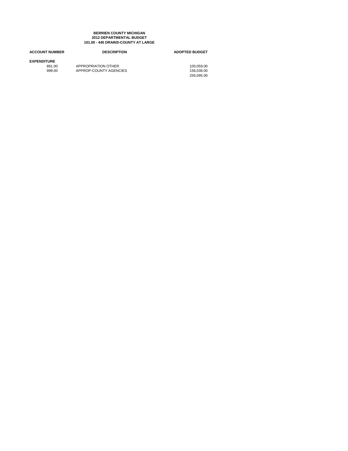#### **101.00 - 445 DRAINS-COUNTY AT LARGE BERRIEN COUNTY MICHIGAN 2012 DEPARTMENTAL BUDGET**

# **ACCOUNT NUMBER DESCRIPTION ADOPTED BUDGET EXPENDITURE** 881.00 APPROPRIATION OTHER 100,059.00 999.00 APPROP-COUNTY AGENCIES 156,036.00

156,036.00<br>256,095.00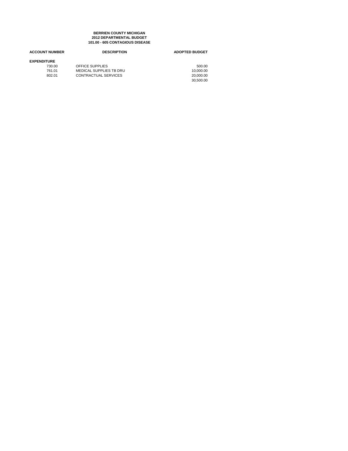#### **101.00 - 605 CONTAGIOUS DISEASE BERRIEN COUNTY MICHIGAN 2012 DEPARTMENTAL BUDGET**

| <b>ACCOUNT NUMBER</b> | <b>DESCRIPTION</b>      | <b>ADOPTED BUDGET</b> |
|-----------------------|-------------------------|-----------------------|
| <b>EXPENDITURE</b>    |                         |                       |
| 730.00                | OFFICE SUPPLIES         | 500.00                |
| 761.01                | MEDICAL SUPPLIES TB DRU | 10.000.00             |
| 802.01                | CONTRACTUAL SERVICES    | 20.000.00             |
|                       |                         | 30.500.00             |
|                       |                         |                       |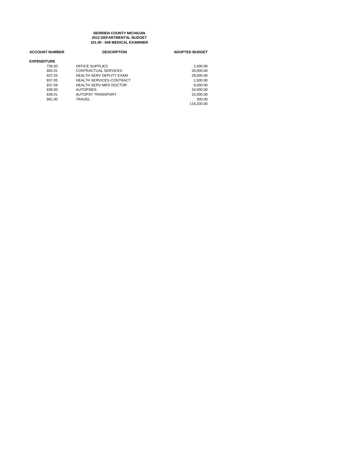**101.00 - 648 MEDICAL EXAMINER BERRIEN COUNTY MICHIGAN 2012 DEPARTMENTAL BUDGET**

| <b>ACCOUNT NUMBER</b> | <b>DESCRIPTION</b>              | <b>ADOPTED BUDGET</b> |
|-----------------------|---------------------------------|-----------------------|
| <b>EXPENDITURE</b>    |                                 |                       |
| 730.00                | OFFICE SUPPLIES                 | 2,400.00              |
| 802.01                | CONTRACTUAL SERVICES            | 30,000.00             |
| 837.03                | <b>HEALTH SERV DEPUTY EXAM</b>  | 29,000.00             |
| 837.05                | <b>HEALTH SERVICES-CONTRACT</b> | 1.500.00              |
| 837.09                | <b>HEALTH SERV-MED DOCTOR</b>   | 6.000.00              |
| 839.00                | <b>AUTOPSIES</b>                | 34,000.00             |
| 839.01                | <b>AUTOPSY TRANSPORT</b>        | 15,000.00             |
| 861.00                | TRAVEL                          | 300.00                |
|                       |                                 | 118.200.00            |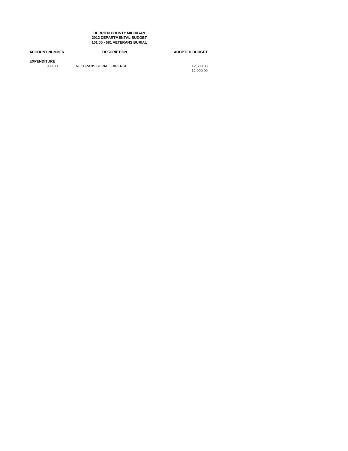**101.00 - 681 VETERANS BURIAL BERRIEN COUNTY MICHIGAN 2012 DEPARTMENTAL BUDGET**

| <b>ACCOUNT NUMBER</b>        | <b>DESCRIPTION</b>             | <b>ADOPTED BUDGET</b>  |
|------------------------------|--------------------------------|------------------------|
| <b>EXPENDITURE</b><br>833.00 | <b>VETERANS BURIAL EXPENSE</b> | 12.000.00<br>12.000.00 |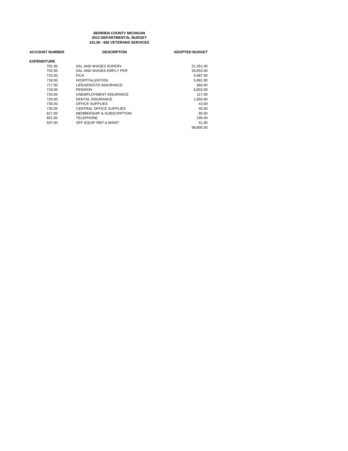#### **101.00 - 682 VETERANS SERVICES BERRIEN COUNTY MICHIGAN 2012 DEPARTMENTAL BUDGET**

| <b>ACCOUNT NUMBER</b> | <b>DESCRIPTION</b>                   | <b>ADOPTED BUDGET</b> |
|-----------------------|--------------------------------------|-----------------------|
| <b>EXPENDITURE</b>    |                                      |                       |
| 701.00                | SAL AND WAGES SUPERV                 | 51,351.00             |
| 702.00                | SAL AND WAGES EMPLY PER              | 26.653.00             |
| 715.00                | <b>FICA</b>                          | 5.967.00              |
| 716.00                | <b>HOSPITALIZATION</b>               | 5.991.00              |
| 717.00                | LIFE/ADD/STD INSURANCE               | 660.00                |
| 718.00                | <b>PENSION</b>                       | 6.802.00              |
| 720.00                | UNEMPLOYMENT INSURANCE               | 117.00                |
| 726.00                | <b>DENTAL INSURANCE</b>              | 1,850.00              |
| 730.00                | OFFICE SUPPLIES                      | 43.00                 |
| 730.05                | CENTRAL OFFICE SUPPLIES              | 45.00                 |
| 817.00                | <b>MEMBERSHIP &amp; SUBSCRIPTION</b> | 90.00                 |
| 851.00                | TELEPHONE                            | 195.00                |
| 937.00                | OFF EQUIP REP & MAINT                | 41.00                 |
|                       |                                      | 99.805.00             |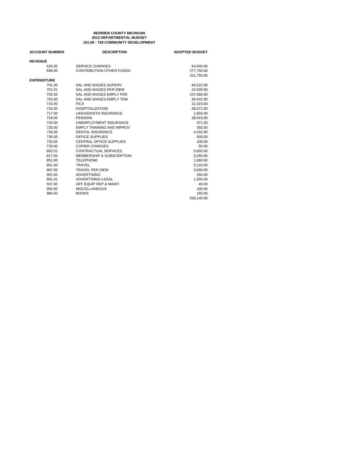#### **101.00 - 728 COMMUNITY DEVELOPMENT BERRIEN COUNTY MICHIGAN 2012 DEPARTMENTAL BUDGET**

| <b>ACCOUNT NUMBER</b> | <b>DESCRIPTION</b>               | <b>ADOPTED BUDGET</b> |
|-----------------------|----------------------------------|-----------------------|
| <b>REVENUE</b>        |                                  |                       |
| 633.00                | <b>SERVICE CHARGES</b>           | 54,000.00             |
| 699.00                | <b>CONTRIBUTION OTHER FUNDS</b>  | 277.750.00            |
|                       |                                  | 331,750.00            |
| <b>EXPENDITURE</b>    |                                  |                       |
| 701.00                | SAL AND WAGES SUPERV             | 84,522.00             |
| 701.01                | SAL AND WAGES PER DIEM           | 24.500.00             |
| 702.00                | SAL AND WAGES EMPLY PER          | 237,066.00            |
| 703.00                | SAL AND WAGES EMPLY TEM          | 59,432.00             |
| 715.00                | <b>FICA</b>                      | 31,023.00             |
| 716.00                | <b>HOSPITALIZATION</b>           | 58.072.00             |
| 717.00                | LIFE/ADD/STD INSURANCE           | 1,904.00              |
| 718.00                | <b>PENSION</b>                   | 28.043.00             |
| 720.00                | <b>UNEMPLOYMENT INSURANCE</b>    | 571.00                |
| 725.00                | <b>EMPLY TRAINING AND IMPROV</b> | 350.00                |
| 726.00                | <b>DENTAL INSURANCE</b>          | 4,432.00              |
| 730.00                | OFFICE SUPPLIES                  | 500.00                |
| 730.05                | <b>CENTRAL OFFICE SUPPLIES</b>   | 100.00                |
| 733.00                | <b>COPIER CHARGES</b>            | 50.00                 |
| 802.01                | <b>CONTRACTUAL SERVICES</b>      | 5,000.00              |
| 817.00                | MEMBERSHIP & SUBSCRIPTION        | 3,350.00              |
| 851.00                | <b>TELEPHONE</b>                 | 1,060.00              |
| 861.00                | <b>TRAVEL</b>                    | 5,125.00              |
| 867.00                | <b>TRAVEL PER DIEM</b>           | 3,000.00              |
| 901.00                | <b>ADVERTISING</b>               | 250.00                |
| 901.01                | ADVERTISING-LEGAL                | 1,500.00              |
| 937.00                | OFF EQUIP REP & MAINT            | 40.00                 |
| 956.00                | <b>MISCELLANEOUS</b>             | 100.00                |
| 980.00                | <b>BOOKS</b>                     | 150.00                |
|                       |                                  | 550,140.00            |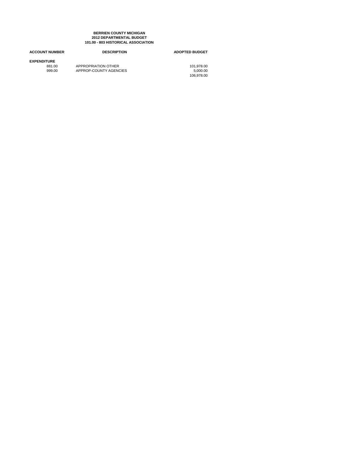#### **101.00 - 803 HISTORICAL ASSOCIATION BERRIEN COUNTY MICHIGAN 2012 DEPARTMENTAL BUDGET**

# **ACCOUNT NUMBER DESCRIPTION ADOPTED BUDGET EXPENDITURE**<br>881.00<br>999.00 881.00 APPROPRIATION OTHER 101,978.00 999.00 APPROP-COUNTY AGENCIES 5,000.00

5,000.00<br>106,978.00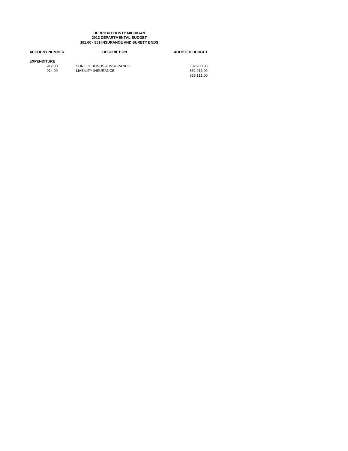#### **101.00 - 851 INSURANCE AND SURETY BNDS BERRIEN COUNTY MICHIGAN 2012 DEPARTMENTAL BUDGET**

| <b>ACCOUNT NUMBER</b> | <b>DESCRIPTION</b>       | <b>ADOPTED BUDGET</b> |
|-----------------------|--------------------------|-----------------------|
| <b>EXPENDITURE</b>    |                          |                       |
| 912.00                | SURETY BONDS & INSURANCE | 32.200.00             |
| 914.00                | LIABILITY INSURANCE      | 852.911.00            |
|                       |                          | 885.111.00            |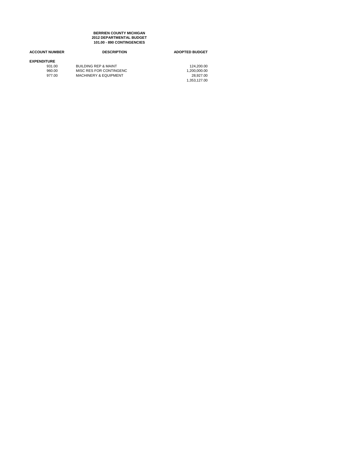**101.00 - 890 CONTINGENCIES BERRIEN COUNTY MICHIGAN 2012 DEPARTMENTAL BUDGET**

| <b>ACCOUNT NUMBER</b> | <b>DESCRIPTION</b>               | <b>ADOPTED BUDGET</b> |
|-----------------------|----------------------------------|-----------------------|
| <b>EXPENDITURE</b>    |                                  |                       |
| 931.00                | <b>BUILDING REP &amp; MAINT</b>  | 124.200.00            |
| 960.00                | MISC RES FOR CONTINGENC          | 1,200,000.00          |
| 977.00                | <b>MACHINERY &amp; EQUIPMENT</b> | 28.927.00             |
|                       |                                  | 1.353.127.00          |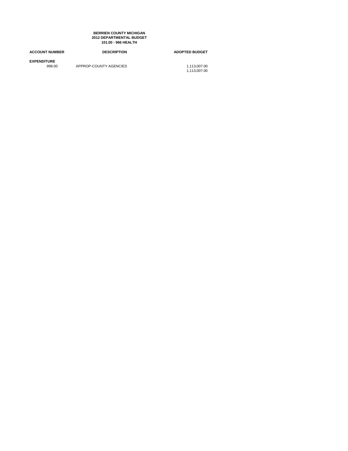**101.00 - 966 HEALTH BERRIEN COUNTY MICHIGAN 2012 DEPARTMENTAL BUDGET**

| <b>ACCOUNT NUMBER</b>        | <b>DESCRIPTION</b>     | <b>ADOPTED BUDGET</b>        |
|------------------------------|------------------------|------------------------------|
| <b>EXPENDITURE</b><br>999.00 | APPROP-COUNTY AGENCIES | 1.113.007.00<br>1.113.007.00 |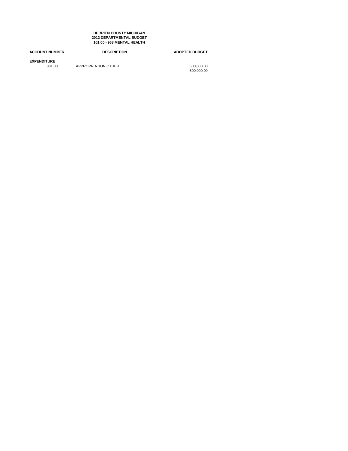**101.00 - 968 MENTAL HEALTH BERRIEN COUNTY MICHIGAN 2012 DEPARTMENTAL BUDGET**

| <b>ACCOUNT NUMBER</b>        | <b>DESCRIPTION</b>  | <b>ADOPTED BUDGET</b>    |
|------------------------------|---------------------|--------------------------|
| <b>EXPENDITURE</b><br>881.00 | APPROPRIATION OTHER | 500,000.00<br>500.000.00 |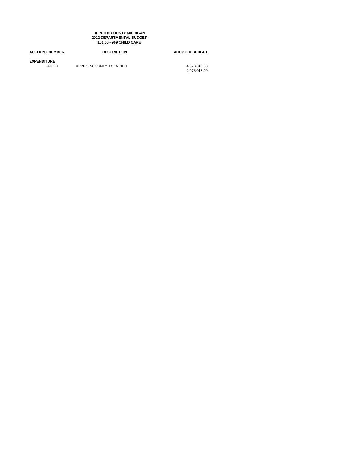**101.00 - 969 CHILD CARE BERRIEN COUNTY MICHIGAN 2012 DEPARTMENTAL BUDGET**

| <b>ACCOUNT NUMBER</b>        | <b>DESCRIPTION</b>     | <b>ADOPTED BUDGET</b>        |
|------------------------------|------------------------|------------------------------|
| <b>EXPENDITURE</b><br>999.00 | APPROP-COUNTY AGENCIES | 4.078.018.00<br>4.078.018.00 |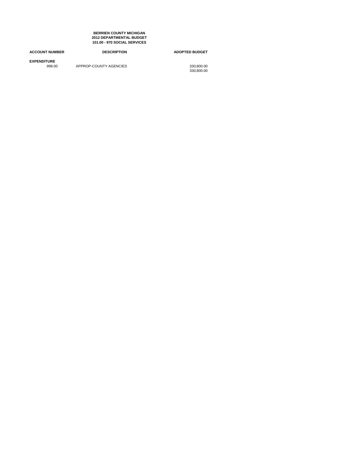**101.00 - 970 SOCIAL SERVICES BERRIEN COUNTY MICHIGAN 2012 DEPARTMENTAL BUDGET**

| <b>ACCOUNT NUMBER</b>        | <b>DESCRIPTION</b>     | <b>ADOPTED BUDGET</b>    |
|------------------------------|------------------------|--------------------------|
| <b>EXPENDITURE</b><br>999.00 | APPROP-COUNTY AGENCIES | 330.800.00<br>330.800.00 |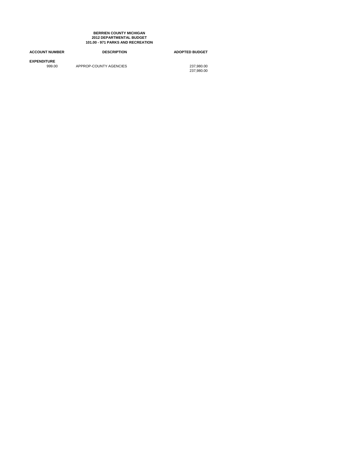#### **101.00 - 971 PARKS AND RECREATION BERRIEN COUNTY MICHIGAN 2012 DEPARTMENTAL BUDGET**

# **ACCOUNT NUMBER DESCRIPTION ADOPTED BUDGET EXPENDITURE** APPROP-COUNTY AGENCIES

237,980.00<br>237,980.00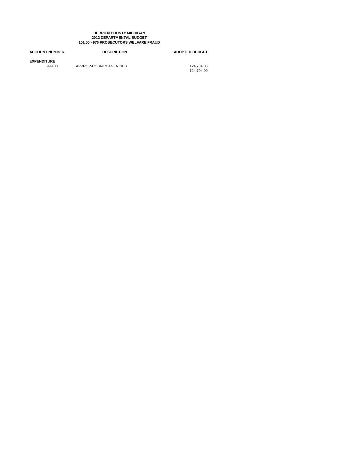#### **101.00 - 976 PROSECUTORS WELFARE FRAUD BERRIEN COUNTY MICHIGAN 2012 DEPARTMENTAL BUDGET**

### **ACCOUNT NUMBER DESCRIPTION ADOPTED BUDGET EXPENDITURE** APPROP-COUNTY AGENCIES 124,704.00